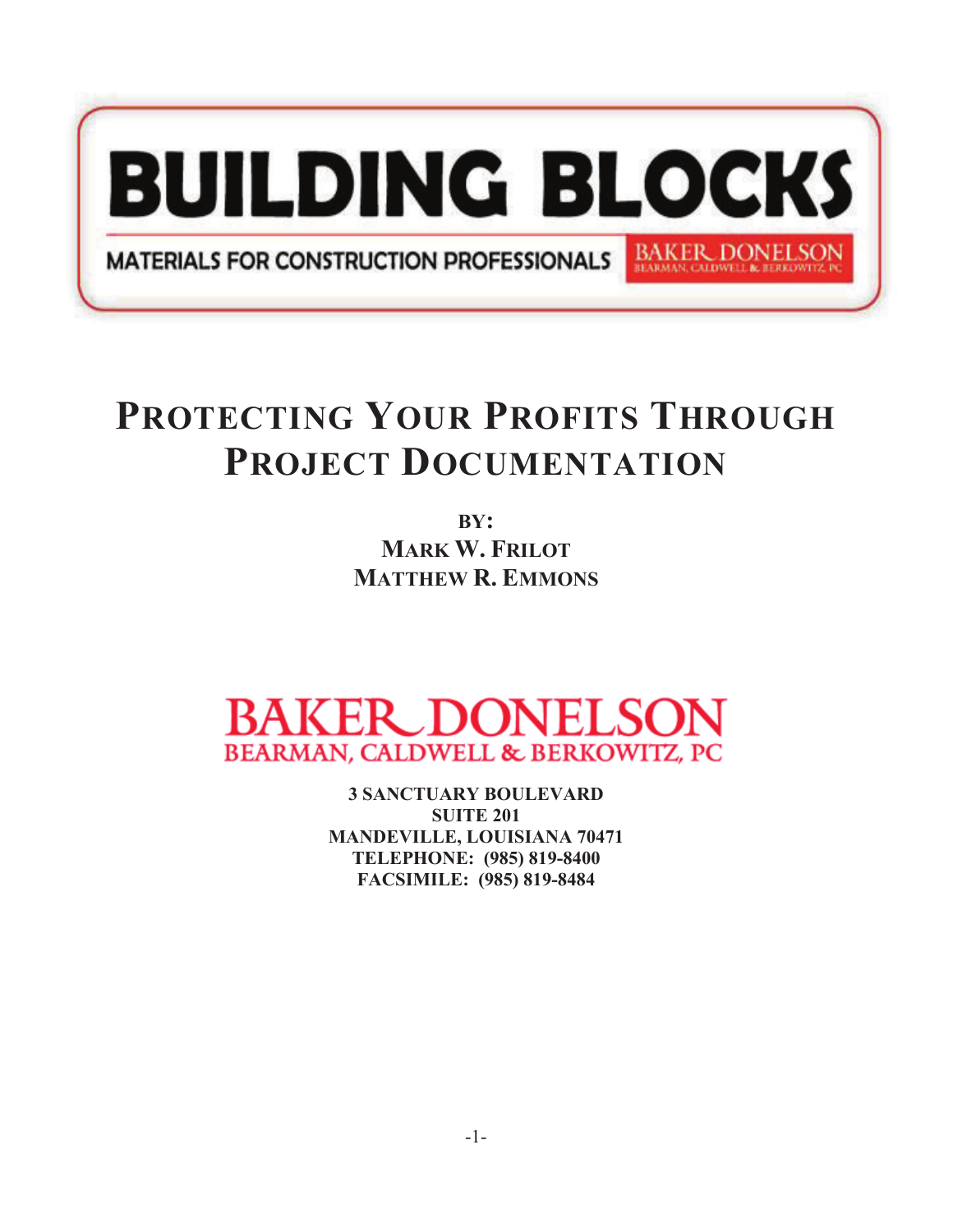

## **PROTECTING YOUR PROFITS THROUGH PROJECT DOCUMENTATION**

**BY: MARK W. FRILOT MATTHEW R. EMMONS**



**3 SANCTUARY BOULEVARD SUITE 201 MANDEVILLE, LOUISIANA 70471 TELEPHONE: (985) 819-8400 FACSIMILE: (985) 819-8484**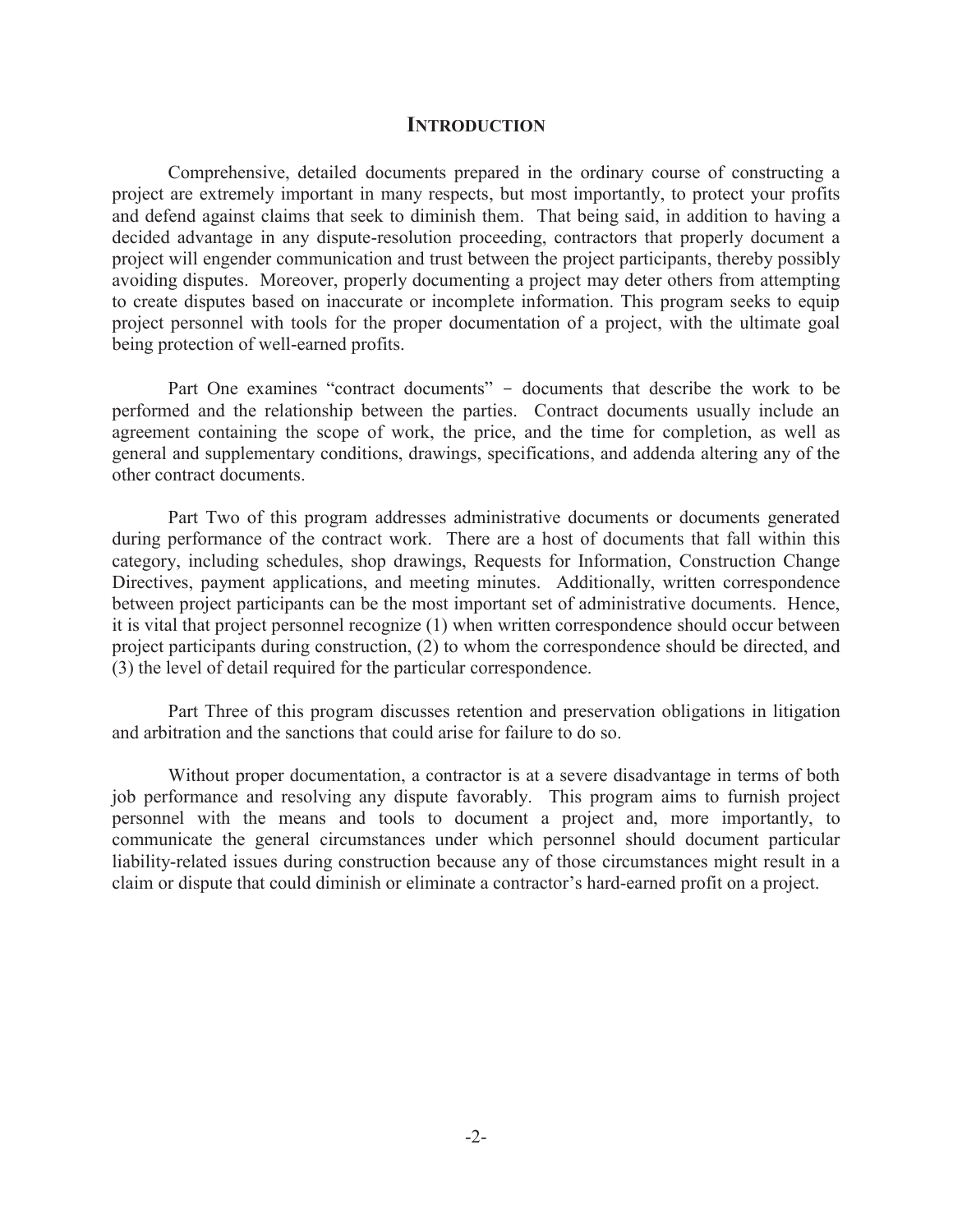#### **INTRODUCTION**

Comprehensive, detailed documents prepared in the ordinary course of constructing a project are extremely important in many respects, but most importantly, to protect your profits and defend against claims that seek to diminish them. That being said, in addition to having a decided advantage in any dispute-resolution proceeding, contractors that properly document a project will engender communication and trust between the project participants, thereby possibly avoiding disputes. Moreover, properly documenting a project may deter others from attempting to create disputes based on inaccurate or incomplete information. This program seeks to equip project personnel with tools for the proper documentation of a project, with the ultimate goal being protection of well-earned profits.

 Part One examines "contract documents" - documents that describe the work to be performed and the relationship between the parties. Contract documents usually include an agreement containing the scope of work, the price, and the time for completion, as well as general and supplementary conditions, drawings, specifications, and addenda altering any of the other contract documents.

 Part Two of this program addresses administrative documents or documents generated during performance of the contract work. There are a host of documents that fall within this category, including schedules, shop drawings, Requests for Information, Construction Change Directives, payment applications, and meeting minutes. Additionally, written correspondence between project participants can be the most important set of administrative documents. Hence, it is vital that project personnel recognize (1) when written correspondence should occur between project participants during construction, (2) to whom the correspondence should be directed, and (3) the level of detail required for the particular correspondence.

 Part Three of this program discusses retention and preservation obligations in litigation and arbitration and the sanctions that could arise for failure to do so.

 Without proper documentation, a contractor is at a severe disadvantage in terms of both job performance and resolving any dispute favorably. This program aims to furnish project personnel with the means and tools to document a project and, more importantly, to communicate the general circumstances under which personnel should document particular liability-related issues during construction because any of those circumstances might result in a claim or dispute that could diminish or eliminate a contractor's hard-earned profit on a project.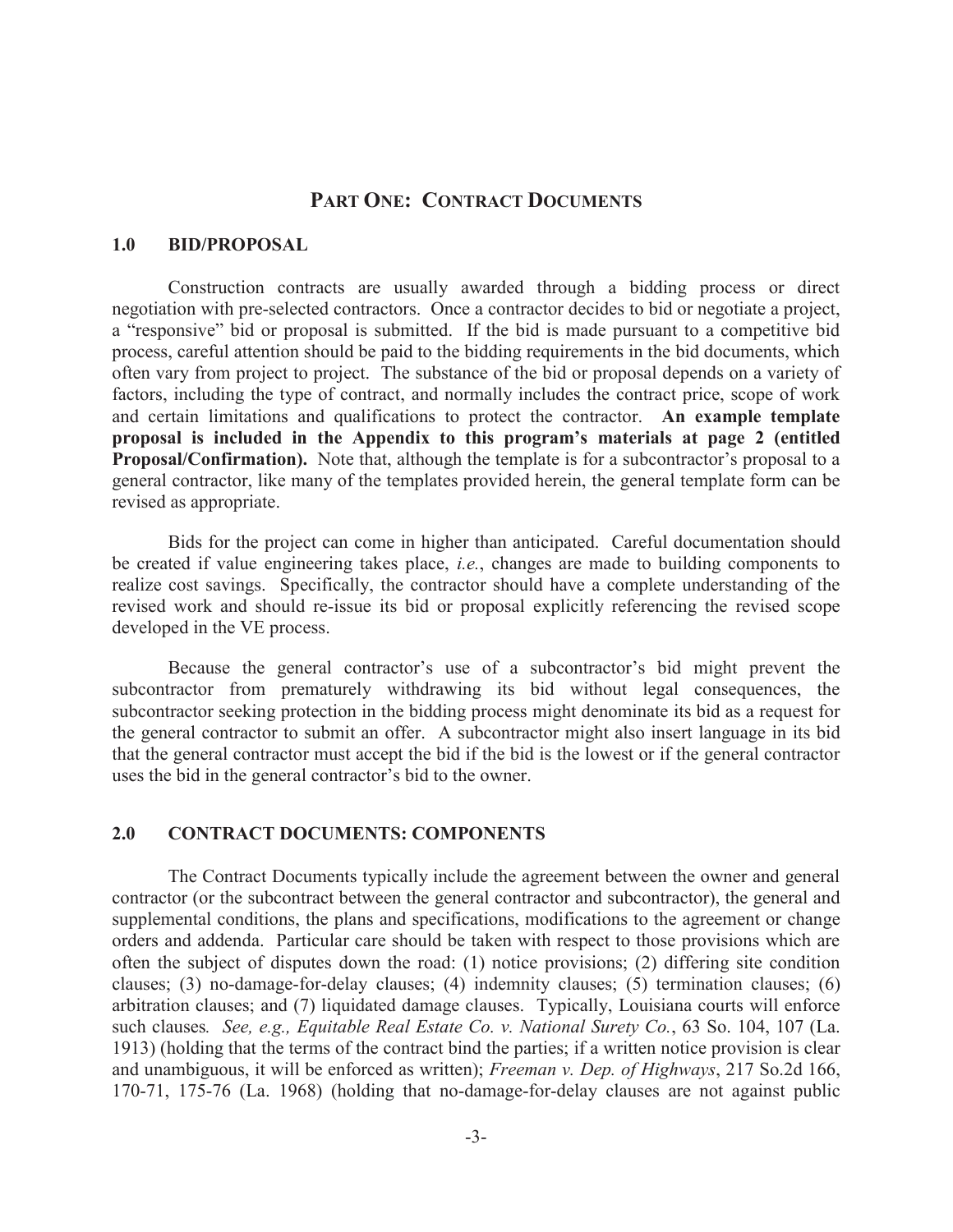## **PART ONE: CONTRACT DOCUMENTS**

### **1.0 BID/PROPOSAL**

Construction contracts are usually awarded through a bidding process or direct negotiation with pre-selected contractors. Once a contractor decides to bid or negotiate a project, a "responsive" bid or proposal is submitted. If the bid is made pursuant to a competitive bid process, careful attention should be paid to the bidding requirements in the bid documents, which often vary from project to project. The substance of the bid or proposal depends on a variety of factors, including the type of contract, and normally includes the contract price, scope of work and certain limitations and qualifications to protect the contractor. **An example template proposal is included in the Appendix to this program's materials at page 2 (entitled Proposal/Confirmation).** Note that, although the template is for a subcontractor's proposal to a general contractor, like many of the templates provided herein, the general template form can be revised as appropriate.

Bids for the project can come in higher than anticipated. Careful documentation should be created if value engineering takes place, *i.e.*, changes are made to building components to realize cost savings. Specifically, the contractor should have a complete understanding of the revised work and should re-issue its bid or proposal explicitly referencing the revised scope developed in the VE process.

Because the general contractor's use of a subcontractor's bid might prevent the subcontractor from prematurely withdrawing its bid without legal consequences, the subcontractor seeking protection in the bidding process might denominate its bid as a request for the general contractor to submit an offer. A subcontractor might also insert language in its bid that the general contractor must accept the bid if the bid is the lowest or if the general contractor uses the bid in the general contractor's bid to the owner.

## **2.0 CONTRACT DOCUMENTS: COMPONENTS**

The Contract Documents typically include the agreement between the owner and general contractor (or the subcontract between the general contractor and subcontractor), the general and supplemental conditions, the plans and specifications, modifications to the agreement or change orders and addenda. Particular care should be taken with respect to those provisions which are often the subject of disputes down the road: (1) notice provisions; (2) differing site condition clauses; (3) no-damage-for-delay clauses; (4) indemnity clauses; (5) termination clauses; (6) arbitration clauses; and (7) liquidated damage clauses. Typically, Louisiana courts will enforce such clauses*. See, e.g., Equitable Real Estate Co. v. National Surety Co.*, 63 So. 104, 107 (La. 1913) (holding that the terms of the contract bind the parties; if a written notice provision is clear and unambiguous, it will be enforced as written); *Freeman v. Dep. of Highways*, 217 So.2d 166, 170-71, 175-76 (La. 1968) (holding that no-damage-for-delay clauses are not against public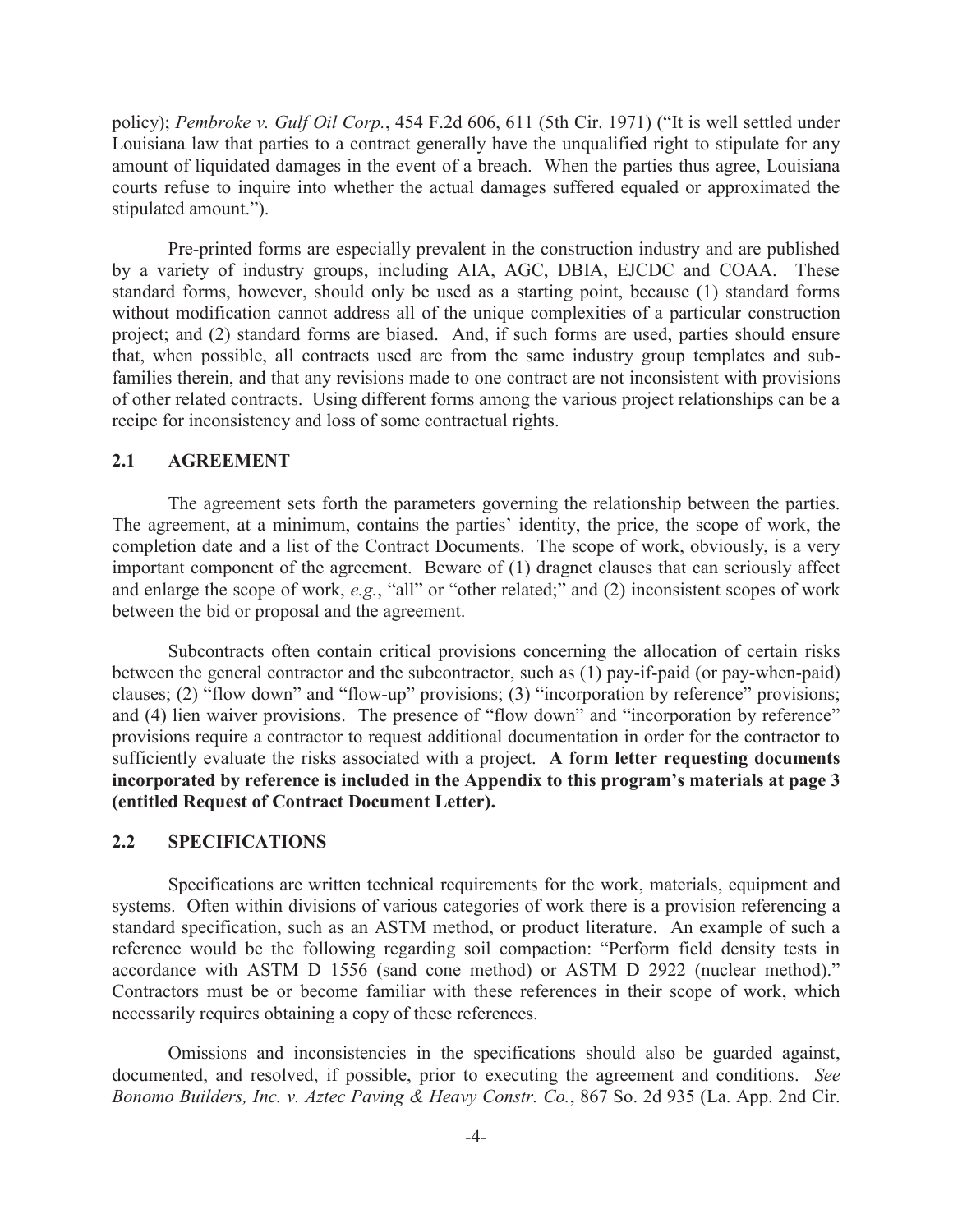policy); *Pembroke v. Gulf Oil Corp.*, 454 F.2d 606, 611 (5th Cir. 1971) ("It is well settled under Louisiana law that parties to a contract generally have the unqualified right to stipulate for any amount of liquidated damages in the event of a breach. When the parties thus agree, Louisiana courts refuse to inquire into whether the actual damages suffered equaled or approximated the stipulated amount.").

Pre-printed forms are especially prevalent in the construction industry and are published by a variety of industry groups, including AIA, AGC, DBIA, EJCDC and COAA. These standard forms, however, should only be used as a starting point, because (1) standard forms without modification cannot address all of the unique complexities of a particular construction project; and (2) standard forms are biased. And, if such forms are used, parties should ensure that, when possible, all contracts used are from the same industry group templates and subfamilies therein, and that any revisions made to one contract are not inconsistent with provisions of other related contracts. Using different forms among the various project relationships can be a recipe for inconsistency and loss of some contractual rights.

## **2.1 AGREEMENT**

The agreement sets forth the parameters governing the relationship between the parties. The agreement, at a minimum, contains the parties' identity, the price, the scope of work, the completion date and a list of the Contract Documents. The scope of work, obviously, is a very important component of the agreement. Beware of (1) dragnet clauses that can seriously affect and enlarge the scope of work, *e.g.*, "all" or "other related;" and (2) inconsistent scopes of work between the bid or proposal and the agreement.

Subcontracts often contain critical provisions concerning the allocation of certain risks between the general contractor and the subcontractor, such as (1) pay-if-paid (or pay-when-paid) clauses; (2) "flow down" and "flow-up" provisions; (3) "incorporation by reference" provisions; and (4) lien waiver provisions. The presence of "flow down" and "incorporation by reference" provisions require a contractor to request additional documentation in order for the contractor to sufficiently evaluate the risks associated with a project. **A form letter requesting documents incorporated by reference is included in the Appendix to this program's materials at page 3 (entitled Request of Contract Document Letter).**

### **2.2 SPECIFICATIONS**

Specifications are written technical requirements for the work, materials, equipment and systems. Often within divisions of various categories of work there is a provision referencing a standard specification, such as an ASTM method, or product literature. An example of such a reference would be the following regarding soil compaction: "Perform field density tests in accordance with ASTM D 1556 (sand cone method) or ASTM D 2922 (nuclear method)." Contractors must be or become familiar with these references in their scope of work, which necessarily requires obtaining a copy of these references.

Omissions and inconsistencies in the specifications should also be guarded against, documented, and resolved, if possible, prior to executing the agreement and conditions. *See Bonomo Builders, Inc. v. Aztec Paving & Heavy Constr. Co.*, 867 So. 2d 935 (La. App. 2nd Cir.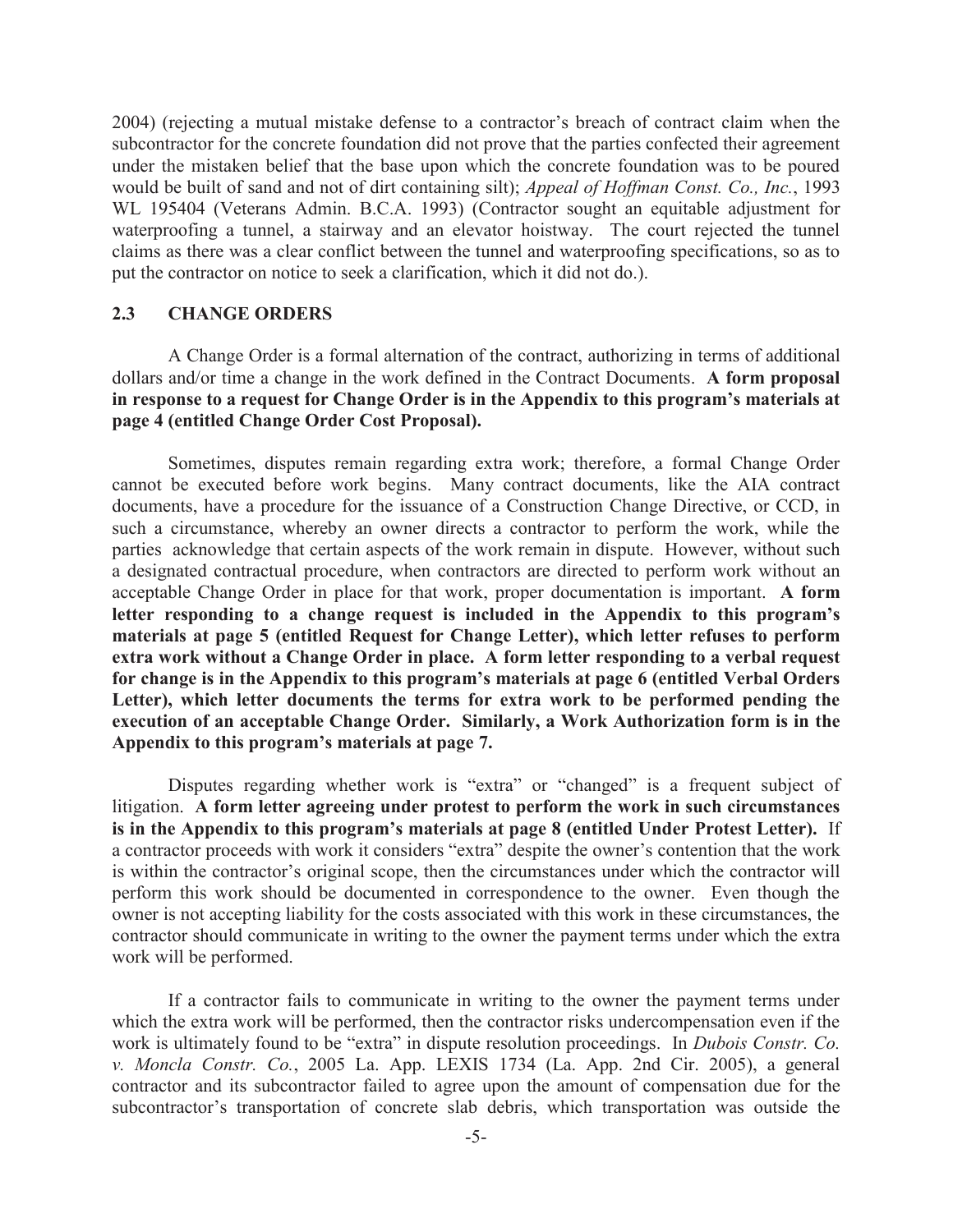2004) (rejecting a mutual mistake defense to a contractor's breach of contract claim when the subcontractor for the concrete foundation did not prove that the parties confected their agreement under the mistaken belief that the base upon which the concrete foundation was to be poured would be built of sand and not of dirt containing silt); *Appeal of Hoffman Const. Co., Inc.*, 1993 WL 195404 (Veterans Admin. B.C.A. 1993) (Contractor sought an equitable adjustment for waterproofing a tunnel, a stairway and an elevator hoistway. The court rejected the tunnel claims as there was a clear conflict between the tunnel and waterproofing specifications, so as to put the contractor on notice to seek a clarification, which it did not do.).

#### **2.3 CHANGE ORDERS**

A Change Order is a formal alternation of the contract, authorizing in terms of additional dollars and/or time a change in the work defined in the Contract Documents. **A form proposal in response to a request for Change Order is in the Appendix to this program's materials at page 4 (entitled Change Order Cost Proposal).**

Sometimes, disputes remain regarding extra work; therefore, a formal Change Order cannot be executed before work begins. Many contract documents, like the AIA contract documents, have a procedure for the issuance of a Construction Change Directive, or CCD, in such a circumstance, whereby an owner directs a contractor to perform the work, while the parties acknowledge that certain aspects of the work remain in dispute. However, without such a designated contractual procedure, when contractors are directed to perform work without an acceptable Change Order in place for that work, proper documentation is important. **A form letter responding to a change request is included in the Appendix to this program's materials at page 5 (entitled Request for Change Letter), which letter refuses to perform extra work without a Change Order in place. A form letter responding to a verbal request for change is in the Appendix to this program's materials at page 6 (entitled Verbal Orders Letter), which letter documents the terms for extra work to be performed pending the execution of an acceptable Change Order. Similarly, a Work Authorization form is in the Appendix to this program's materials at page 7.**

Disputes regarding whether work is "extra" or "changed" is a frequent subject of litigation. **A form letter agreeing under protest to perform the work in such circumstances is in the Appendix to this program's materials at page 8 (entitled Under Protest Letter).** If a contractor proceeds with work it considers "extra" despite the owner's contention that the work is within the contractor's original scope, then the circumstances under which the contractor will perform this work should be documented in correspondence to the owner. Even though the owner is not accepting liability for the costs associated with this work in these circumstances, the contractor should communicate in writing to the owner the payment terms under which the extra work will be performed.

If a contractor fails to communicate in writing to the owner the payment terms under which the extra work will be performed, then the contractor risks undercompensation even if the work is ultimately found to be "extra" in dispute resolution proceedings. In *Dubois Constr. Co. v. Moncla Constr. Co.*, 2005 La. App. LEXIS 1734 (La. App. 2nd Cir. 2005), a general contractor and its subcontractor failed to agree upon the amount of compensation due for the subcontractor's transportation of concrete slab debris, which transportation was outside the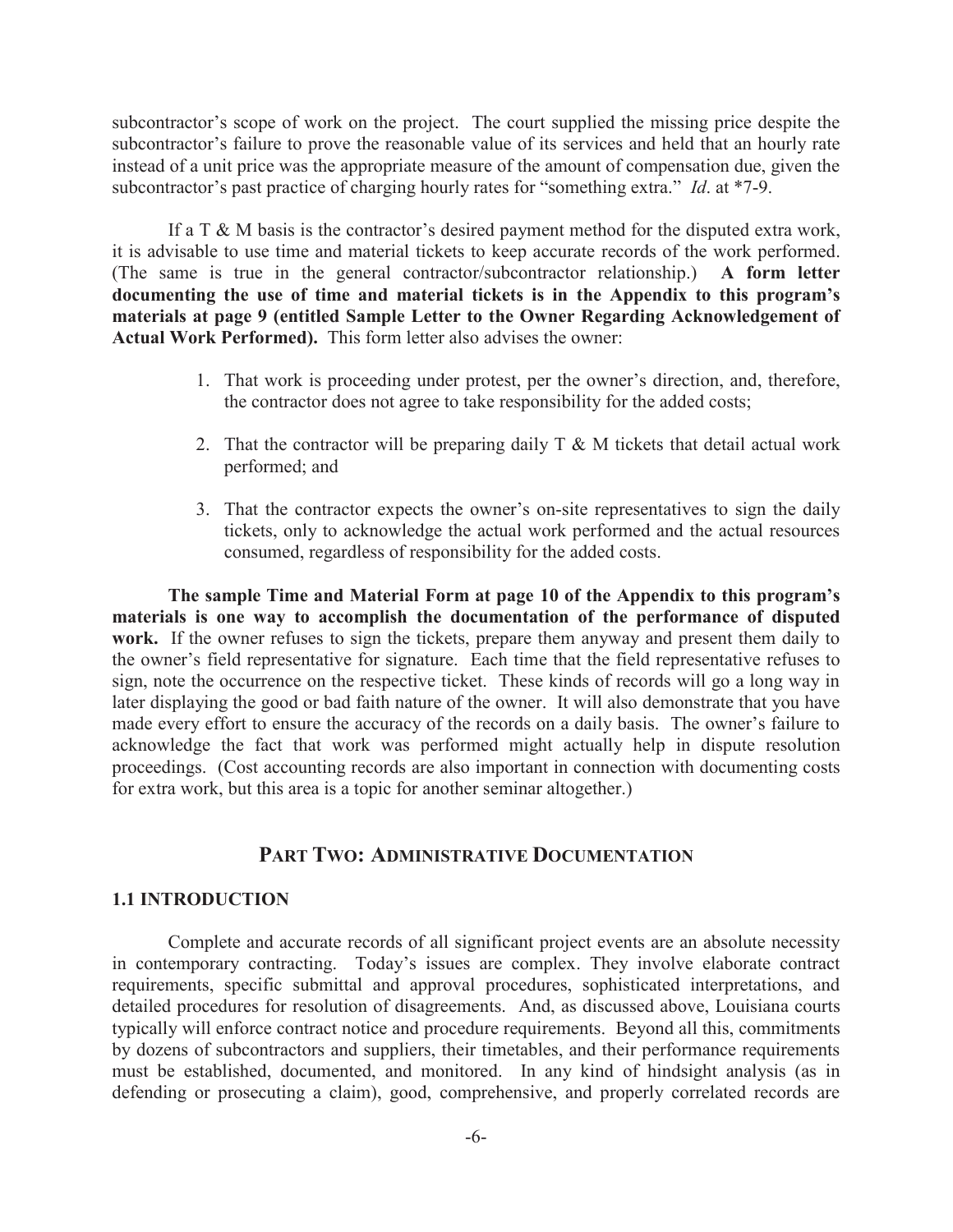subcontractor's scope of work on the project. The court supplied the missing price despite the subcontractor's failure to prove the reasonable value of its services and held that an hourly rate instead of a unit price was the appropriate measure of the amount of compensation due, given the subcontractor's past practice of charging hourly rates for "something extra." *Id*. at \*7-9.

If a T & M basis is the contractor's desired payment method for the disputed extra work, it is advisable to use time and material tickets to keep accurate records of the work performed. (The same is true in the general contractor/subcontractor relationship.) **A form letter documenting the use of time and material tickets is in the Appendix to this program's materials at page 9 (entitled Sample Letter to the Owner Regarding Acknowledgement of Actual Work Performed).** This form letter also advises the owner:

- 1. That work is proceeding under protest, per the owner's direction, and, therefore, the contractor does not agree to take responsibility for the added costs;
- 2. That the contractor will be preparing daily  $T \& M$  tickets that detail actual work performed; and
- 3. That the contractor expects the owner's on-site representatives to sign the daily tickets, only to acknowledge the actual work performed and the actual resources consumed, regardless of responsibility for the added costs.

**The sample Time and Material Form at page 10 of the Appendix to this program's materials is one way to accomplish the documentation of the performance of disputed work.** If the owner refuses to sign the tickets, prepare them anyway and present them daily to the owner's field representative for signature. Each time that the field representative refuses to sign, note the occurrence on the respective ticket. These kinds of records will go a long way in later displaying the good or bad faith nature of the owner. It will also demonstrate that you have made every effort to ensure the accuracy of the records on a daily basis. The owner's failure to acknowledge the fact that work was performed might actually help in dispute resolution proceedings. (Cost accounting records are also important in connection with documenting costs for extra work, but this area is a topic for another seminar altogether.)

## **PART TWO: ADMINISTRATIVE DOCUMENTATION**

## **1.1 INTRODUCTION**

Complete and accurate records of all significant project events are an absolute necessity in contemporary contracting. Today's issues are complex. They involve elaborate contract requirements, specific submittal and approval procedures, sophisticated interpretations, and detailed procedures for resolution of disagreements. And, as discussed above, Louisiana courts typically will enforce contract notice and procedure requirements. Beyond all this, commitments by dozens of subcontractors and suppliers, their timetables, and their performance requirements must be established, documented, and monitored. In any kind of hindsight analysis (as in defending or prosecuting a claim), good, comprehensive, and properly correlated records are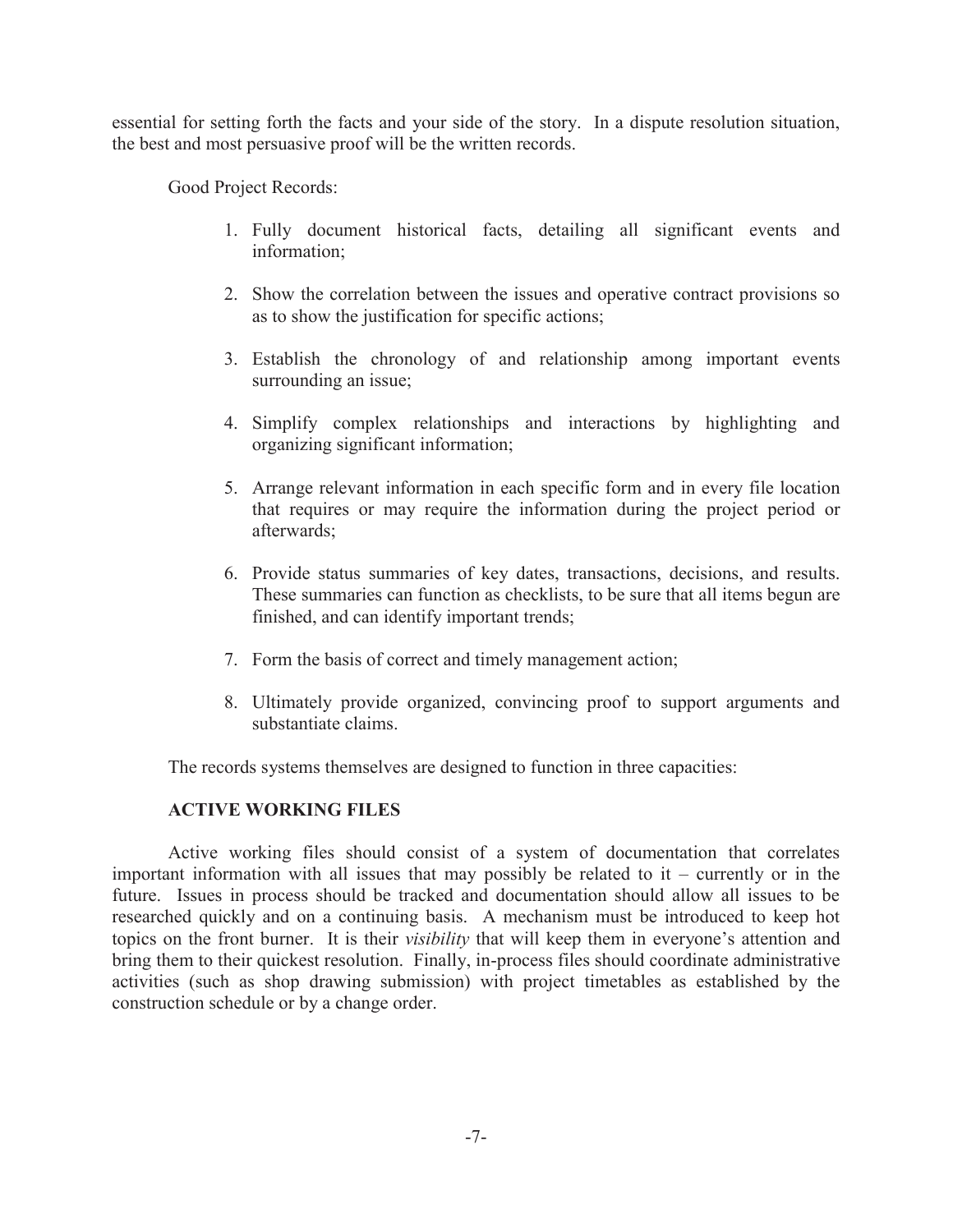essential for setting forth the facts and your side of the story. In a dispute resolution situation, the best and most persuasive proof will be the written records.

Good Project Records:

- 1. Fully document historical facts, detailing all significant events and information;
- 2. Show the correlation between the issues and operative contract provisions so as to show the justification for specific actions;
- 3. Establish the chronology of and relationship among important events surrounding an issue;
- 4. Simplify complex relationships and interactions by highlighting and organizing significant information;
- 5. Arrange relevant information in each specific form and in every file location that requires or may require the information during the project period or afterwards;
- 6. Provide status summaries of key dates, transactions, decisions, and results. These summaries can function as checklists, to be sure that all items begun are finished, and can identify important trends;
- 7. Form the basis of correct and timely management action;
- 8. Ultimately provide organized, convincing proof to support arguments and substantiate claims.

The records systems themselves are designed to function in three capacities:

## **ACTIVE WORKING FILES**

Active working files should consist of a system of documentation that correlates important information with all issues that may possibly be related to it – currently or in the future. Issues in process should be tracked and documentation should allow all issues to be researched quickly and on a continuing basis. A mechanism must be introduced to keep hot topics on the front burner. It is their *visibility* that will keep them in everyone's attention and bring them to their quickest resolution. Finally, in-process files should coordinate administrative activities (such as shop drawing submission) with project timetables as established by the construction schedule or by a change order.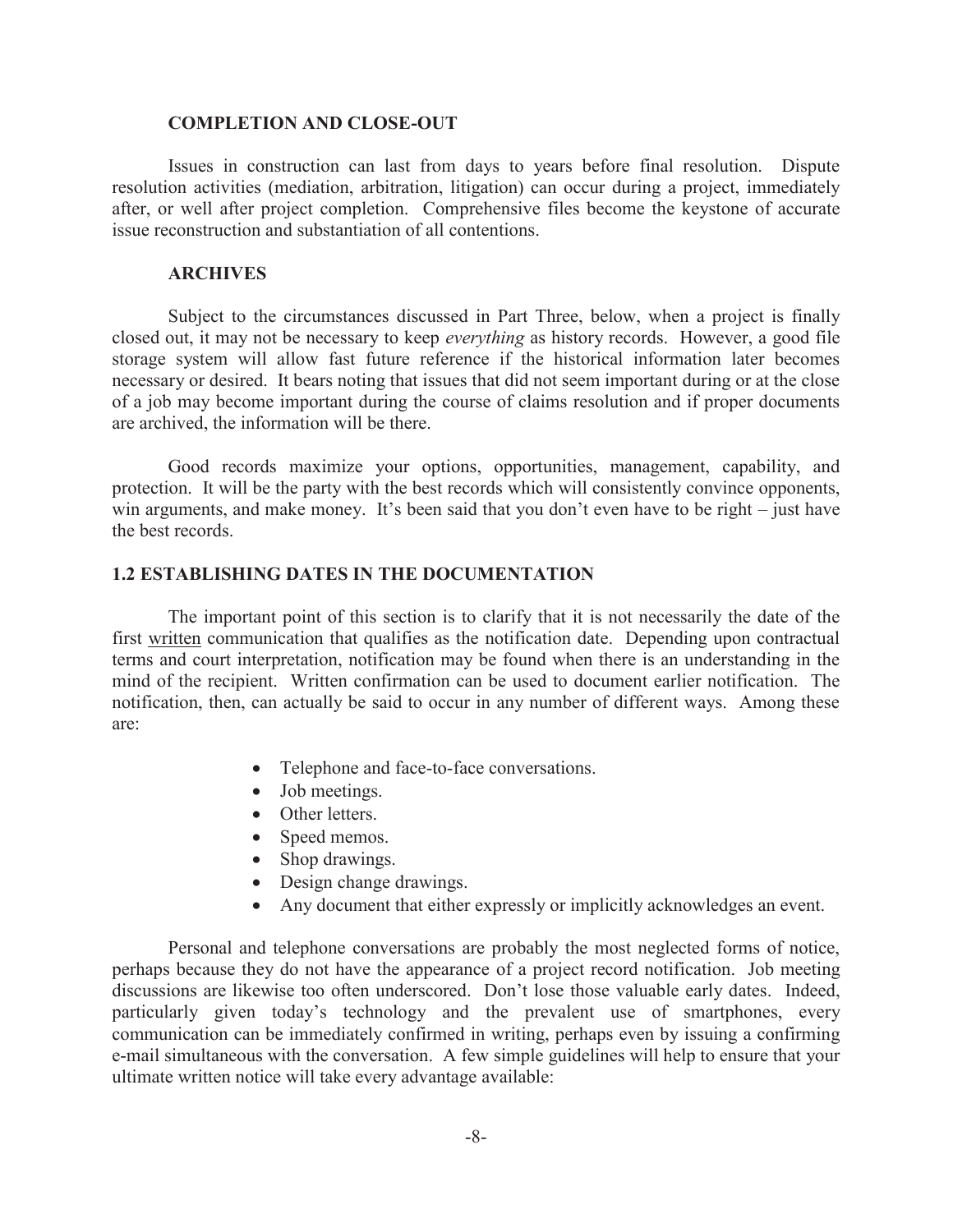#### **COMPLETION AND CLOSE-OUT**

Issues in construction can last from days to years before final resolution. Dispute resolution activities (mediation, arbitration, litigation) can occur during a project, immediately after, or well after project completion. Comprehensive files become the keystone of accurate issue reconstruction and substantiation of all contentions.

## **ARCHIVES**

Subject to the circumstances discussed in Part Three, below, when a project is finally closed out, it may not be necessary to keep *everything* as history records. However, a good file storage system will allow fast future reference if the historical information later becomes necessary or desired. It bears noting that issues that did not seem important during or at the close of a job may become important during the course of claims resolution and if proper documents are archived, the information will be there.

Good records maximize your options, opportunities, management, capability, and protection. It will be the party with the best records which will consistently convince opponents, win arguments, and make money. It's been said that you don't even have to be right – just have the best records.

## **1.2 ESTABLISHING DATES IN THE DOCUMENTATION**

The important point of this section is to clarify that it is not necessarily the date of the first written communication that qualifies as the notification date. Depending upon contractual terms and court interpretation, notification may be found when there is an understanding in the mind of the recipient. Written confirmation can be used to document earlier notification. The notification, then, can actually be said to occur in any number of different ways. Among these are:

- · Telephone and face-to-face conversations.
- Job meetings.
- Other letters.
- Speed memos.
- Shop drawings.
- Design change drawings.
- · Any document that either expressly or implicitly acknowledges an event.

Personal and telephone conversations are probably the most neglected forms of notice, perhaps because they do not have the appearance of a project record notification. Job meeting discussions are likewise too often underscored. Don't lose those valuable early dates. Indeed, particularly given today's technology and the prevalent use of smartphones, every communication can be immediately confirmed in writing, perhaps even by issuing a confirming e-mail simultaneous with the conversation. A few simple guidelines will help to ensure that your ultimate written notice will take every advantage available: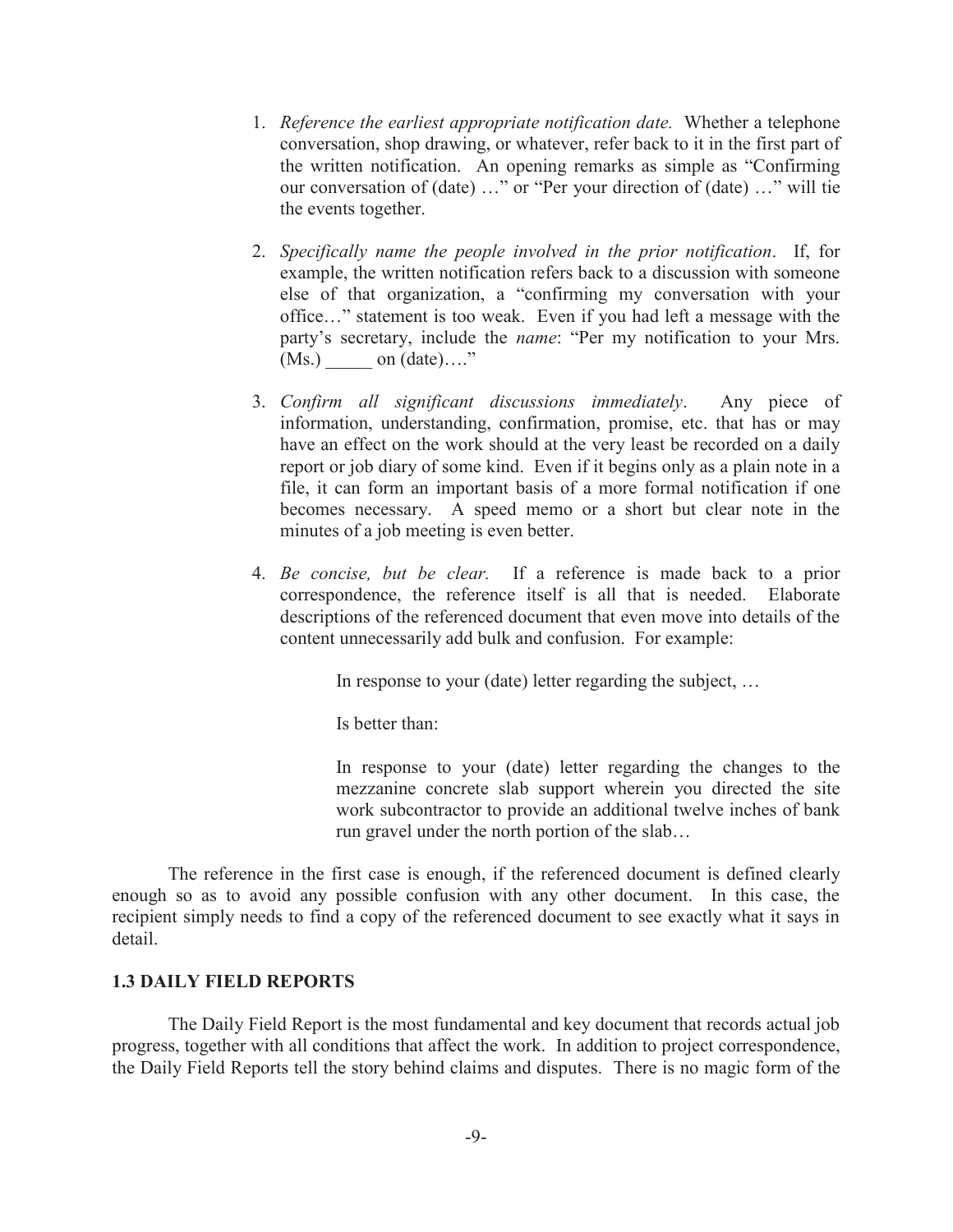- 1. *Reference the earliest appropriate notification date.* Whether a telephone conversation, shop drawing, or whatever, refer back to it in the first part of the written notification. An opening remarks as simple as "Confirming our conversation of (date) …" or "Per your direction of (date) …" will tie the events together.
- 2. *Specifically name the people involved in the prior notification*. If, for example, the written notification refers back to a discussion with someone else of that organization, a "confirming my conversation with your office…" statement is too weak. Even if you had left a message with the party's secretary, include the *name*: "Per my notification to your Mrs.  $(Ms.)$  on  $(data)...."$
- 3. *Confirm all significant discussions immediately*. Any piece of information, understanding, confirmation, promise, etc. that has or may have an effect on the work should at the very least be recorded on a daily report or job diary of some kind. Even if it begins only as a plain note in a file, it can form an important basis of a more formal notification if one becomes necessary. A speed memo or a short but clear note in the minutes of a job meeting is even better.
- 4. *Be concise, but be clear.* If a reference is made back to a prior correspondence, the reference itself is all that is needed. Elaborate descriptions of the referenced document that even move into details of the content unnecessarily add bulk and confusion. For example:

In response to your (date) letter regarding the subject, …

Is better than:

In response to your (date) letter regarding the changes to the mezzanine concrete slab support wherein you directed the site work subcontractor to provide an additional twelve inches of bank run gravel under the north portion of the slab…

The reference in the first case is enough, if the referenced document is defined clearly enough so as to avoid any possible confusion with any other document. In this case, the recipient simply needs to find a copy of the referenced document to see exactly what it says in detail.

## **1.3 DAILY FIELD REPORTS**

The Daily Field Report is the most fundamental and key document that records actual job progress, together with all conditions that affect the work. In addition to project correspondence, the Daily Field Reports tell the story behind claims and disputes. There is no magic form of the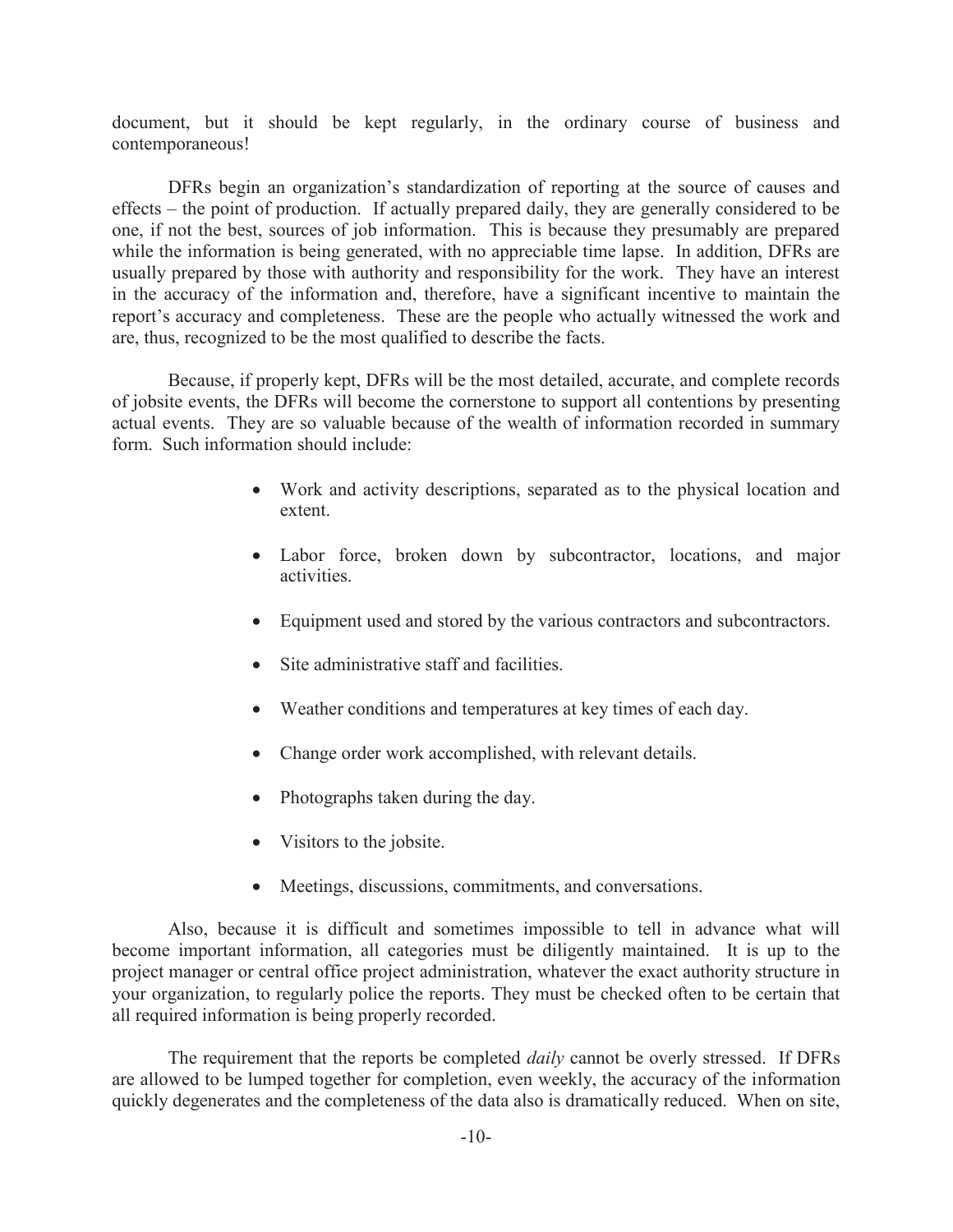document, but it should be kept regularly, in the ordinary course of business and contemporaneous!

DFRs begin an organization's standardization of reporting at the source of causes and effects – the point of production. If actually prepared daily, they are generally considered to be one, if not the best, sources of job information. This is because they presumably are prepared while the information is being generated, with no appreciable time lapse. In addition, DFRs are usually prepared by those with authority and responsibility for the work. They have an interest in the accuracy of the information and, therefore, have a significant incentive to maintain the report's accuracy and completeness. These are the people who actually witnessed the work and are, thus, recognized to be the most qualified to describe the facts.

Because, if properly kept, DFRs will be the most detailed, accurate, and complete records of jobsite events, the DFRs will become the cornerstone to support all contentions by presenting actual events. They are so valuable because of the wealth of information recorded in summary form. Such information should include:

- · Work and activity descriptions, separated as to the physical location and extent.
- Labor force, broken down by subcontractor, locations, and major activities.
- Equipment used and stored by the various contractors and subcontractors.
- Site administrative staff and facilities.
- · Weather conditions and temperatures at key times of each day.
- Change order work accomplished, with relevant details.
- Photographs taken during the day.
- Visitors to the jobsite.
- · Meetings, discussions, commitments, and conversations.

Also, because it is difficult and sometimes impossible to tell in advance what will become important information, all categories must be diligently maintained. It is up to the project manager or central office project administration, whatever the exact authority structure in your organization, to regularly police the reports. They must be checked often to be certain that all required information is being properly recorded.

The requirement that the reports be completed *daily* cannot be overly stressed. If DFRs are allowed to be lumped together for completion, even weekly, the accuracy of the information quickly degenerates and the completeness of the data also is dramatically reduced. When on site,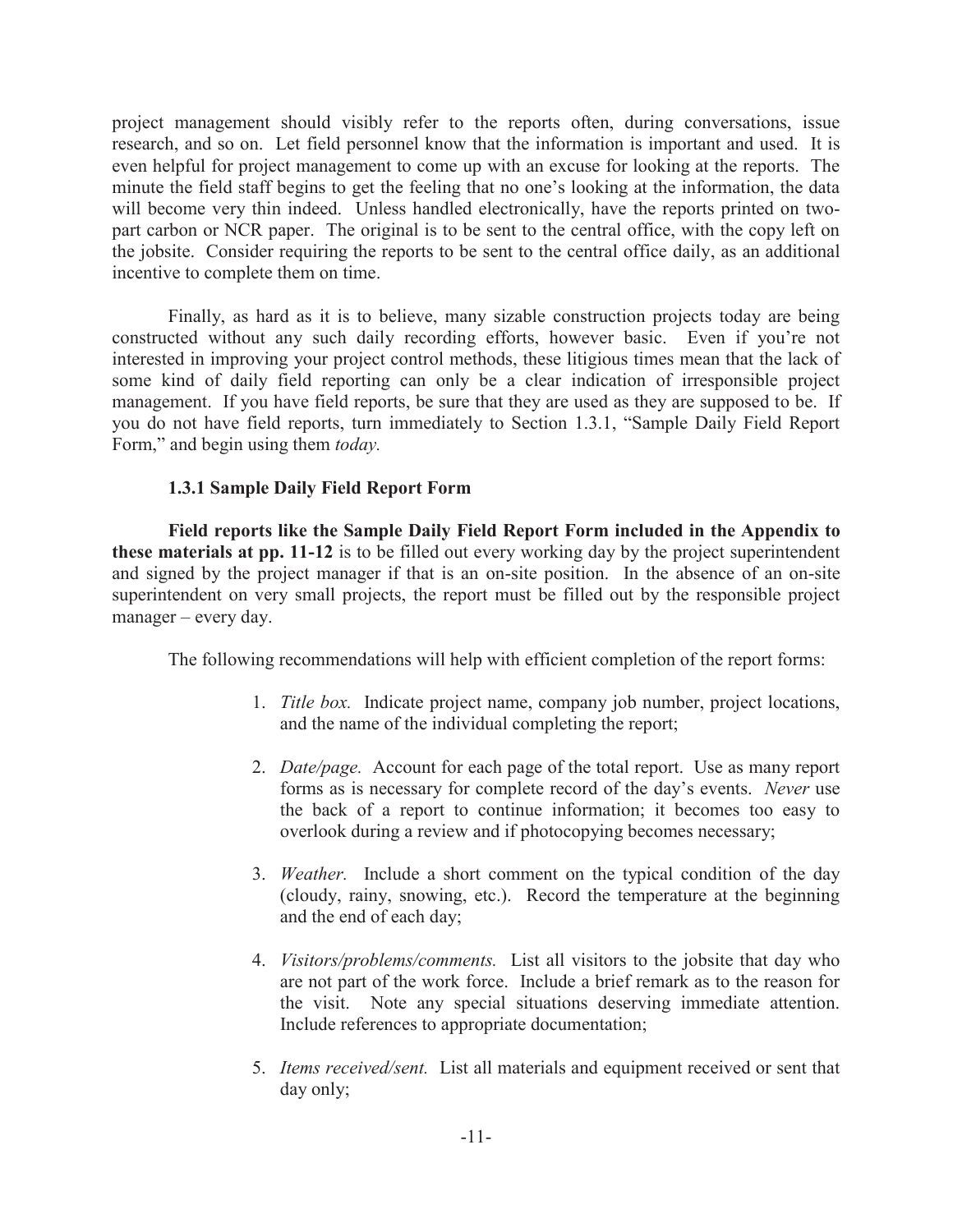project management should visibly refer to the reports often, during conversations, issue research, and so on. Let field personnel know that the information is important and used. It is even helpful for project management to come up with an excuse for looking at the reports. The minute the field staff begins to get the feeling that no one's looking at the information, the data will become very thin indeed. Unless handled electronically, have the reports printed on twopart carbon or NCR paper. The original is to be sent to the central office, with the copy left on the jobsite. Consider requiring the reports to be sent to the central office daily, as an additional incentive to complete them on time.

Finally, as hard as it is to believe, many sizable construction projects today are being constructed without any such daily recording efforts, however basic. Even if you're not interested in improving your project control methods, these litigious times mean that the lack of some kind of daily field reporting can only be a clear indication of irresponsible project management. If you have field reports, be sure that they are used as they are supposed to be. If you do not have field reports, turn immediately to Section 1.3.1, "Sample Daily Field Report Form," and begin using them *today.*

## **1.3.1 Sample Daily Field Report Form**

**Field reports like the Sample Daily Field Report Form included in the Appendix to these materials at pp. 11-12** is to be filled out every working day by the project superintendent and signed by the project manager if that is an on-site position. In the absence of an on-site superintendent on very small projects, the report must be filled out by the responsible project manager – every day.

The following recommendations will help with efficient completion of the report forms:

- 1. *Title box.* Indicate project name, company job number, project locations, and the name of the individual completing the report;
- 2. *Date/page.* Account for each page of the total report. Use as many report forms as is necessary for complete record of the day's events. *Never* use the back of a report to continue information; it becomes too easy to overlook during a review and if photocopying becomes necessary;
- 3. *Weather.* Include a short comment on the typical condition of the day (cloudy, rainy, snowing, etc.). Record the temperature at the beginning and the end of each day;
- 4. *Visitors/problems/comments.* List all visitors to the jobsite that day who are not part of the work force. Include a brief remark as to the reason for the visit. Note any special situations deserving immediate attention. Include references to appropriate documentation;
- 5. *Items received/sent.* List all materials and equipment received or sent that day only;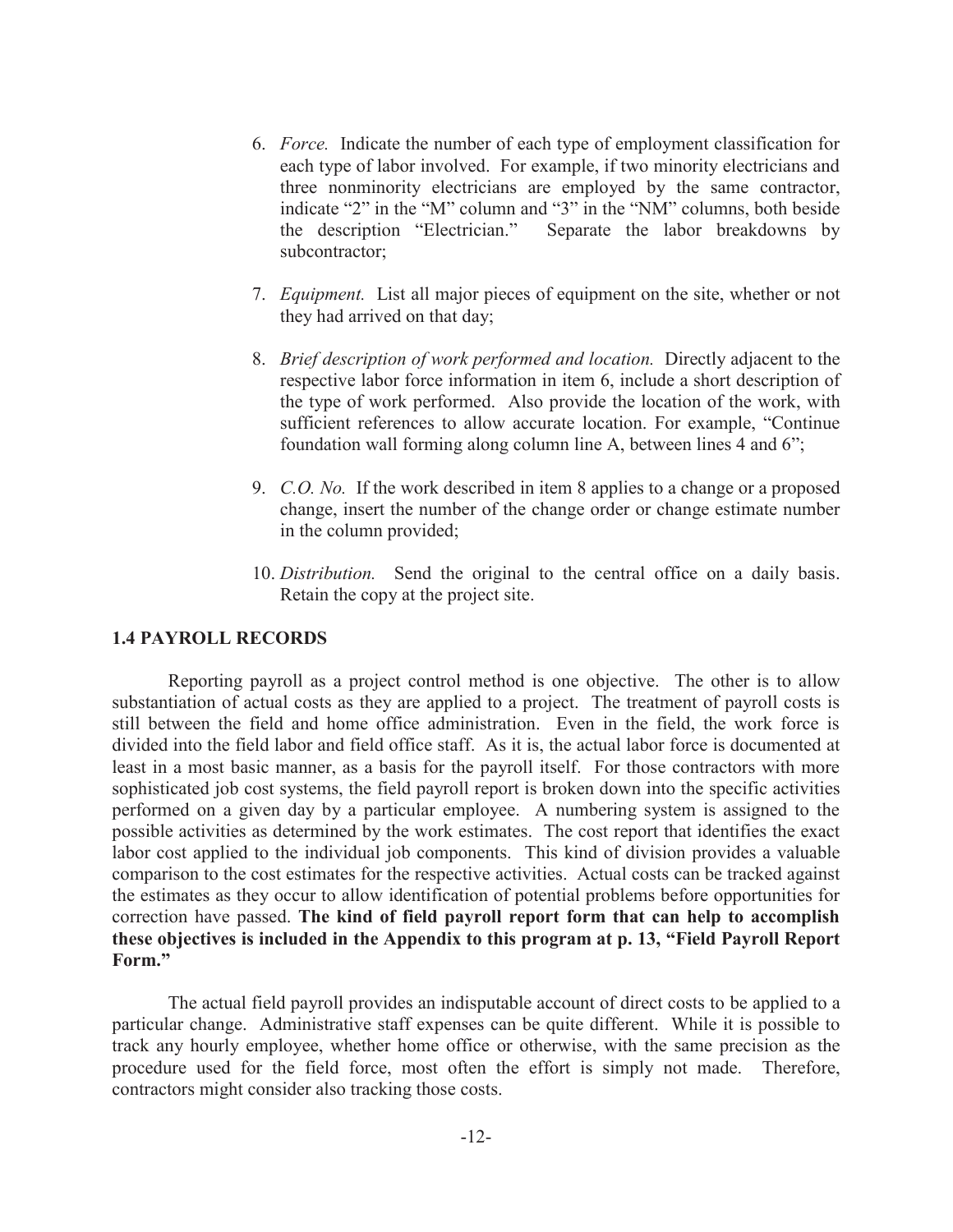- 6. *Force.* Indicate the number of each type of employment classification for each type of labor involved. For example, if two minority electricians and three nonminority electricians are employed by the same contractor, indicate "2" in the "M" column and "3" in the "NM" columns, both beside the description "Electrician." Separate the labor breakdowns by subcontractor;
- 7. *Equipment.* List all major pieces of equipment on the site, whether or not they had arrived on that day;
- 8. *Brief description of work performed and location.* Directly adjacent to the respective labor force information in item 6, include a short description of the type of work performed. Also provide the location of the work, with sufficient references to allow accurate location. For example, "Continue foundation wall forming along column line A, between lines 4 and 6";
- 9. *C.O. No.* If the work described in item 8 applies to a change or a proposed change, insert the number of the change order or change estimate number in the column provided;
- 10. *Distribution.* Send the original to the central office on a daily basis. Retain the copy at the project site.

## **1.4 PAYROLL RECORDS**

Reporting payroll as a project control method is one objective. The other is to allow substantiation of actual costs as they are applied to a project. The treatment of payroll costs is still between the field and home office administration. Even in the field, the work force is divided into the field labor and field office staff. As it is, the actual labor force is documented at least in a most basic manner, as a basis for the payroll itself. For those contractors with more sophisticated job cost systems, the field payroll report is broken down into the specific activities performed on a given day by a particular employee. A numbering system is assigned to the possible activities as determined by the work estimates. The cost report that identifies the exact labor cost applied to the individual job components. This kind of division provides a valuable comparison to the cost estimates for the respective activities. Actual costs can be tracked against the estimates as they occur to allow identification of potential problems before opportunities for correction have passed. **The kind of field payroll report form that can help to accomplish these objectives is included in the Appendix to this program at p. 13, "Field Payroll Report Form."**

The actual field payroll provides an indisputable account of direct costs to be applied to a particular change. Administrative staff expenses can be quite different. While it is possible to track any hourly employee, whether home office or otherwise, with the same precision as the procedure used for the field force, most often the effort is simply not made. Therefore, contractors might consider also tracking those costs.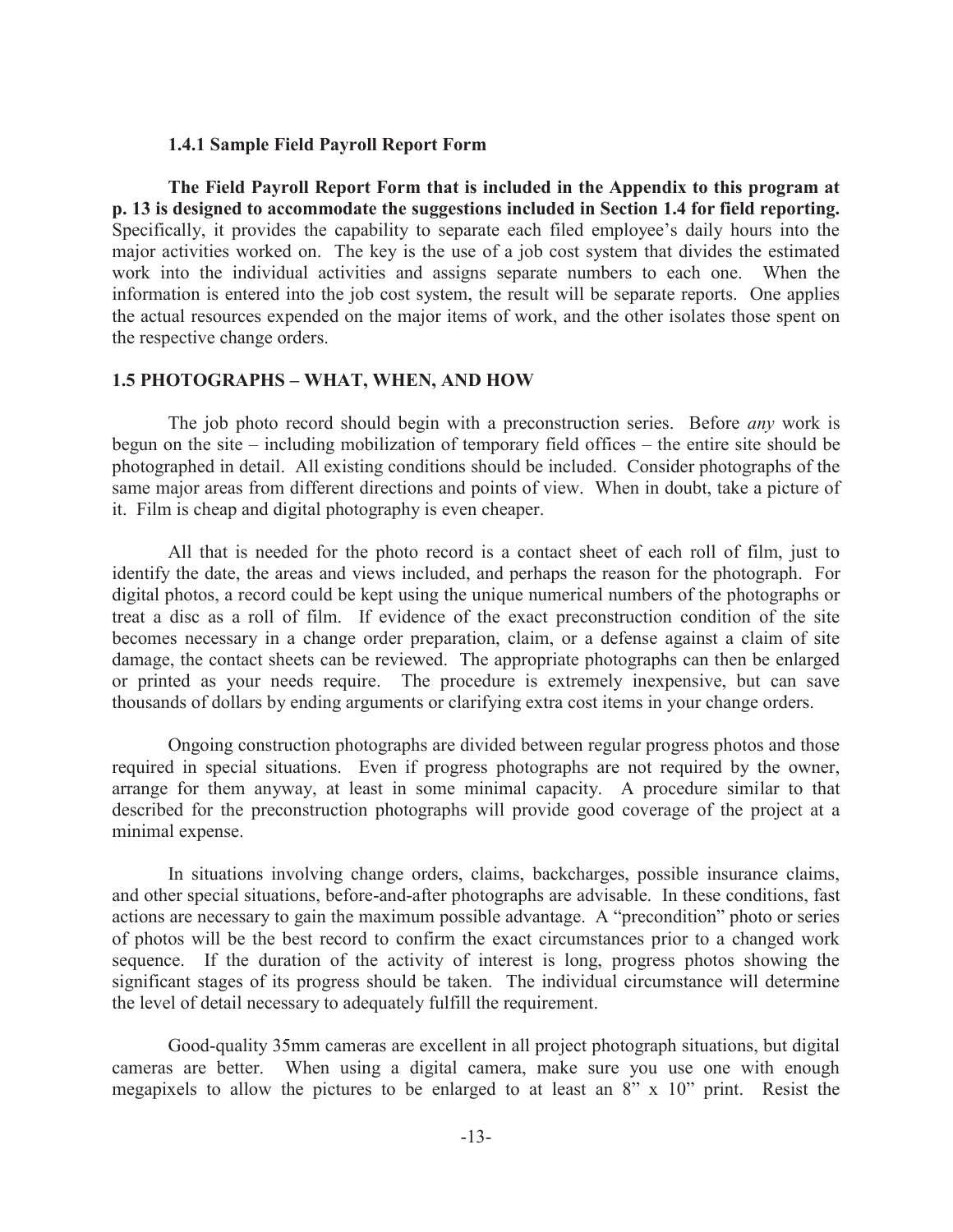### **1.4.1 Sample Field Payroll Report Form**

**The Field Payroll Report Form that is included in the Appendix to this program at p. 13 is designed to accommodate the suggestions included in Section 1.4 for field reporting.**  Specifically, it provides the capability to separate each filed employee's daily hours into the major activities worked on. The key is the use of a job cost system that divides the estimated work into the individual activities and assigns separate numbers to each one. When the information is entered into the job cost system, the result will be separate reports. One applies the actual resources expended on the major items of work, and the other isolates those spent on the respective change orders.

## **1.5 PHOTOGRAPHS – WHAT, WHEN, AND HOW**

The job photo record should begin with a preconstruction series. Before *any* work is begun on the site – including mobilization of temporary field offices – the entire site should be photographed in detail. All existing conditions should be included. Consider photographs of the same major areas from different directions and points of view. When in doubt, take a picture of it. Film is cheap and digital photography is even cheaper.

All that is needed for the photo record is a contact sheet of each roll of film, just to identify the date, the areas and views included, and perhaps the reason for the photograph. For digital photos, a record could be kept using the unique numerical numbers of the photographs or treat a disc as a roll of film. If evidence of the exact preconstruction condition of the site becomes necessary in a change order preparation, claim, or a defense against a claim of site damage, the contact sheets can be reviewed. The appropriate photographs can then be enlarged or printed as your needs require. The procedure is extremely inexpensive, but can save thousands of dollars by ending arguments or clarifying extra cost items in your change orders.

Ongoing construction photographs are divided between regular progress photos and those required in special situations. Even if progress photographs are not required by the owner, arrange for them anyway, at least in some minimal capacity. A procedure similar to that described for the preconstruction photographs will provide good coverage of the project at a minimal expense.

In situations involving change orders, claims, backcharges, possible insurance claims, and other special situations, before-and-after photographs are advisable. In these conditions, fast actions are necessary to gain the maximum possible advantage. A "precondition" photo or series of photos will be the best record to confirm the exact circumstances prior to a changed work sequence. If the duration of the activity of interest is long, progress photos showing the significant stages of its progress should be taken. The individual circumstance will determine the level of detail necessary to adequately fulfill the requirement.

Good-quality 35mm cameras are excellent in all project photograph situations, but digital cameras are better. When using a digital camera, make sure you use one with enough megapixels to allow the pictures to be enlarged to at least an 8" x 10" print. Resist the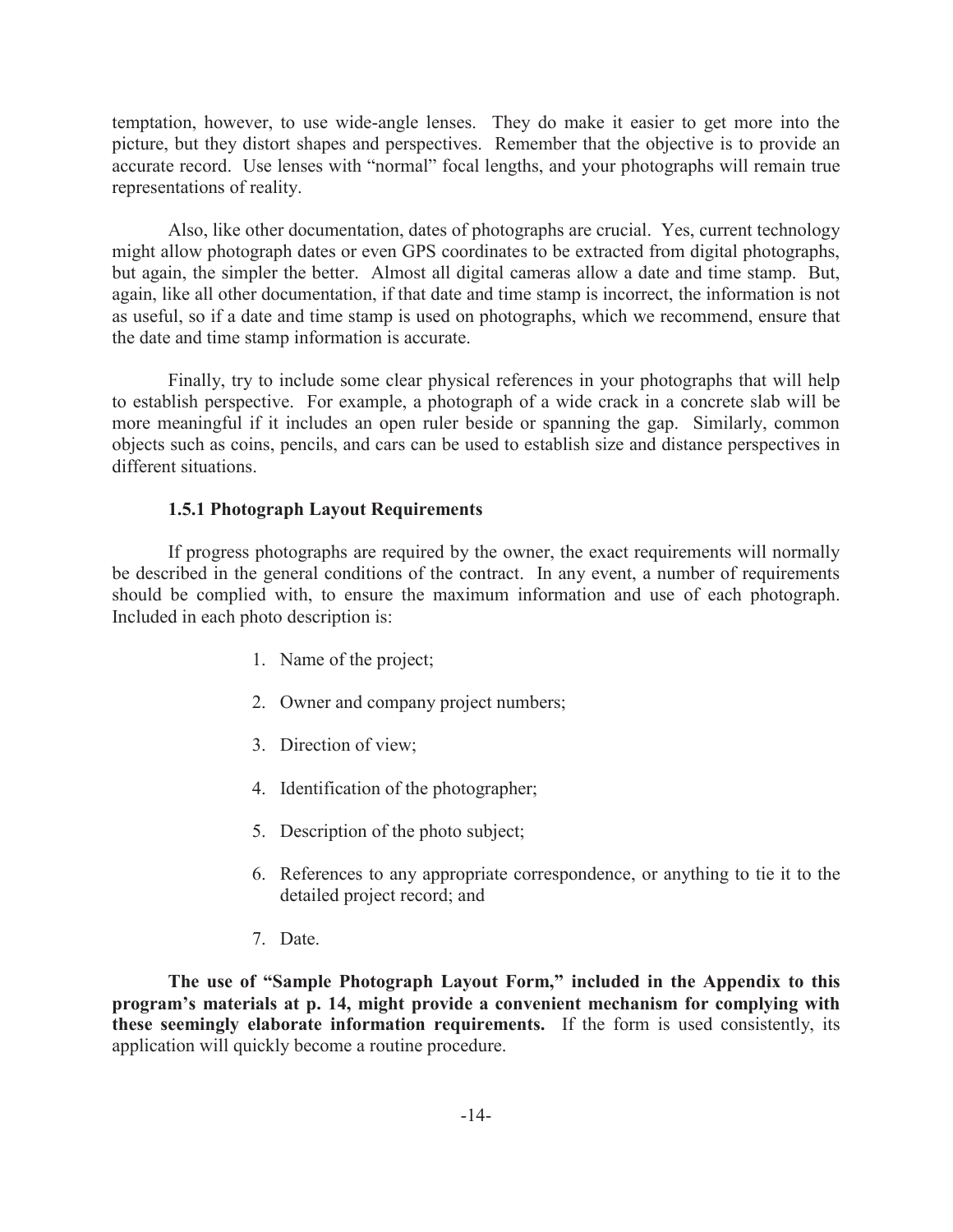temptation, however, to use wide-angle lenses. They do make it easier to get more into the picture, but they distort shapes and perspectives. Remember that the objective is to provide an accurate record. Use lenses with "normal" focal lengths, and your photographs will remain true representations of reality.

Also, like other documentation, dates of photographs are crucial. Yes, current technology might allow photograph dates or even GPS coordinates to be extracted from digital photographs, but again, the simpler the better. Almost all digital cameras allow a date and time stamp. But, again, like all other documentation, if that date and time stamp is incorrect, the information is not as useful, so if a date and time stamp is used on photographs, which we recommend, ensure that the date and time stamp information is accurate.

Finally, try to include some clear physical references in your photographs that will help to establish perspective. For example, a photograph of a wide crack in a concrete slab will be more meaningful if it includes an open ruler beside or spanning the gap. Similarly, common objects such as coins, pencils, and cars can be used to establish size and distance perspectives in different situations.

## **1.5.1 Photograph Layout Requirements**

If progress photographs are required by the owner, the exact requirements will normally be described in the general conditions of the contract. In any event, a number of requirements should be complied with, to ensure the maximum information and use of each photograph. Included in each photo description is:

- 1. Name of the project;
- 2. Owner and company project numbers;
- 3. Direction of view;
- 4. Identification of the photographer;
- 5. Description of the photo subject;
- 6. References to any appropriate correspondence, or anything to tie it to the detailed project record; and
- 7. Date.

**The use of "Sample Photograph Layout Form," included in the Appendix to this program's materials at p. 14, might provide a convenient mechanism for complying with these seemingly elaborate information requirements.** If the form is used consistently, its application will quickly become a routine procedure.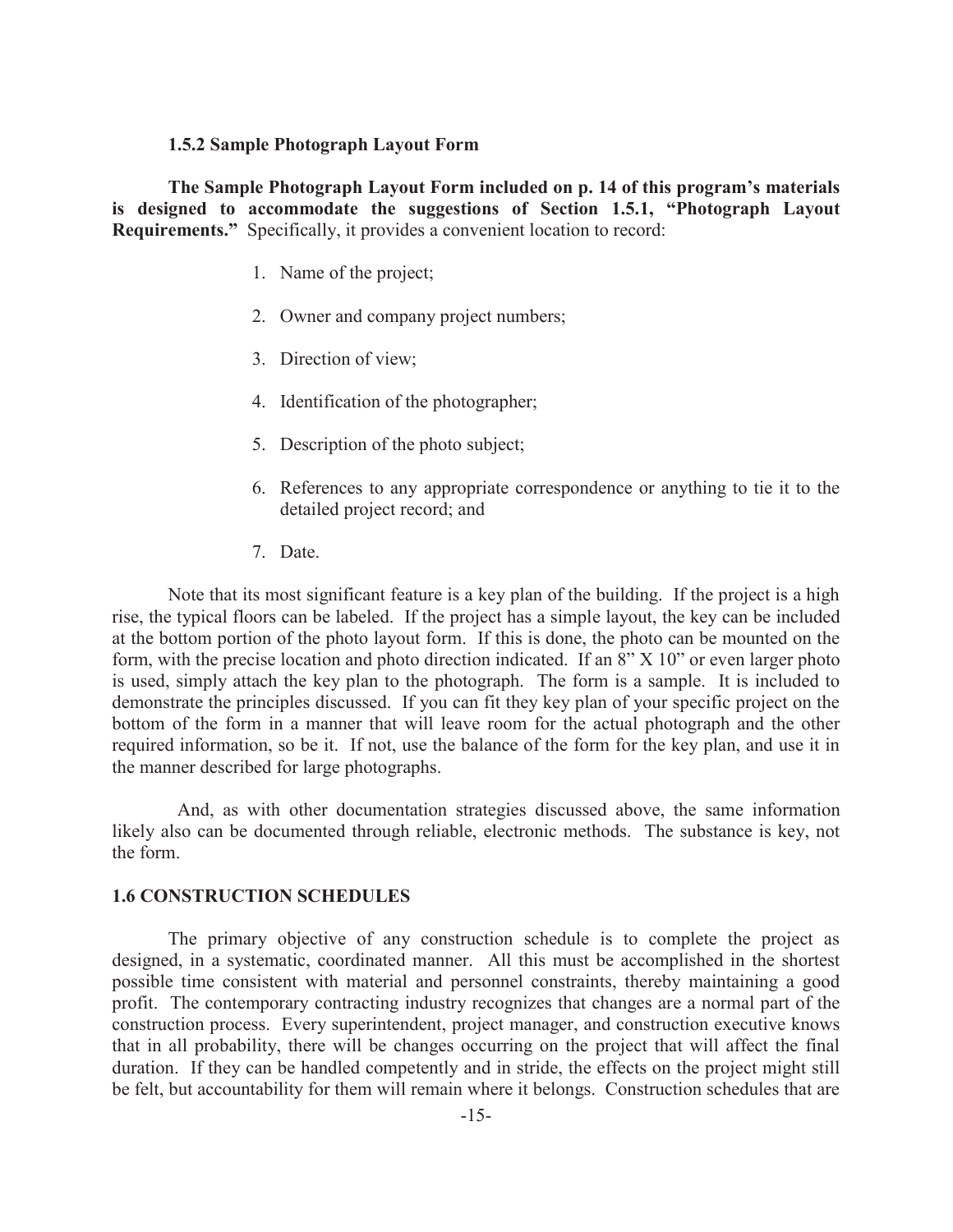### **1.5.2 Sample Photograph Layout Form**

**The Sample Photograph Layout Form included on p. 14 of this program's materials is designed to accommodate the suggestions of Section 1.5.1, "Photograph Layout Requirements."** Specifically, it provides a convenient location to record:

- 1. Name of the project;
- 2. Owner and company project numbers;
- 3. Direction of view;
- 4. Identification of the photographer;
- 5. Description of the photo subject;
- 6. References to any appropriate correspondence or anything to tie it to the detailed project record; and
- 7. Date.

Note that its most significant feature is a key plan of the building. If the project is a high rise, the typical floors can be labeled. If the project has a simple layout, the key can be included at the bottom portion of the photo layout form. If this is done, the photo can be mounted on the form, with the precise location and photo direction indicated. If an 8" X 10" or even larger photo is used, simply attach the key plan to the photograph. The form is a sample. It is included to demonstrate the principles discussed. If you can fit they key plan of your specific project on the bottom of the form in a manner that will leave room for the actual photograph and the other required information, so be it. If not, use the balance of the form for the key plan, and use it in the manner described for large photographs.

 And, as with other documentation strategies discussed above, the same information likely also can be documented through reliable, electronic methods. The substance is key, not the form.

#### **1.6 CONSTRUCTION SCHEDULES**

The primary objective of any construction schedule is to complete the project as designed, in a systematic, coordinated manner. All this must be accomplished in the shortest possible time consistent with material and personnel constraints, thereby maintaining a good profit. The contemporary contracting industry recognizes that changes are a normal part of the construction process. Every superintendent, project manager, and construction executive knows that in all probability, there will be changes occurring on the project that will affect the final duration. If they can be handled competently and in stride, the effects on the project might still be felt, but accountability for them will remain where it belongs. Construction schedules that are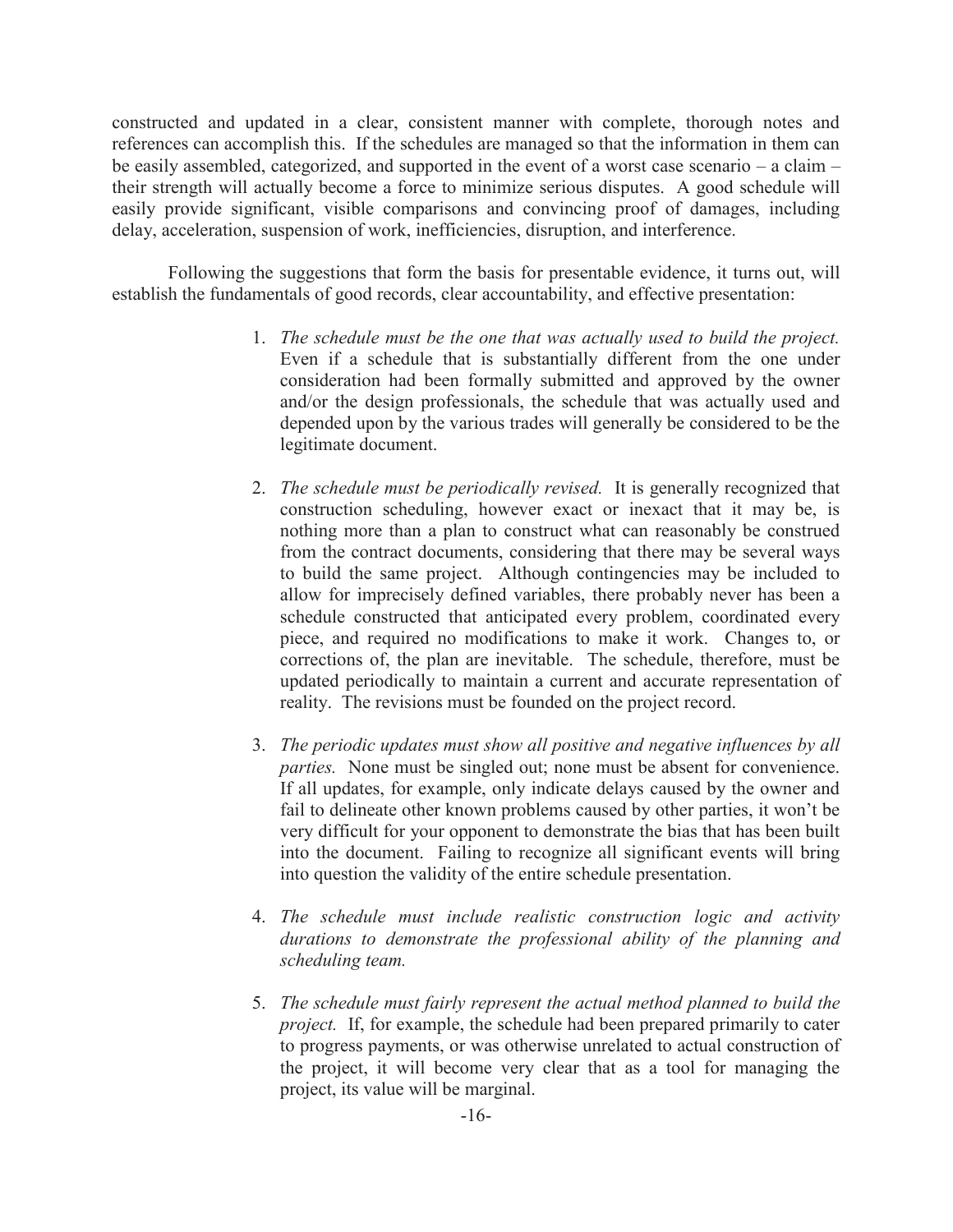constructed and updated in a clear, consistent manner with complete, thorough notes and references can accomplish this. If the schedules are managed so that the information in them can be easily assembled, categorized, and supported in the event of a worst case scenario – a claim – their strength will actually become a force to minimize serious disputes. A good schedule will easily provide significant, visible comparisons and convincing proof of damages, including delay, acceleration, suspension of work, inefficiencies, disruption, and interference.

Following the suggestions that form the basis for presentable evidence, it turns out, will establish the fundamentals of good records, clear accountability, and effective presentation:

- 1. *The schedule must be the one that was actually used to build the project.* Even if a schedule that is substantially different from the one under consideration had been formally submitted and approved by the owner and/or the design professionals, the schedule that was actually used and depended upon by the various trades will generally be considered to be the legitimate document.
- 2. *The schedule must be periodically revised.* It is generally recognized that construction scheduling, however exact or inexact that it may be, is nothing more than a plan to construct what can reasonably be construed from the contract documents, considering that there may be several ways to build the same project. Although contingencies may be included to allow for imprecisely defined variables, there probably never has been a schedule constructed that anticipated every problem, coordinated every piece, and required no modifications to make it work. Changes to, or corrections of, the plan are inevitable. The schedule, therefore, must be updated periodically to maintain a current and accurate representation of reality. The revisions must be founded on the project record.
- 3. *The periodic updates must show all positive and negative influences by all parties.* None must be singled out; none must be absent for convenience. If all updates, for example, only indicate delays caused by the owner and fail to delineate other known problems caused by other parties, it won't be very difficult for your opponent to demonstrate the bias that has been built into the document. Failing to recognize all significant events will bring into question the validity of the entire schedule presentation.
- 4. *The schedule must include realistic construction logic and activity durations to demonstrate the professional ability of the planning and scheduling team.*
- 5. *The schedule must fairly represent the actual method planned to build the project.* If, for example, the schedule had been prepared primarily to cater to progress payments, or was otherwise unrelated to actual construction of the project, it will become very clear that as a tool for managing the project, its value will be marginal.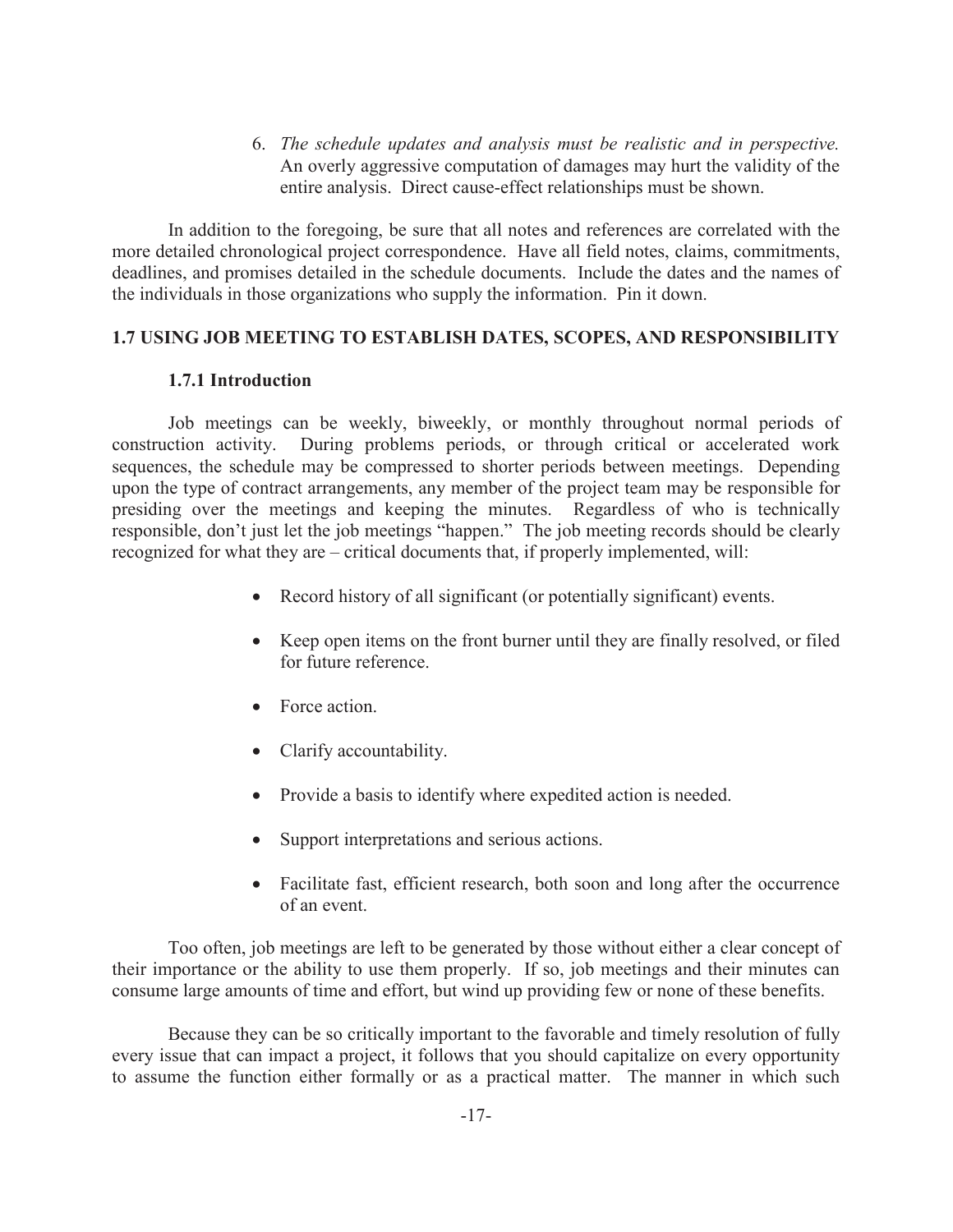6. *The schedule updates and analysis must be realistic and in perspective.* An overly aggressive computation of damages may hurt the validity of the entire analysis. Direct cause-effect relationships must be shown.

In addition to the foregoing, be sure that all notes and references are correlated with the more detailed chronological project correspondence. Have all field notes, claims, commitments, deadlines, and promises detailed in the schedule documents. Include the dates and the names of the individuals in those organizations who supply the information. Pin it down.

## **1.7 USING JOB MEETING TO ESTABLISH DATES, SCOPES, AND RESPONSIBILITY**

## **1.7.1 Introduction**

Job meetings can be weekly, biweekly, or monthly throughout normal periods of construction activity. During problems periods, or through critical or accelerated work sequences, the schedule may be compressed to shorter periods between meetings. Depending upon the type of contract arrangements, any member of the project team may be responsible for presiding over the meetings and keeping the minutes. Regardless of who is technically responsible, don't just let the job meetings "happen." The job meeting records should be clearly recognized for what they are – critical documents that, if properly implemented, will:

- Record history of all significant (or potentially significant) events.
- · Keep open items on the front burner until they are finally resolved, or filed for future reference.
- Force action.
- Clarify accountability.
- · Provide a basis to identify where expedited action is needed.
- Support interpretations and serious actions.
- Facilitate fast, efficient research, both soon and long after the occurrence of an event.

Too often, job meetings are left to be generated by those without either a clear concept of their importance or the ability to use them properly. If so, job meetings and their minutes can consume large amounts of time and effort, but wind up providing few or none of these benefits.

Because they can be so critically important to the favorable and timely resolution of fully every issue that can impact a project, it follows that you should capitalize on every opportunity to assume the function either formally or as a practical matter. The manner in which such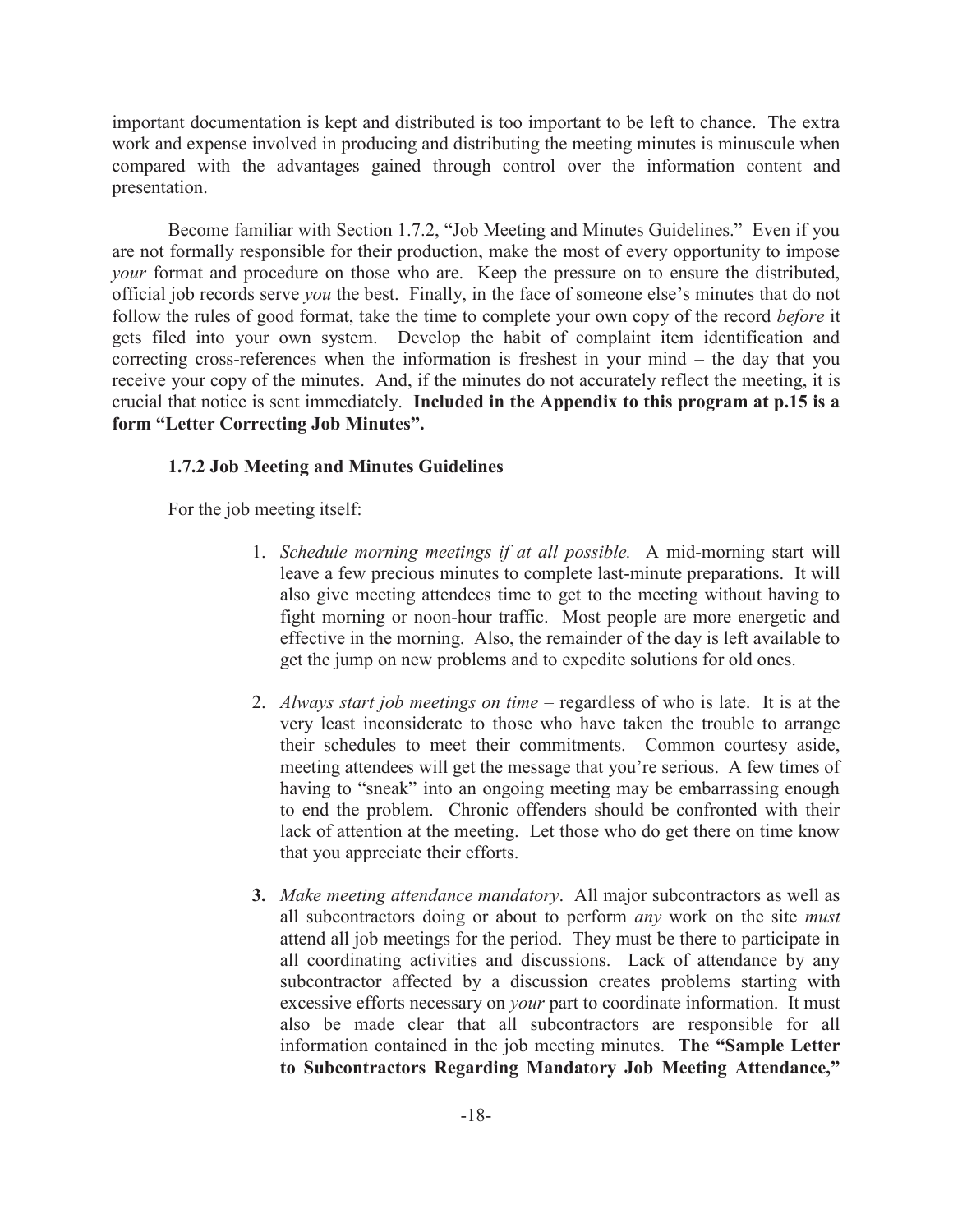important documentation is kept and distributed is too important to be left to chance. The extra work and expense involved in producing and distributing the meeting minutes is minuscule when compared with the advantages gained through control over the information content and presentation.

Become familiar with Section 1.7.2, "Job Meeting and Minutes Guidelines." Even if you are not formally responsible for their production, make the most of every opportunity to impose *your* format and procedure on those who are. Keep the pressure on to ensure the distributed, official job records serve *you* the best. Finally, in the face of someone else's minutes that do not follow the rules of good format, take the time to complete your own copy of the record *before* it gets filed into your own system. Develop the habit of complaint item identification and correcting cross-references when the information is freshest in your mind – the day that you receive your copy of the minutes. And, if the minutes do not accurately reflect the meeting, it is crucial that notice is sent immediately. **Included in the Appendix to this program at p.15 is a form "Letter Correcting Job Minutes".**

## **1.7.2 Job Meeting and Minutes Guidelines**

For the job meeting itself:

- 1. *Schedule morning meetings if at all possible.* A mid-morning start will leave a few precious minutes to complete last-minute preparations. It will also give meeting attendees time to get to the meeting without having to fight morning or noon-hour traffic. Most people are more energetic and effective in the morning. Also, the remainder of the day is left available to get the jump on new problems and to expedite solutions for old ones.
- 2. *Always start job meetings on time* regardless of who is late. It is at the very least inconsiderate to those who have taken the trouble to arrange their schedules to meet their commitments. Common courtesy aside, meeting attendees will get the message that you're serious. A few times of having to "sneak" into an ongoing meeting may be embarrassing enough to end the problem. Chronic offenders should be confronted with their lack of attention at the meeting. Let those who do get there on time know that you appreciate their efforts.
- **3.** *Make meeting attendance mandatory*. All major subcontractors as well as all subcontractors doing or about to perform *any* work on the site *must* attend all job meetings for the period. They must be there to participate in all coordinating activities and discussions. Lack of attendance by any subcontractor affected by a discussion creates problems starting with excessive efforts necessary on *your* part to coordinate information. It must also be made clear that all subcontractors are responsible for all information contained in the job meeting minutes. **The "Sample Letter to Subcontractors Regarding Mandatory Job Meeting Attendance,"**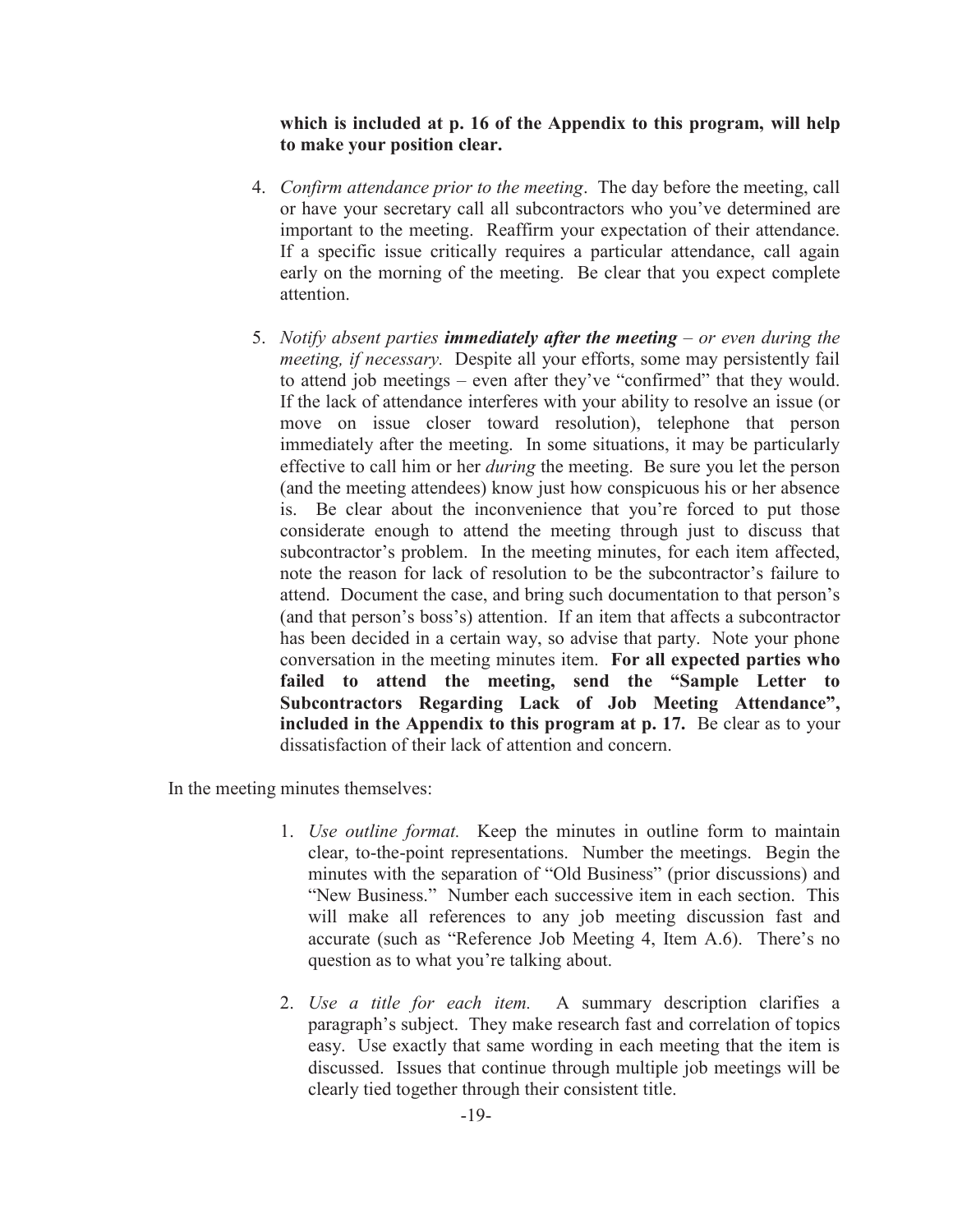## **which is included at p. 16 of the Appendix to this program, will help to make your position clear.**

- 4. *Confirm attendance prior to the meeting*. The day before the meeting, call or have your secretary call all subcontractors who you've determined are important to the meeting. Reaffirm your expectation of their attendance. If a specific issue critically requires a particular attendance, call again early on the morning of the meeting. Be clear that you expect complete attention.
- 5. *Notify absent parties immediately after the meeting – or even during the meeting, if necessary.* Despite all your efforts, some may persistently fail to attend job meetings – even after they've "confirmed" that they would. If the lack of attendance interferes with your ability to resolve an issue (or move on issue closer toward resolution), telephone that person immediately after the meeting. In some situations, it may be particularly effective to call him or her *during* the meeting. Be sure you let the person (and the meeting attendees) know just how conspicuous his or her absence is. Be clear about the inconvenience that you're forced to put those considerate enough to attend the meeting through just to discuss that subcontractor's problem. In the meeting minutes, for each item affected, note the reason for lack of resolution to be the subcontractor's failure to attend. Document the case, and bring such documentation to that person's (and that person's boss's) attention. If an item that affects a subcontractor has been decided in a certain way, so advise that party. Note your phone conversation in the meeting minutes item. **For all expected parties who failed to attend the meeting, send the "Sample Letter to Subcontractors Regarding Lack of Job Meeting Attendance", included in the Appendix to this program at p. 17.** Be clear as to your dissatisfaction of their lack of attention and concern.

In the meeting minutes themselves:

- 1. *Use outline format.* Keep the minutes in outline form to maintain clear, to-the-point representations. Number the meetings. Begin the minutes with the separation of "Old Business" (prior discussions) and "New Business." Number each successive item in each section. This will make all references to any job meeting discussion fast and accurate (such as "Reference Job Meeting 4, Item A.6). There's no question as to what you're talking about.
- 2. *Use a title for each item.* A summary description clarifies a paragraph's subject. They make research fast and correlation of topics easy. Use exactly that same wording in each meeting that the item is discussed. Issues that continue through multiple job meetings will be clearly tied together through their consistent title.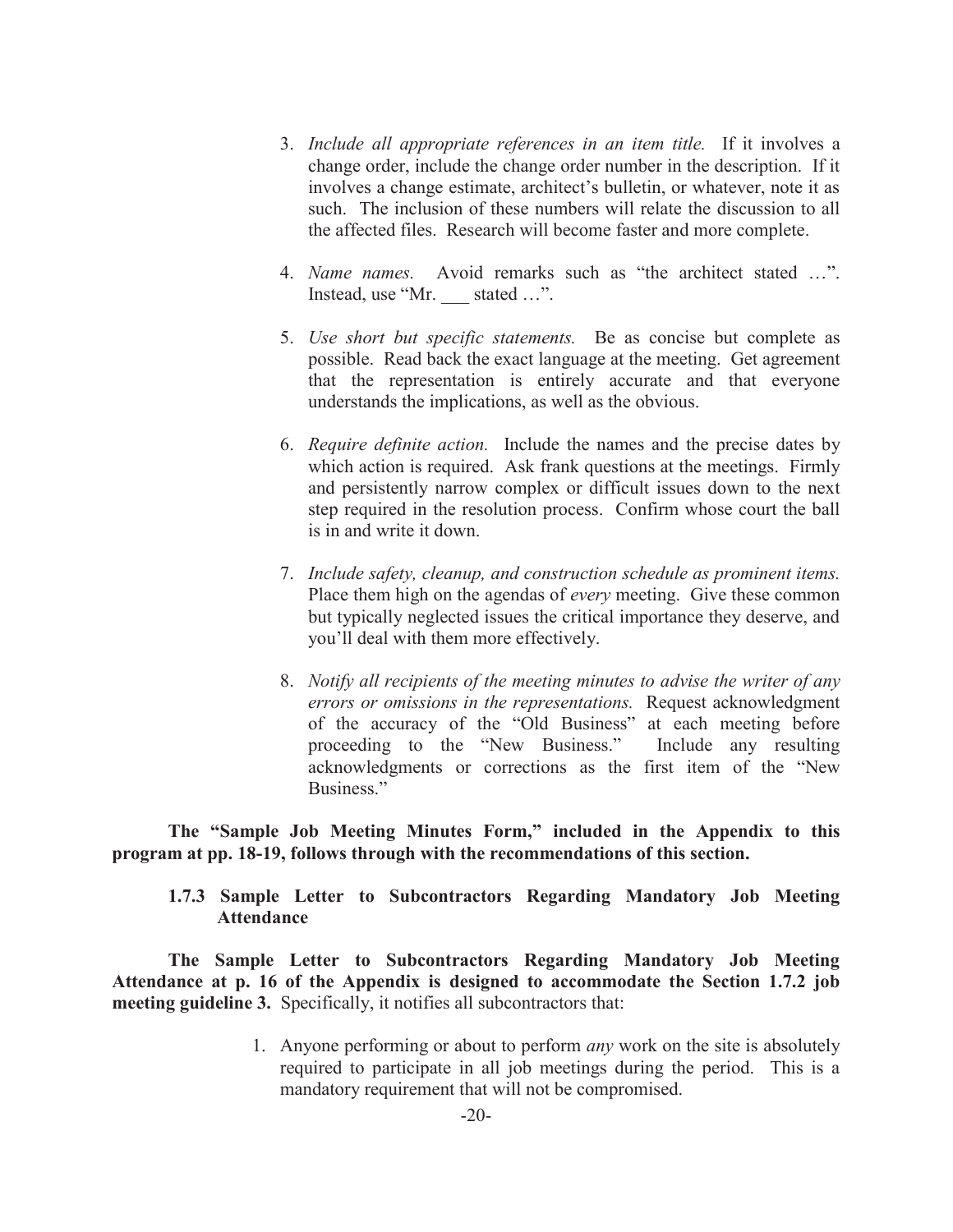- 3. *Include all appropriate references in an item title.* If it involves a change order, include the change order number in the description. If it involves a change estimate, architect's bulletin, or whatever, note it as such. The inclusion of these numbers will relate the discussion to all the affected files. Research will become faster and more complete.
- 4. *Name names.* Avoid remarks such as "the architect stated …". Instead, use "Mr. stated ...".
- 5. *Use short but specific statements.* Be as concise but complete as possible. Read back the exact language at the meeting. Get agreement that the representation is entirely accurate and that everyone understands the implications, as well as the obvious.
- 6. *Require definite action.* Include the names and the precise dates by which action is required. Ask frank questions at the meetings. Firmly and persistently narrow complex or difficult issues down to the next step required in the resolution process. Confirm whose court the ball is in and write it down.
- 7. *Include safety, cleanup, and construction schedule as prominent items.*  Place them high on the agendas of *every* meeting. Give these common but typically neglected issues the critical importance they deserve, and you'll deal with them more effectively.
- 8. *Notify all recipients of the meeting minutes to advise the writer of any errors or omissions in the representations.* Request acknowledgment of the accuracy of the "Old Business" at each meeting before proceeding to the "New Business." Include any resulting acknowledgments or corrections as the first item of the "New Business."

**The "Sample Job Meeting Minutes Form," included in the Appendix to this program at pp. 18-19, follows through with the recommendations of this section.** 

**1.7.3 Sample Letter to Subcontractors Regarding Mandatory Job Meeting Attendance** 

**The Sample Letter to Subcontractors Regarding Mandatory Job Meeting Attendance at p. 16 of the Appendix is designed to accommodate the Section 1.7.2 job meeting guideline 3.** Specifically, it notifies all subcontractors that:

> 1. Anyone performing or about to perform *any* work on the site is absolutely required to participate in all job meetings during the period. This is a mandatory requirement that will not be compromised.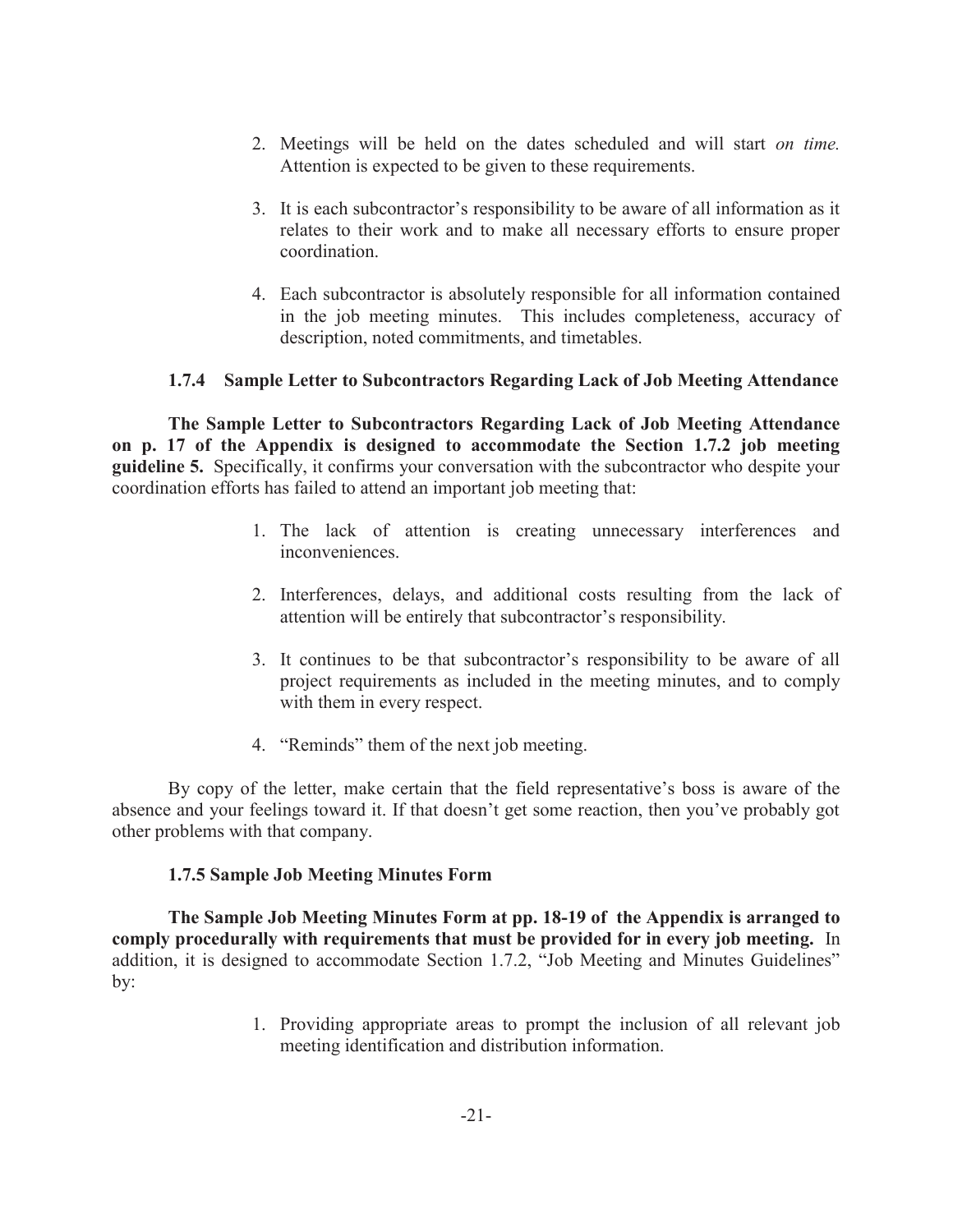- 2. Meetings will be held on the dates scheduled and will start *on time.* Attention is expected to be given to these requirements.
- 3. It is each subcontractor's responsibility to be aware of all information as it relates to their work and to make all necessary efforts to ensure proper coordination.
- 4. Each subcontractor is absolutely responsible for all information contained in the job meeting minutes. This includes completeness, accuracy of description, noted commitments, and timetables.

## **1.7.4 Sample Letter to Subcontractors Regarding Lack of Job Meeting Attendance**

**The Sample Letter to Subcontractors Regarding Lack of Job Meeting Attendance on p. 17 of the Appendix is designed to accommodate the Section 1.7.2 job meeting guideline 5.** Specifically, it confirms your conversation with the subcontractor who despite your coordination efforts has failed to attend an important job meeting that:

- 1. The lack of attention is creating unnecessary interferences and inconveniences.
- 2. Interferences, delays, and additional costs resulting from the lack of attention will be entirely that subcontractor's responsibility.
- 3. It continues to be that subcontractor's responsibility to be aware of all project requirements as included in the meeting minutes, and to comply with them in every respect.
- 4. "Reminds" them of the next job meeting.

By copy of the letter, make certain that the field representative's boss is aware of the absence and your feelings toward it. If that doesn't get some reaction, then you've probably got other problems with that company.

## **1.7.5 Sample Job Meeting Minutes Form**

**The Sample Job Meeting Minutes Form at pp. 18-19 of the Appendix is arranged to comply procedurally with requirements that must be provided for in every job meeting.** In addition, it is designed to accommodate Section 1.7.2, "Job Meeting and Minutes Guidelines" by:

> 1. Providing appropriate areas to prompt the inclusion of all relevant job meeting identification and distribution information.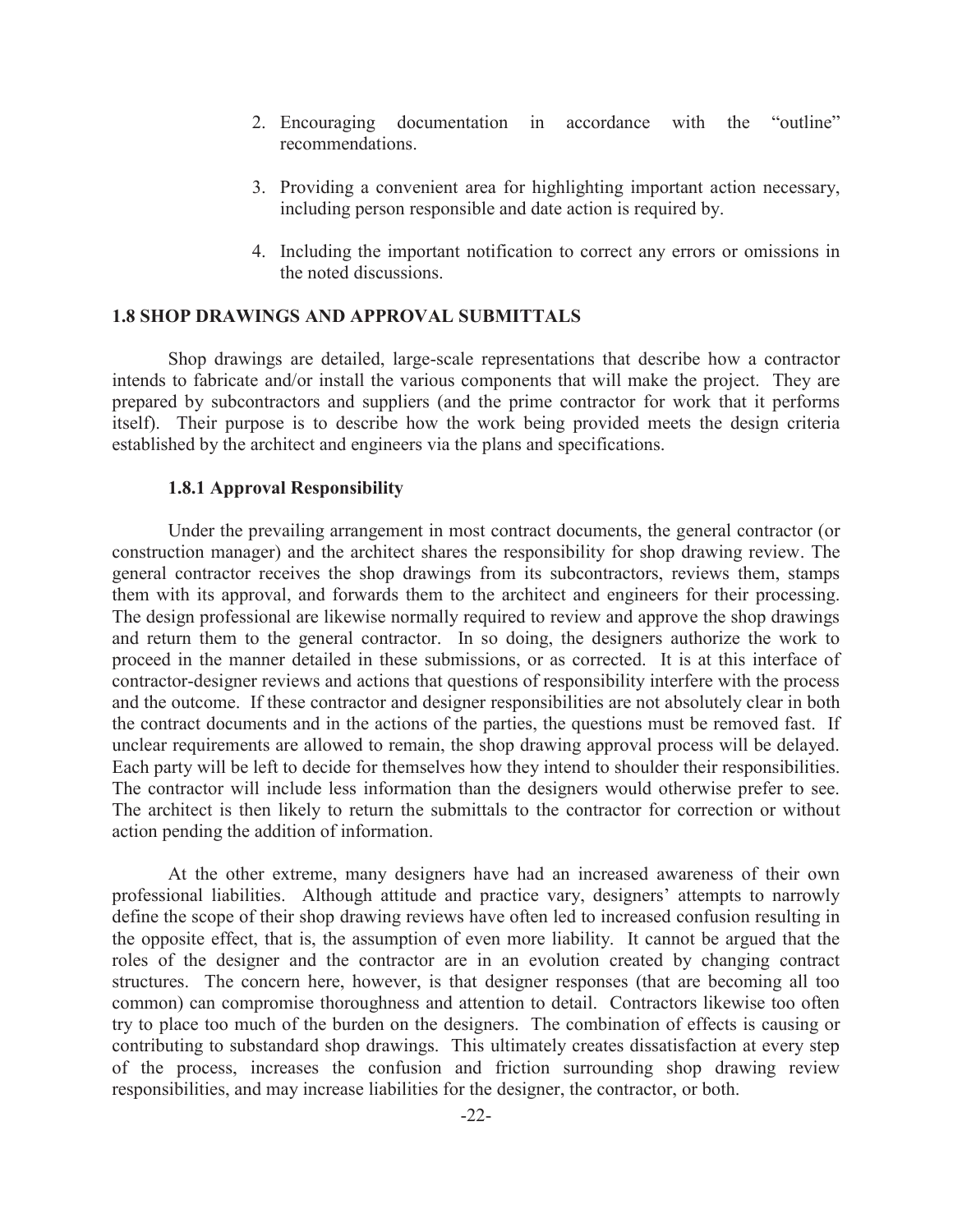- 2. Encouraging documentation in accordance with the "outline" recommendations.
- 3. Providing a convenient area for highlighting important action necessary, including person responsible and date action is required by.
- 4. Including the important notification to correct any errors or omissions in the noted discussions.

### **1.8 SHOP DRAWINGS AND APPROVAL SUBMITTALS**

Shop drawings are detailed, large-scale representations that describe how a contractor intends to fabricate and/or install the various components that will make the project. They are prepared by subcontractors and suppliers (and the prime contractor for work that it performs itself). Their purpose is to describe how the work being provided meets the design criteria established by the architect and engineers via the plans and specifications.

### **1.8.1 Approval Responsibility**

Under the prevailing arrangement in most contract documents, the general contractor (or construction manager) and the architect shares the responsibility for shop drawing review. The general contractor receives the shop drawings from its subcontractors, reviews them, stamps them with its approval, and forwards them to the architect and engineers for their processing. The design professional are likewise normally required to review and approve the shop drawings and return them to the general contractor. In so doing, the designers authorize the work to proceed in the manner detailed in these submissions, or as corrected. It is at this interface of contractor-designer reviews and actions that questions of responsibility interfere with the process and the outcome. If these contractor and designer responsibilities are not absolutely clear in both the contract documents and in the actions of the parties, the questions must be removed fast. If unclear requirements are allowed to remain, the shop drawing approval process will be delayed. Each party will be left to decide for themselves how they intend to shoulder their responsibilities. The contractor will include less information than the designers would otherwise prefer to see. The architect is then likely to return the submittals to the contractor for correction or without action pending the addition of information.

At the other extreme, many designers have had an increased awareness of their own professional liabilities. Although attitude and practice vary, designers' attempts to narrowly define the scope of their shop drawing reviews have often led to increased confusion resulting in the opposite effect, that is, the assumption of even more liability. It cannot be argued that the roles of the designer and the contractor are in an evolution created by changing contract structures. The concern here, however, is that designer responses (that are becoming all too common) can compromise thoroughness and attention to detail. Contractors likewise too often try to place too much of the burden on the designers. The combination of effects is causing or contributing to substandard shop drawings. This ultimately creates dissatisfaction at every step of the process, increases the confusion and friction surrounding shop drawing review responsibilities, and may increase liabilities for the designer, the contractor, or both.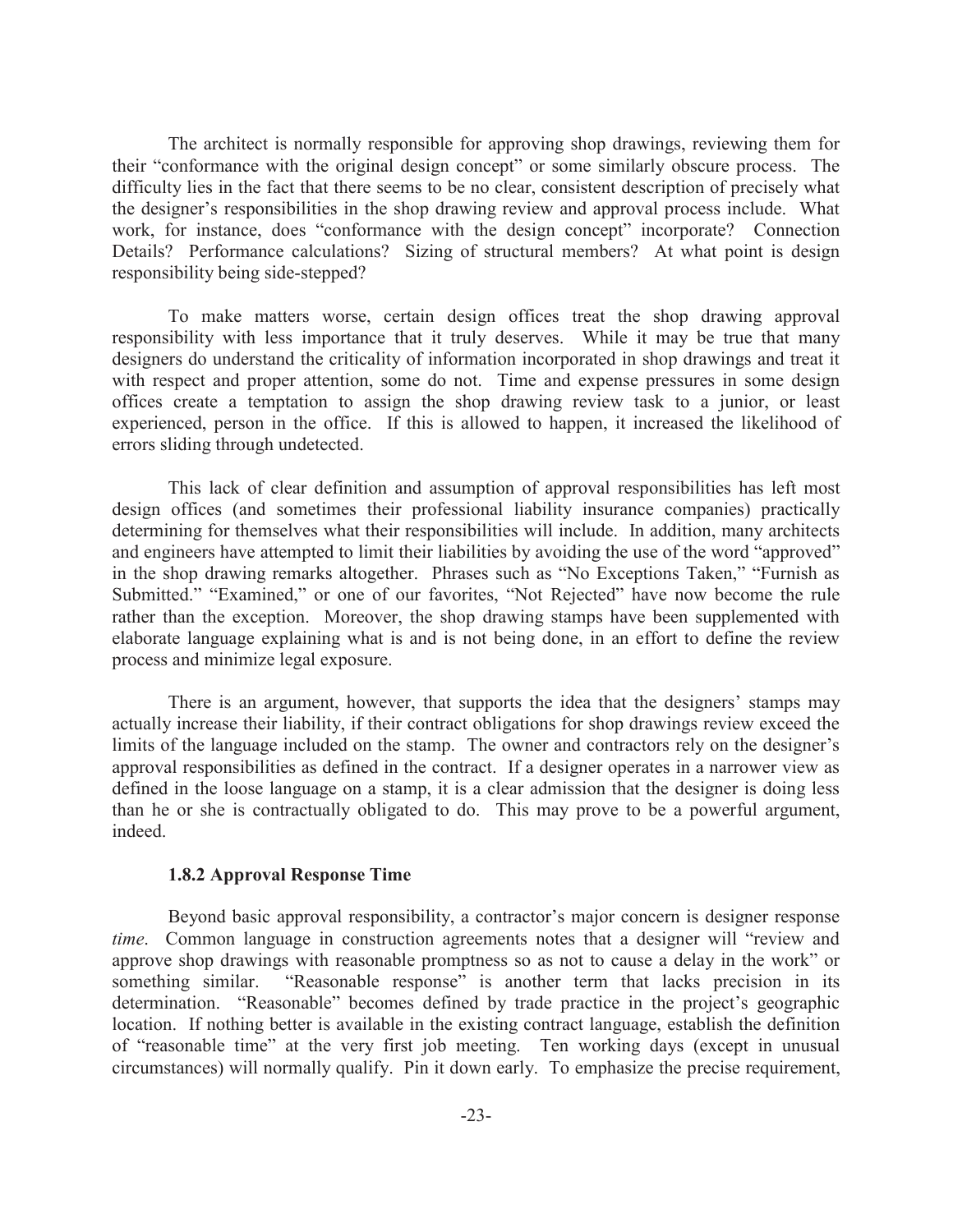The architect is normally responsible for approving shop drawings, reviewing them for their "conformance with the original design concept" or some similarly obscure process. The difficulty lies in the fact that there seems to be no clear, consistent description of precisely what the designer's responsibilities in the shop drawing review and approval process include. What work, for instance, does "conformance with the design concept" incorporate? Connection Details? Performance calculations? Sizing of structural members? At what point is design responsibility being side-stepped?

To make matters worse, certain design offices treat the shop drawing approval responsibility with less importance that it truly deserves. While it may be true that many designers do understand the criticality of information incorporated in shop drawings and treat it with respect and proper attention, some do not. Time and expense pressures in some design offices create a temptation to assign the shop drawing review task to a junior, or least experienced, person in the office. If this is allowed to happen, it increased the likelihood of errors sliding through undetected.

This lack of clear definition and assumption of approval responsibilities has left most design offices (and sometimes their professional liability insurance companies) practically determining for themselves what their responsibilities will include. In addition, many architects and engineers have attempted to limit their liabilities by avoiding the use of the word "approved" in the shop drawing remarks altogether. Phrases such as "No Exceptions Taken," "Furnish as Submitted." "Examined," or one of our favorites, "Not Rejected" have now become the rule rather than the exception. Moreover, the shop drawing stamps have been supplemented with elaborate language explaining what is and is not being done, in an effort to define the review process and minimize legal exposure.

There is an argument, however, that supports the idea that the designers' stamps may actually increase their liability, if their contract obligations for shop drawings review exceed the limits of the language included on the stamp. The owner and contractors rely on the designer's approval responsibilities as defined in the contract. If a designer operates in a narrower view as defined in the loose language on a stamp, it is a clear admission that the designer is doing less than he or she is contractually obligated to do. This may prove to be a powerful argument, indeed.

## **1.8.2 Approval Response Time**

Beyond basic approval responsibility, a contractor's major concern is designer response *time*. Common language in construction agreements notes that a designer will "review and approve shop drawings with reasonable promptness so as not to cause a delay in the work" or something similar. "Reasonable response" is another term that lacks precision in its determination. "Reasonable" becomes defined by trade practice in the project's geographic location. If nothing better is available in the existing contract language, establish the definition of "reasonable time" at the very first job meeting. Ten working days (except in unusual circumstances) will normally qualify. Pin it down early. To emphasize the precise requirement,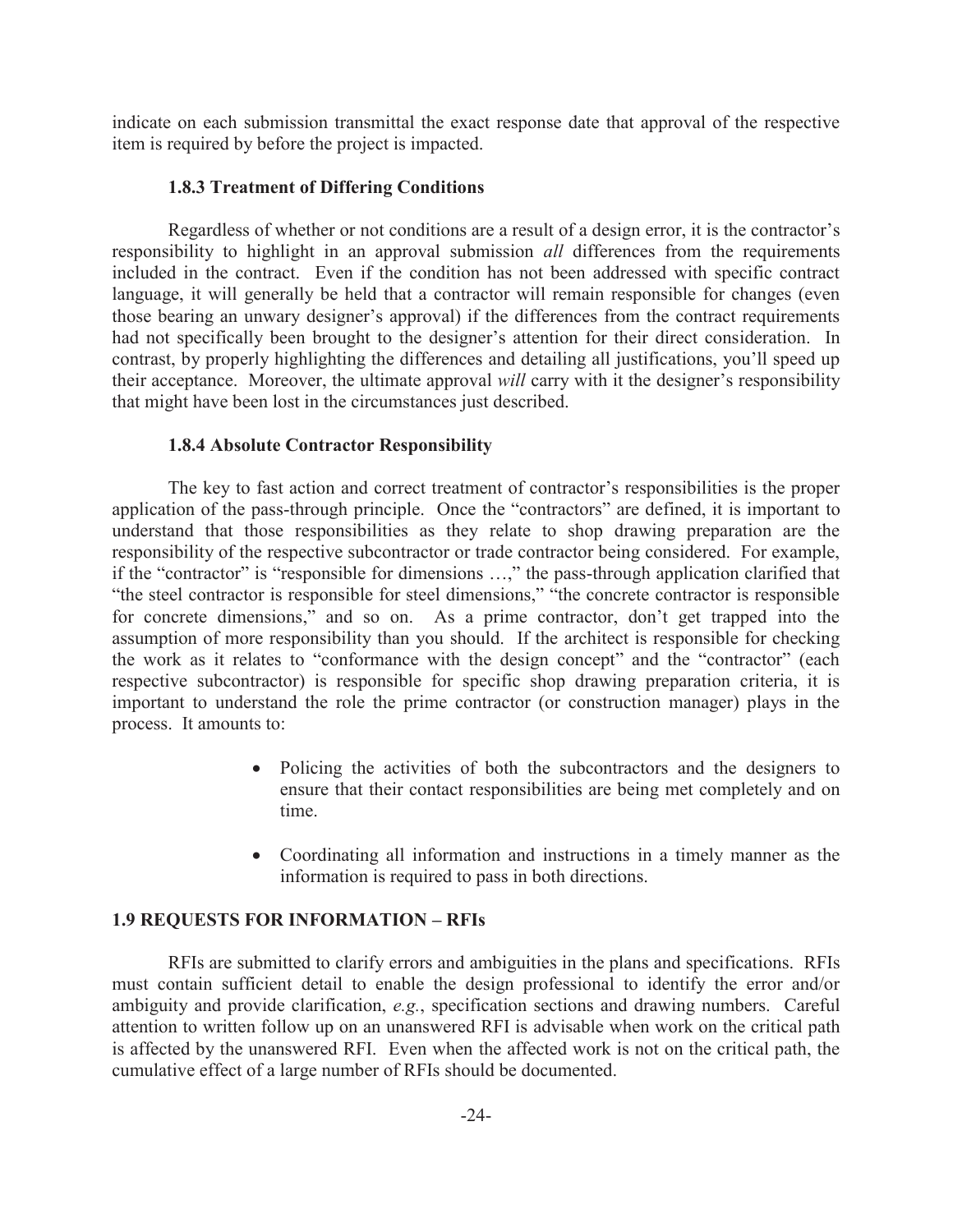indicate on each submission transmittal the exact response date that approval of the respective item is required by before the project is impacted.

## **1.8.3 Treatment of Differing Conditions**

Regardless of whether or not conditions are a result of a design error, it is the contractor's responsibility to highlight in an approval submission *all* differences from the requirements included in the contract. Even if the condition has not been addressed with specific contract language, it will generally be held that a contractor will remain responsible for changes (even those bearing an unwary designer's approval) if the differences from the contract requirements had not specifically been brought to the designer's attention for their direct consideration. In contrast, by properly highlighting the differences and detailing all justifications, you'll speed up their acceptance. Moreover, the ultimate approval *will* carry with it the designer's responsibility that might have been lost in the circumstances just described.

## **1.8.4 Absolute Contractor Responsibility**

The key to fast action and correct treatment of contractor's responsibilities is the proper application of the pass-through principle. Once the "contractors" are defined, it is important to understand that those responsibilities as they relate to shop drawing preparation are the responsibility of the respective subcontractor or trade contractor being considered. For example, if the "contractor" is "responsible for dimensions …," the pass-through application clarified that "the steel contractor is responsible for steel dimensions," "the concrete contractor is responsible for concrete dimensions," and so on. As a prime contractor, don't get trapped into the assumption of more responsibility than you should. If the architect is responsible for checking the work as it relates to "conformance with the design concept" and the "contractor" (each respective subcontractor) is responsible for specific shop drawing preparation criteria, it is important to understand the role the prime contractor (or construction manager) plays in the process. It amounts to:

- Policing the activities of both the subcontractors and the designers to ensure that their contact responsibilities are being met completely and on time.
- · Coordinating all information and instructions in a timely manner as the information is required to pass in both directions.

## **1.9 REQUESTS FOR INFORMATION – RFIs**

RFIs are submitted to clarify errors and ambiguities in the plans and specifications. RFIs must contain sufficient detail to enable the design professional to identify the error and/or ambiguity and provide clarification, *e.g.*, specification sections and drawing numbers. Careful attention to written follow up on an unanswered RFI is advisable when work on the critical path is affected by the unanswered RFI. Even when the affected work is not on the critical path, the cumulative effect of a large number of RFIs should be documented.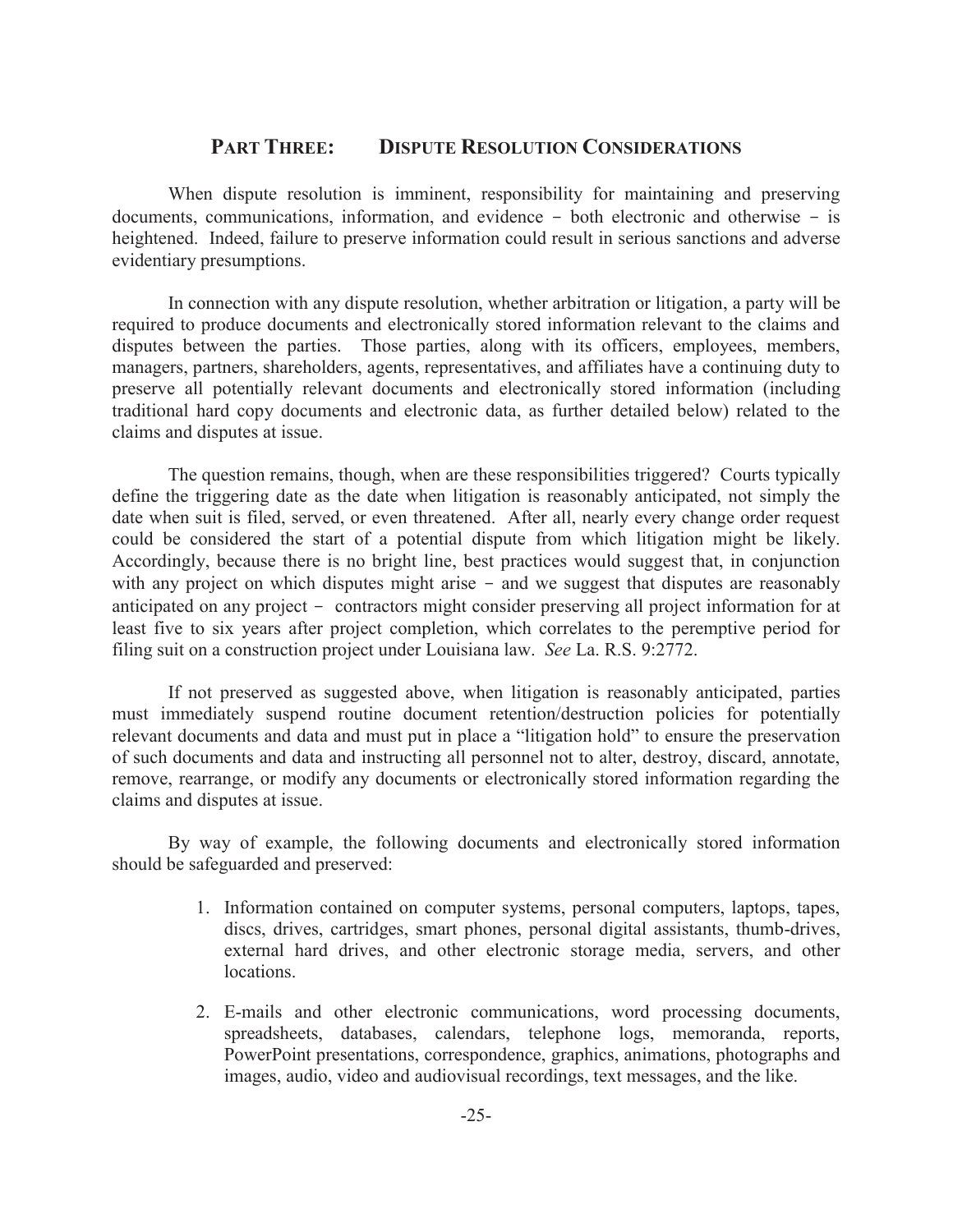## **PART THREE: DISPUTE RESOLUTION CONSIDERATIONS**

When dispute resolution is imminent, responsibility for maintaining and preserving documents, communications, information, and evidence - both electronic and otherwise - is heightened. Indeed, failure to preserve information could result in serious sanctions and adverse evidentiary presumptions.

In connection with any dispute resolution, whether arbitration or litigation, a party will be required to produce documents and electronically stored information relevant to the claims and disputes between the parties. Those parties, along with its officers, employees, members, managers, partners, shareholders, agents, representatives, and affiliates have a continuing duty to preserve all potentially relevant documents and electronically stored information (including traditional hard copy documents and electronic data, as further detailed below) related to the claims and disputes at issue.

The question remains, though, when are these responsibilities triggered? Courts typically define the triggering date as the date when litigation is reasonably anticipated, not simply the date when suit is filed, served, or even threatened. After all, nearly every change order request could be considered the start of a potential dispute from which litigation might be likely. Accordingly, because there is no bright line, best practices would suggest that, in conjunction with any project on which disputes might arise - and we suggest that disputes are reasonably anticipated on any project - contractors might consider preserving all project information for at least five to six years after project completion, which correlates to the peremptive period for filing suit on a construction project under Louisiana law. *See* La. R.S. 9:2772.

If not preserved as suggested above, when litigation is reasonably anticipated, parties must immediately suspend routine document retention/destruction policies for potentially relevant documents and data and must put in place a "litigation hold" to ensure the preservation of such documents and data and instructing all personnel not to alter, destroy, discard, annotate, remove, rearrange, or modify any documents or electronically stored information regarding the claims and disputes at issue.

By way of example, the following documents and electronically stored information should be safeguarded and preserved:

- 1. Information contained on computer systems, personal computers, laptops, tapes, discs, drives, cartridges, smart phones, personal digital assistants, thumb-drives, external hard drives, and other electronic storage media, servers, and other locations.
- 2. E-mails and other electronic communications, word processing documents, spreadsheets, databases, calendars, telephone logs, memoranda, reports, PowerPoint presentations, correspondence, graphics, animations, photographs and images, audio, video and audiovisual recordings, text messages, and the like.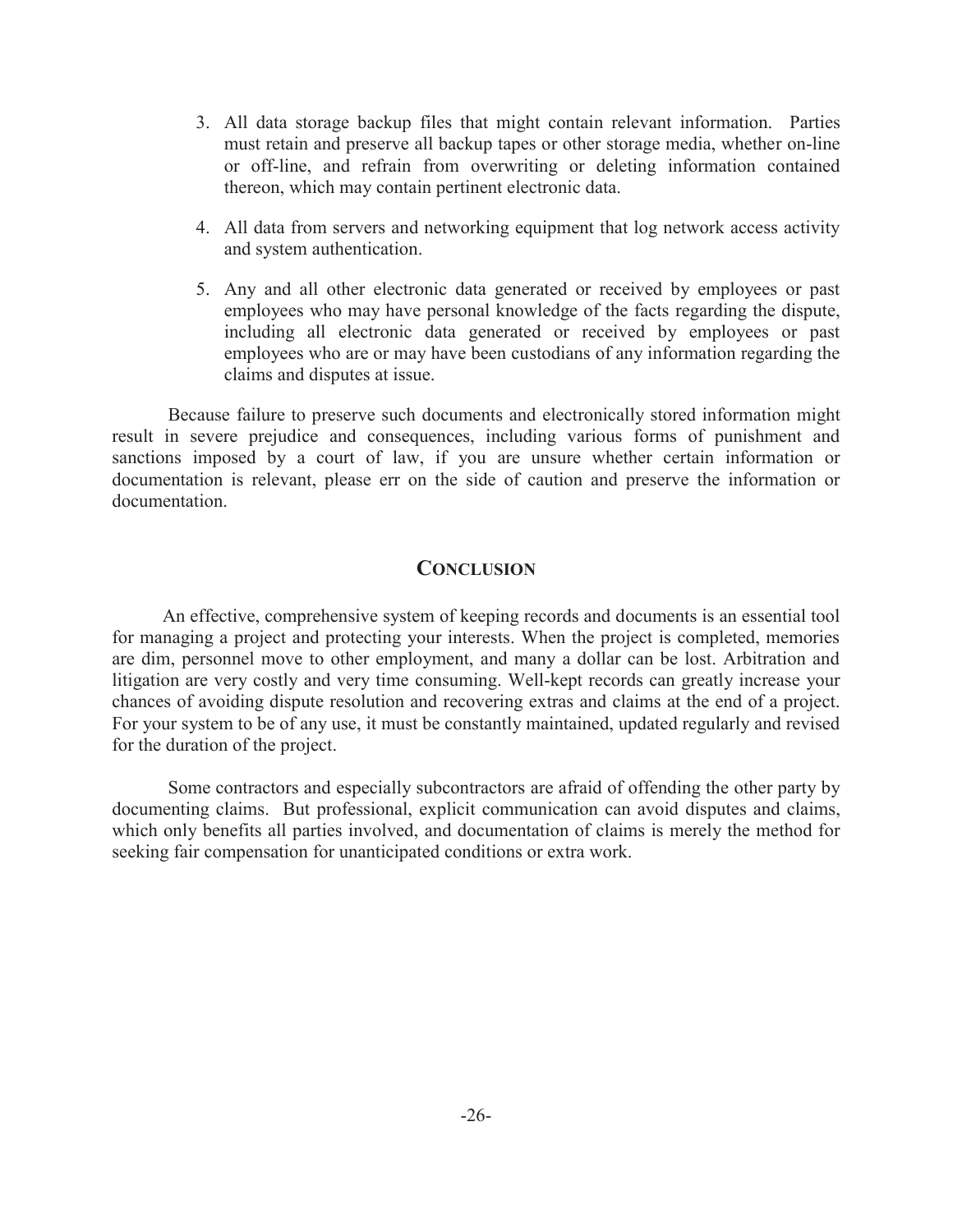- 3. All data storage backup files that might contain relevant information. Parties must retain and preserve all backup tapes or other storage media, whether on-line or off-line, and refrain from overwriting or deleting information contained thereon, which may contain pertinent electronic data.
- 4. All data from servers and networking equipment that log network access activity and system authentication.
- 5. Any and all other electronic data generated or received by employees or past employees who may have personal knowledge of the facts regarding the dispute, including all electronic data generated or received by employees or past employees who are or may have been custodians of any information regarding the claims and disputes at issue.

Because failure to preserve such documents and electronically stored information might result in severe prejudice and consequences, including various forms of punishment and sanctions imposed by a court of law, if you are unsure whether certain information or documentation is relevant, please err on the side of caution and preserve the information or documentation.

## **CONCLUSION**

An effective, comprehensive system of keeping records and documents is an essential tool for managing a project and protecting your interests. When the project is completed, memories are dim, personnel move to other employment, and many a dollar can be lost. Arbitration and litigation are very costly and very time consuming. Well-kept records can greatly increase your chances of avoiding dispute resolution and recovering extras and claims at the end of a project. For your system to be of any use, it must be constantly maintained, updated regularly and revised for the duration of the project.

Some contractors and especially subcontractors are afraid of offending the other party by documenting claims. But professional, explicit communication can avoid disputes and claims, which only benefits all parties involved, and documentation of claims is merely the method for seeking fair compensation for unanticipated conditions or extra work.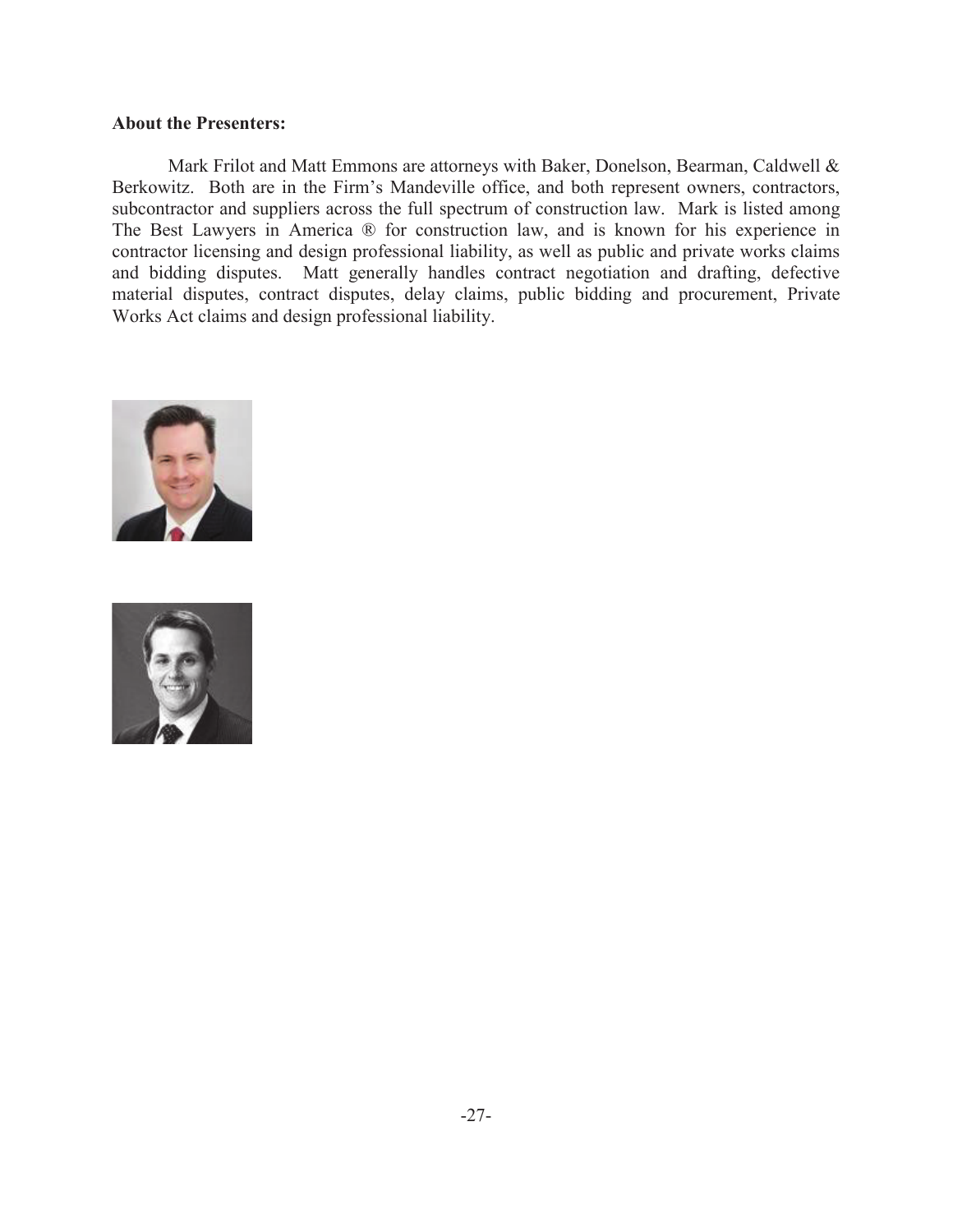## **About the Presenters:**

 Mark Frilot and Matt Emmons are attorneys with Baker, Donelson, Bearman, Caldwell & Berkowitz. Both are in the Firm's Mandeville office, and both represent owners, contractors, subcontractor and suppliers across the full spectrum of construction law. Mark is listed among The Best Lawyers in America ® for construction law, and is known for his experience in contractor licensing and design professional liability, as well as public and private works claims and bidding disputes. Matt generally handles contract negotiation and drafting, defective material disputes, contract disputes, delay claims, public bidding and procurement, Private Works Act claims and design professional liability.



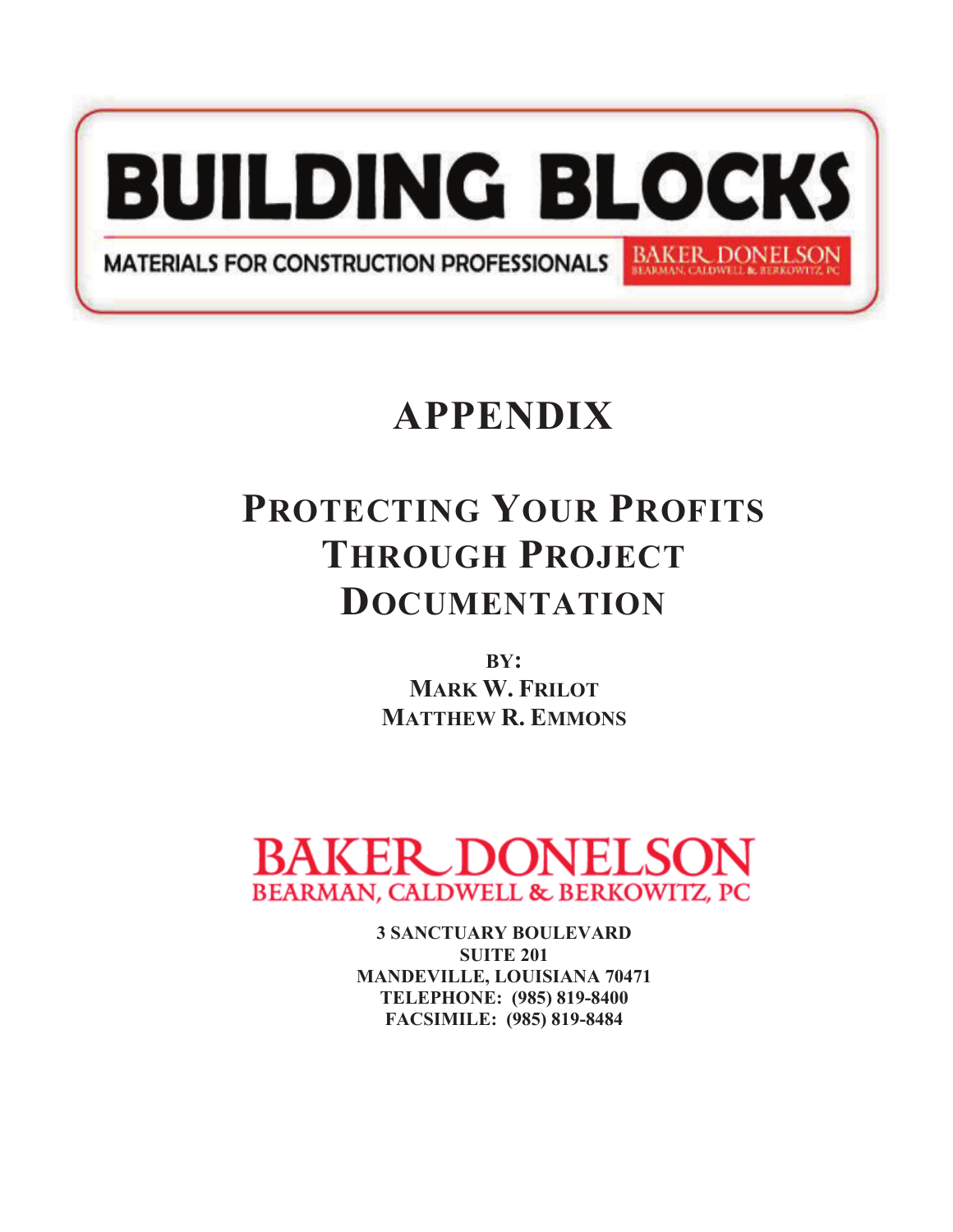

# **APPENDIX**

## **PROTECTING YOUR PROFITS THROUGH PROJECT DOCUMENTATION**

**BY: MARK W. FRILOT MATTHEW R. EMMONS**



**3 SANCTUARY BOULEVARD SUITE 201 MANDEVILLE, LOUISIANA 70471 TELEPHONE: (985) 819-8400 FACSIMILE: (985) 819-8484**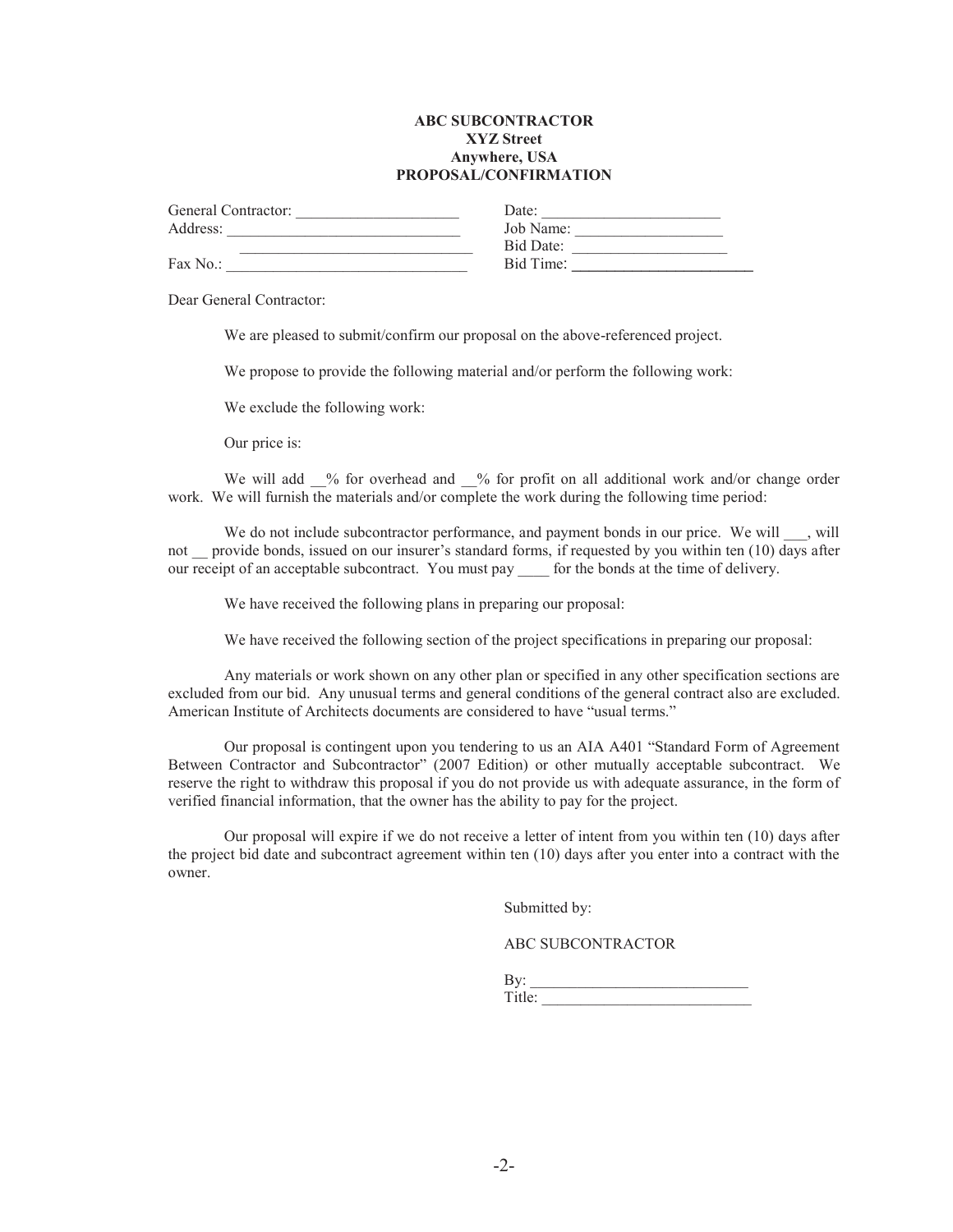#### **ABC SUBCONTRACTOR XYZ Street Anywhere, USA PROPOSAL/CONFIRMATION**

| General Contractor: | Date:     |
|---------------------|-----------|
| Address:            | Job Name: |
|                     | Bid Date: |
| Fax No.:            | Bid Time: |

Dear General Contractor:

We are pleased to submit/confirm our proposal on the above-referenced project.

We propose to provide the following material and/or perform the following work:

We exclude the following work:

Our price is:

We will add  $\%$  for overhead and  $\%$  for profit on all additional work and/or change order work. We will furnish the materials and/or complete the work during the following time period:

We do not include subcontractor performance, and payment bonds in our price. We will \_\_\_, will not provide bonds, issued on our insurer's standard forms, if requested by you within ten (10) days after our receipt of an acceptable subcontract. You must pay for the bonds at the time of delivery.

We have received the following plans in preparing our proposal:

We have received the following section of the project specifications in preparing our proposal:

 Any materials or work shown on any other plan or specified in any other specification sections are excluded from our bid. Any unusual terms and general conditions of the general contract also are excluded. American Institute of Architects documents are considered to have "usual terms."

Our proposal is contingent upon you tendering to us an AIA A401 "Standard Form of Agreement Between Contractor and Subcontractor" (2007 Edition) or other mutually acceptable subcontract. We reserve the right to withdraw this proposal if you do not provide us with adequate assurance, in the form of verified financial information, that the owner has the ability to pay for the project.

 Our proposal will expire if we do not receive a letter of intent from you within ten (10) days after the project bid date and subcontract agreement within ten (10) days after you enter into a contract with the owner.

Submitted by:

ABC SUBCONTRACTOR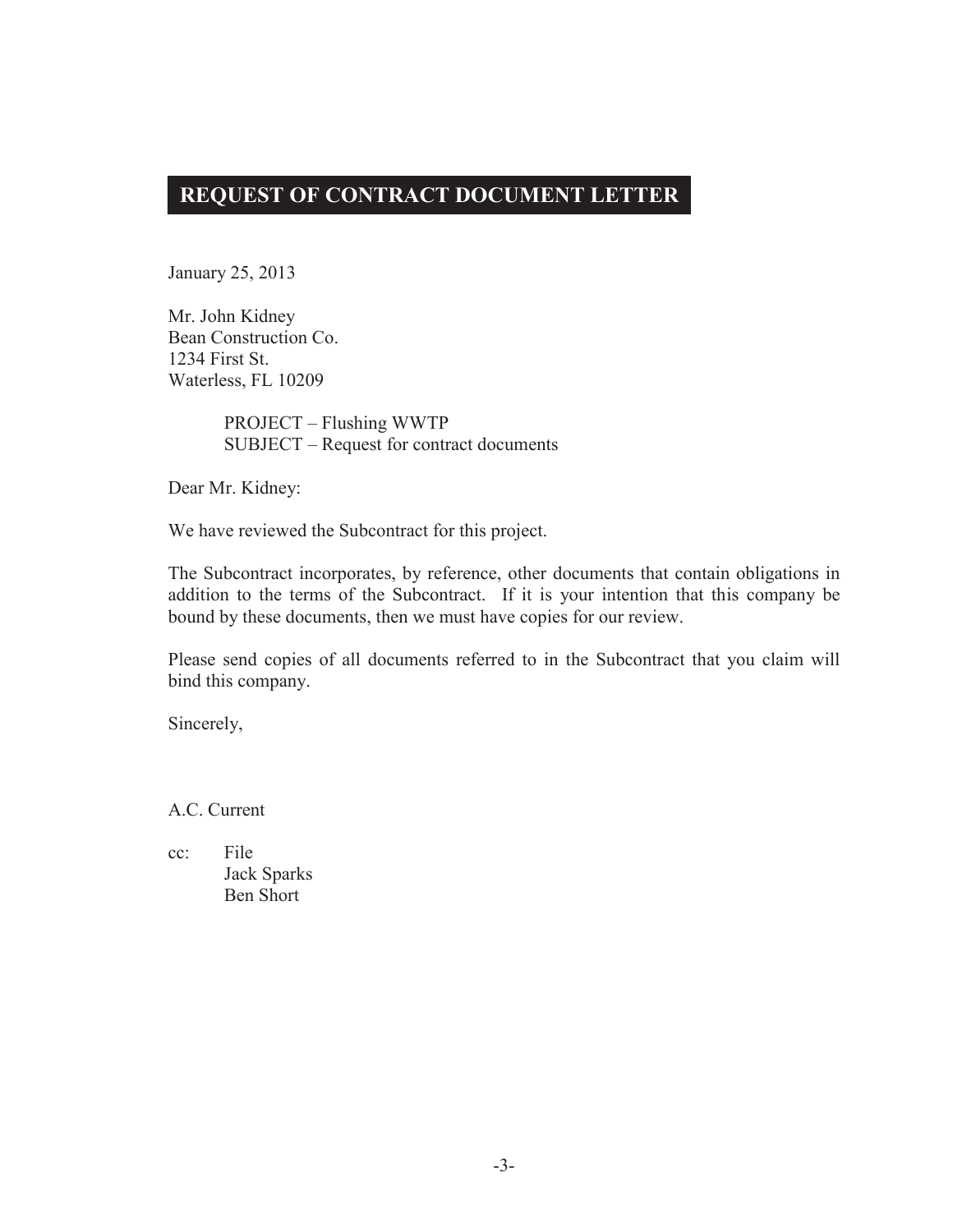## **REQUEST OF CONTRACT DOCUMENT LETTER**

January 25, 2013

Mr. John Kidney Bean Construction Co. 1234 First St. Waterless, FL 10209

> PROJECT – Flushing WWTP SUBJECT – Request for contract documents

Dear Mr. Kidney:

We have reviewed the Subcontract for this project.

The Subcontract incorporates, by reference, other documents that contain obligations in addition to the terms of the Subcontract. If it is your intention that this company be bound by these documents, then we must have copies for our review.

Please send copies of all documents referred to in the Subcontract that you claim will bind this company.

Sincerely,

A.C. Current

cc: File Jack Sparks Ben Short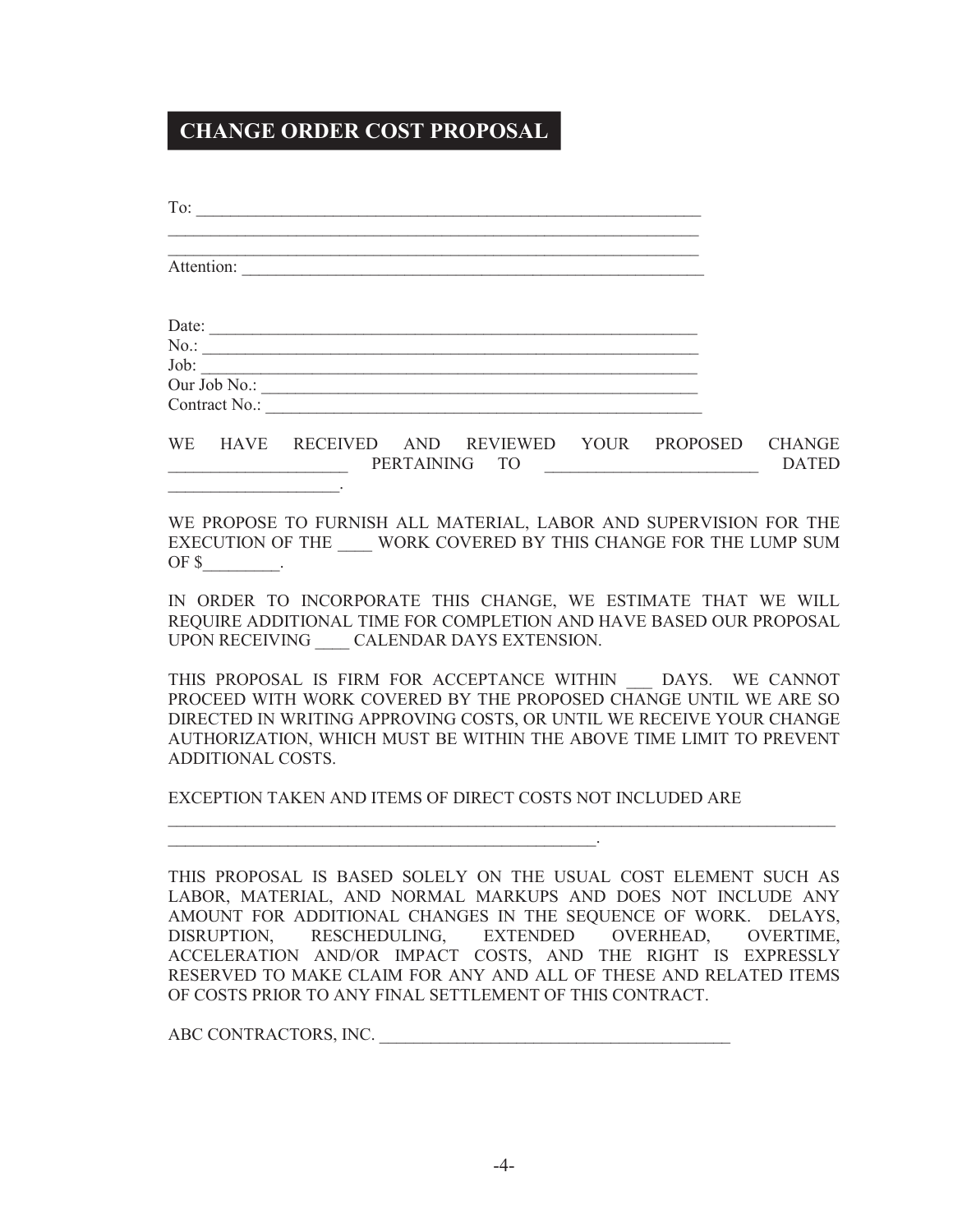## **CHANGE ORDER COST PROPOSAL**

| $\boxed{101}$<br><u> 1989 - Johann John Stone, mars and deutscher Stone (1989), deutscher Stone (1989), der der Stone (1989), der</u>                                                                                                                                                                                                                                                                                                                                     |           |
|---------------------------------------------------------------------------------------------------------------------------------------------------------------------------------------------------------------------------------------------------------------------------------------------------------------------------------------------------------------------------------------------------------------------------------------------------------------------------|-----------|
| Attention:                                                                                                                                                                                                                                                                                                                                                                                                                                                                |           |
| Date:                                                                                                                                                                                                                                                                                                                                                                                                                                                                     |           |
| $\text{Job:}$<br>Our Job No.:<br>Contract No.:                                                                                                                                                                                                                                                                                                                                                                                                                            |           |
| WE HAVE RECEIVED AND REVIEWED YOUR PROPOSED CHANGE                                                                                                                                                                                                                                                                                                                                                                                                                        |           |
| WE PROPOSE TO FURNISH ALL MATERIAL, LABOR AND SUPERVISION FOR THE<br>EXECUTION OF THE WORK COVERED BY THIS CHANGE FOR THE LUMP SUM<br>OF $\mathsf{\$}$ _________.                                                                                                                                                                                                                                                                                                         |           |
| IN ORDER TO INCORPORATE THIS CHANGE, WE ESTIMATE THAT WE WILL<br>REQUIRE ADDITIONAL TIME FOR COMPLETION AND HAVE BASED OUR PROPOSAL<br>UPON RECEIVING CALENDAR DAYS EXTENSION.                                                                                                                                                                                                                                                                                            |           |
| THIS PROPOSAL IS FIRM FOR ACCEPTANCE WITHIN __ DAYS. WE CANNOT<br>PROCEED WITH WORK COVERED BY THE PROPOSED CHANGE UNTIL WE ARE SO<br>DIRECTED IN WRITING APPROVING COSTS, OR UNTIL WE RECEIVE YOUR CHANGE<br>AUTHORIZATION, WHICH MUST BE WITHIN THE ABOVE TIME LIMIT TO PREVENT<br>ADDITIONAL COSTS.                                                                                                                                                                    |           |
| EXCEPTION TAKEN AND ITEMS OF DIRECT COSTS NOT INCLUDED ARE                                                                                                                                                                                                                                                                                                                                                                                                                |           |
| THIS PROPOSAL IS BASED SOLELY ON THE USUAL COST ELEMENT SUCH AS<br>LABOR, MATERIAL, AND NORMAL MARKUPS AND DOES NOT INCLUDE ANY<br>AMOUNT FOR ADDITIONAL CHANGES IN THE SEQUENCE OF WORK. DELAYS,<br>DISRUPTION,<br>RESCHEDULING,<br><b>EXTENDED</b><br><b>OVERHEAD,</b><br>ACCELERATION AND/OR IMPACT COSTS, AND THE RIGHT IS EXPRESSLY<br>RESERVED TO MAKE CLAIM FOR ANY AND ALL OF THESE AND RELATED ITEMS<br>OF COSTS PRIOR TO ANY FINAL SETTLEMENT OF THIS CONTRACT. | OVERTIME, |

ABC CONTRACTORS, INC. \_\_\_\_\_\_\_\_\_\_\_\_\_\_\_\_\_\_\_\_\_\_\_\_\_\_\_\_\_\_\_\_\_\_\_\_\_\_\_\_\_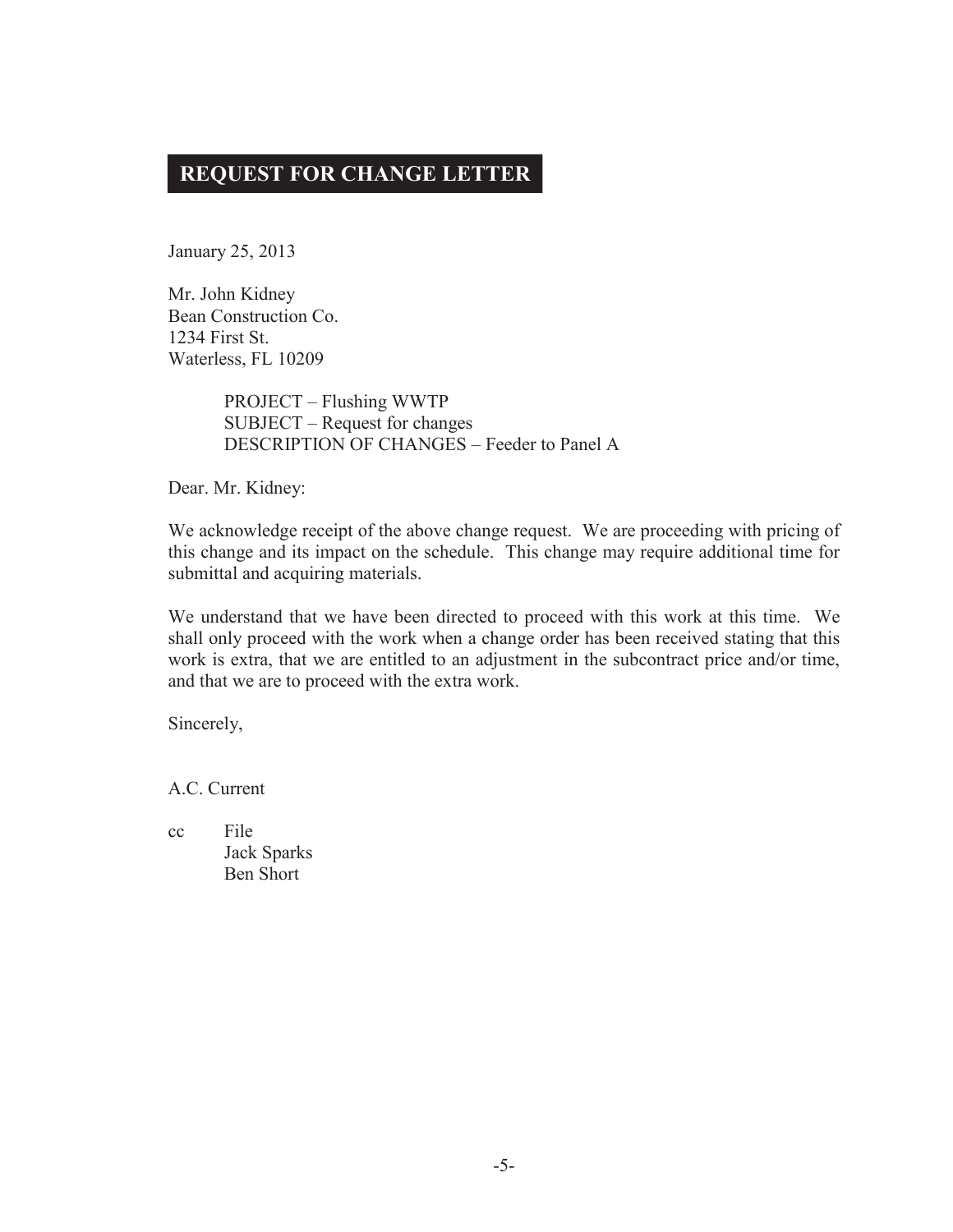## **REQUEST FOR CHANGE LETTER**

January 25, 2013

Mr. John Kidney Bean Construction Co. 1234 First St. Waterless, FL 10209

> PROJECT – Flushing WWTP SUBJECT – Request for changes DESCRIPTION OF CHANGES – Feeder to Panel A

Dear. Mr. Kidney:

We acknowledge receipt of the above change request. We are proceeding with pricing of this change and its impact on the schedule. This change may require additional time for submittal and acquiring materials.

We understand that we have been directed to proceed with this work at this time. We shall only proceed with the work when a change order has been received stating that this work is extra, that we are entitled to an adjustment in the subcontract price and/or time, and that we are to proceed with the extra work.

Sincerely,

A.C. Current

cc File Jack Sparks Ben Short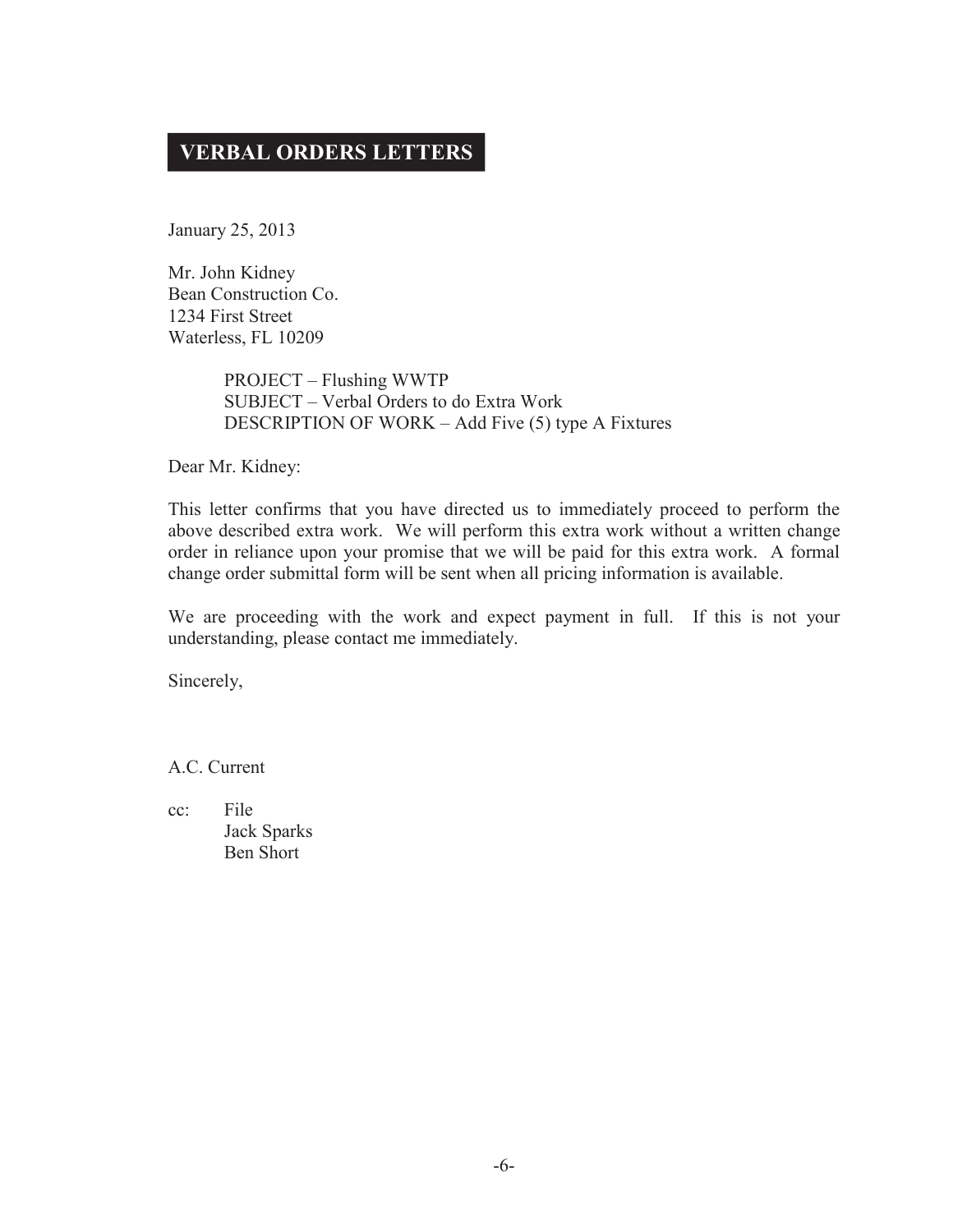## **VERBAL ORDERS LETTERS**

January 25, 2013

Mr. John Kidney Bean Construction Co. 1234 First Street Waterless, FL 10209

> PROJECT – Flushing WWTP SUBJECT – Verbal Orders to do Extra Work DESCRIPTION OF WORK – Add Five (5) type A Fixtures

Dear Mr. Kidney:

This letter confirms that you have directed us to immediately proceed to perform the above described extra work. We will perform this extra work without a written change order in reliance upon your promise that we will be paid for this extra work. A formal change order submittal form will be sent when all pricing information is available.

We are proceeding with the work and expect payment in full. If this is not your understanding, please contact me immediately.

Sincerely,

A.C. Current

cc: File Jack Sparks Ben Short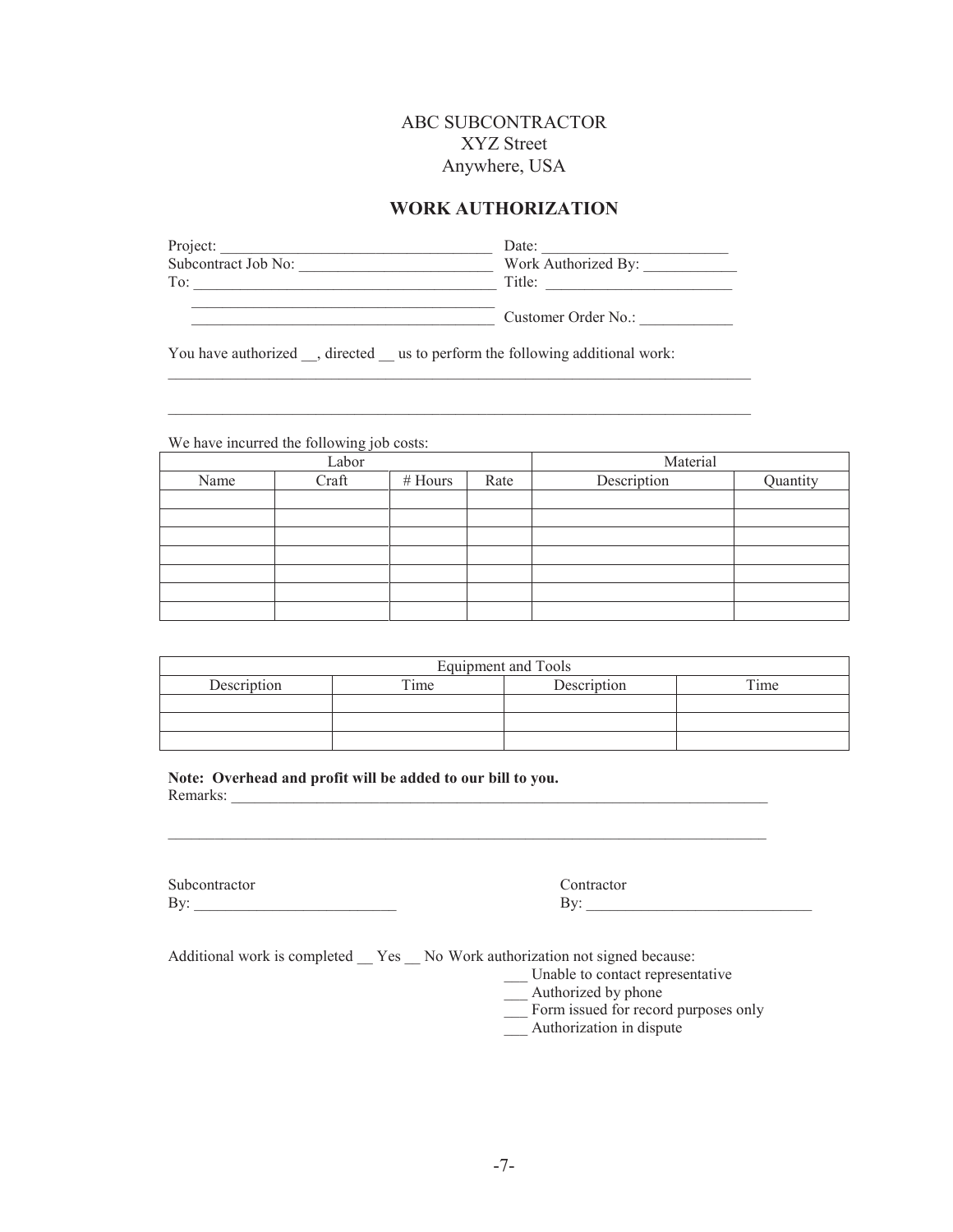## ABC SUBCONTRACTOR XYZ Street Anywhere, USA

## **WORK AUTHORIZATION**

| Project:            | Date:               |
|---------------------|---------------------|
| Subcontract Job No: | Work Authorized By: |
| To:                 | Title:              |
|                     |                     |

 $\_$  . The contribution of the contribution of the contribution of the contribution of  $\mathcal{L}_\text{max}$ 

 $\mathcal{L}_\mathcal{L} = \{ \mathcal{L}_\mathcal{L} = \{ \mathcal{L}_\mathcal{L} = \{ \mathcal{L}_\mathcal{L} = \{ \mathcal{L}_\mathcal{L} = \{ \mathcal{L}_\mathcal{L} = \{ \mathcal{L}_\mathcal{L} = \{ \mathcal{L}_\mathcal{L} = \{ \mathcal{L}_\mathcal{L} = \{ \mathcal{L}_\mathcal{L} = \{ \mathcal{L}_\mathcal{L} = \{ \mathcal{L}_\mathcal{L} = \{ \mathcal{L}_\mathcal{L} = \{ \mathcal{L}_\mathcal{L} = \{ \mathcal{L}_\mathcal{$ 

 $\blacksquare$   $\blacksquare$   $\blacksquare$   $\blacksquare$   $\blacksquare$   $\blacksquare$   $\blacksquare$   $\blacksquare$   $\blacksquare$   $\blacksquare$   $\blacksquare$   $\blacksquare$   $\blacksquare$   $\blacksquare$   $\blacksquare$   $\blacksquare$   $\blacksquare$   $\blacksquare$   $\blacksquare$   $\blacksquare$   $\blacksquare$   $\blacksquare$   $\blacksquare$   $\blacksquare$   $\blacksquare$   $\blacksquare$   $\blacksquare$   $\blacksquare$   $\blacksquare$   $\blacksquare$   $\blacksquare$   $\blacks$ 

You have authorized \_\_, directed \_\_ us to perform the following additional work:

We have incurred the following job costs:

| Labor |       |         | Material |             |          |
|-------|-------|---------|----------|-------------|----------|
| Name  | Craft | # Hours | Rate     | Description | Quantity |
|       |       |         |          |             |          |
|       |       |         |          |             |          |
|       |       |         |          |             |          |
|       |       |         |          |             |          |
|       |       |         |          |             |          |
|       |       |         |          |             |          |
|       |       |         |          |             |          |

| Equipment and Tools |         |             |      |  |  |
|---------------------|---------|-------------|------|--|--|
| Description         | $T$ ime | Description | Time |  |  |
|                     |         |             |      |  |  |
|                     |         |             |      |  |  |
|                     |         |             |      |  |  |

 $\mathcal{L}_\mathcal{L} = \{ \mathcal{L}_\mathcal{L} = \{ \mathcal{L}_\mathcal{L} = \{ \mathcal{L}_\mathcal{L} = \{ \mathcal{L}_\mathcal{L} = \{ \mathcal{L}_\mathcal{L} = \{ \mathcal{L}_\mathcal{L} = \{ \mathcal{L}_\mathcal{L} = \{ \mathcal{L}_\mathcal{L} = \{ \mathcal{L}_\mathcal{L} = \{ \mathcal{L}_\mathcal{L} = \{ \mathcal{L}_\mathcal{L} = \{ \mathcal{L}_\mathcal{L} = \{ \mathcal{L}_\mathcal{L} = \{ \mathcal{L}_\mathcal{$ 

**Note: Overhead and profit will be added to our bill to you.**  Remarks: \_\_\_\_\_\_\_\_\_\_\_\_\_\_\_\_\_\_\_\_\_\_\_\_\_\_\_\_\_\_\_\_\_\_\_\_\_\_\_\_\_\_\_\_\_\_\_\_\_\_\_\_\_\_\_\_\_\_\_\_\_\_\_\_\_\_\_\_\_

Subcontractor Contractor By: \_\_\_\_\_\_\_\_\_\_\_\_\_\_\_\_\_\_\_\_\_\_\_\_\_\_ By: \_\_\_\_\_\_\_\_\_\_\_\_\_\_\_\_\_\_\_\_\_\_\_\_\_\_\_\_\_

Additional work is completed \_\_ Yes \_\_ No Work authorization not signed because:

\_\_\_ Unable to contact representative

- \_\_\_ Authorized by phone
- \_\_\_ Form issued for record purposes only
- \_\_\_ Authorization in dispute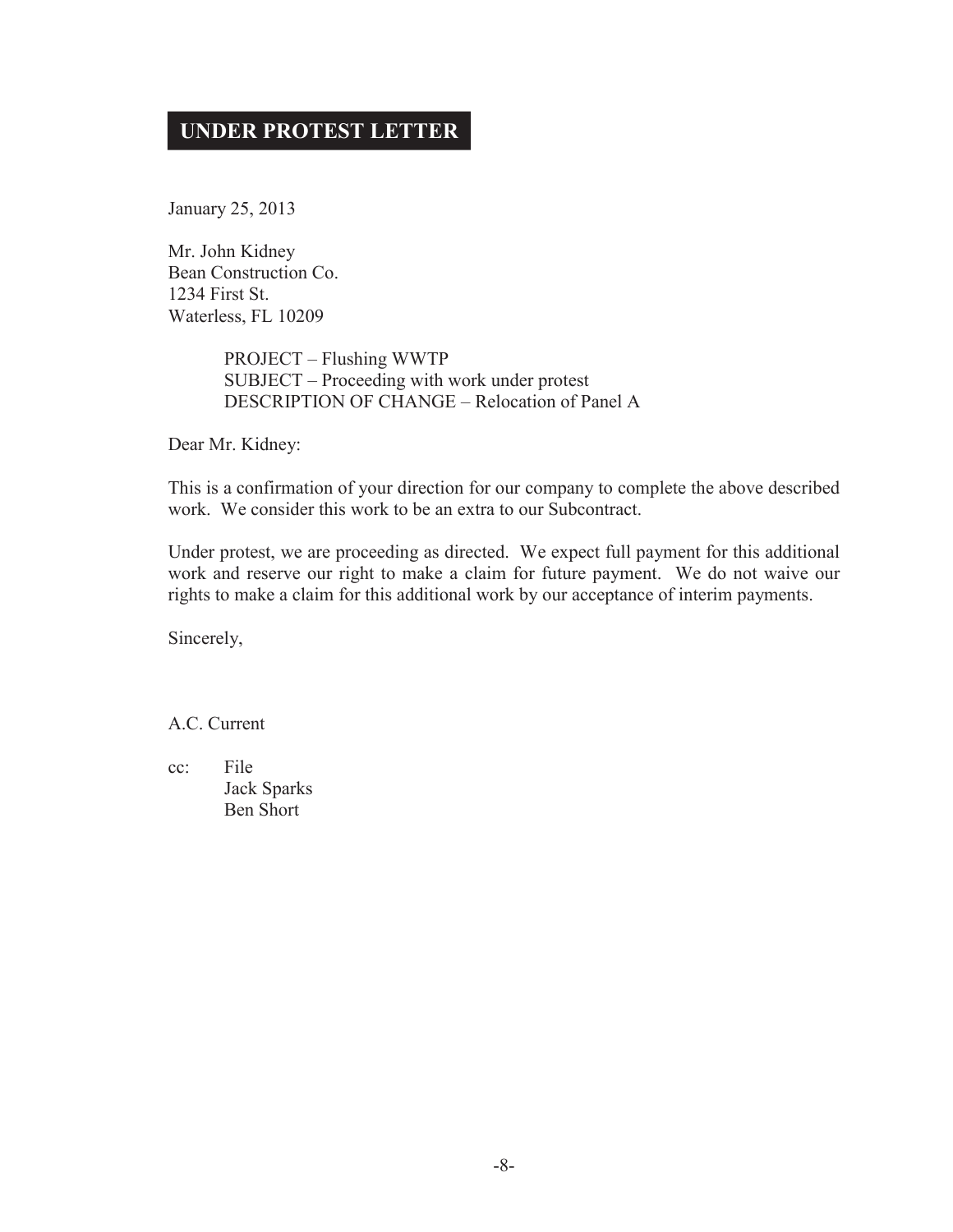## **UNDER PROTEST LETTER**

January 25, 2013

Mr. John Kidney Bean Construction Co. 1234 First St. Waterless, FL 10209

> PROJECT – Flushing WWTP SUBJECT – Proceeding with work under protest DESCRIPTION OF CHANGE – Relocation of Panel A

Dear Mr. Kidney:

This is a confirmation of your direction for our company to complete the above described work. We consider this work to be an extra to our Subcontract.

Under protest, we are proceeding as directed. We expect full payment for this additional work and reserve our right to make a claim for future payment. We do not waive our rights to make a claim for this additional work by our acceptance of interim payments.

Sincerely,

A.C. Current

cc: File Jack Sparks Ben Short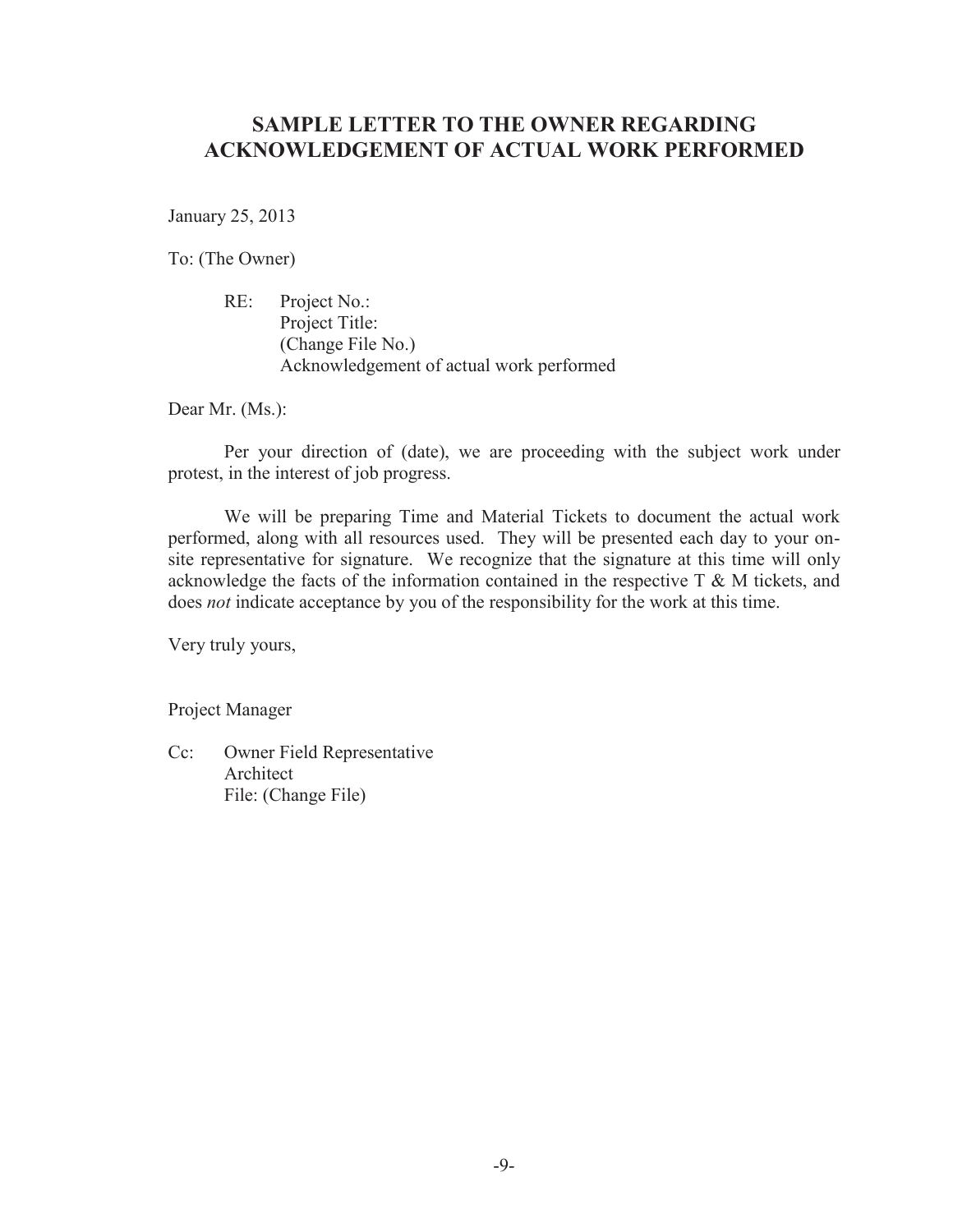## **SAMPLE LETTER TO THE OWNER REGARDING ACKNOWLEDGEMENT OF ACTUAL WORK PERFORMED**

January 25, 2013

To: (The Owner)

 RE: Project No.: Project Title: (Change File No.) Acknowledgement of actual work performed

Dear Mr. (Ms.):

 Per your direction of (date), we are proceeding with the subject work under protest, in the interest of job progress.

 We will be preparing Time and Material Tickets to document the actual work performed, along with all resources used. They will be presented each day to your onsite representative for signature. We recognize that the signature at this time will only acknowledge the facts of the information contained in the respective  $T \& M$  tickets, and does *not* indicate acceptance by you of the responsibility for the work at this time.

Very truly yours,

Project Manager

Cc: Owner Field Representative Architect File: (Change File)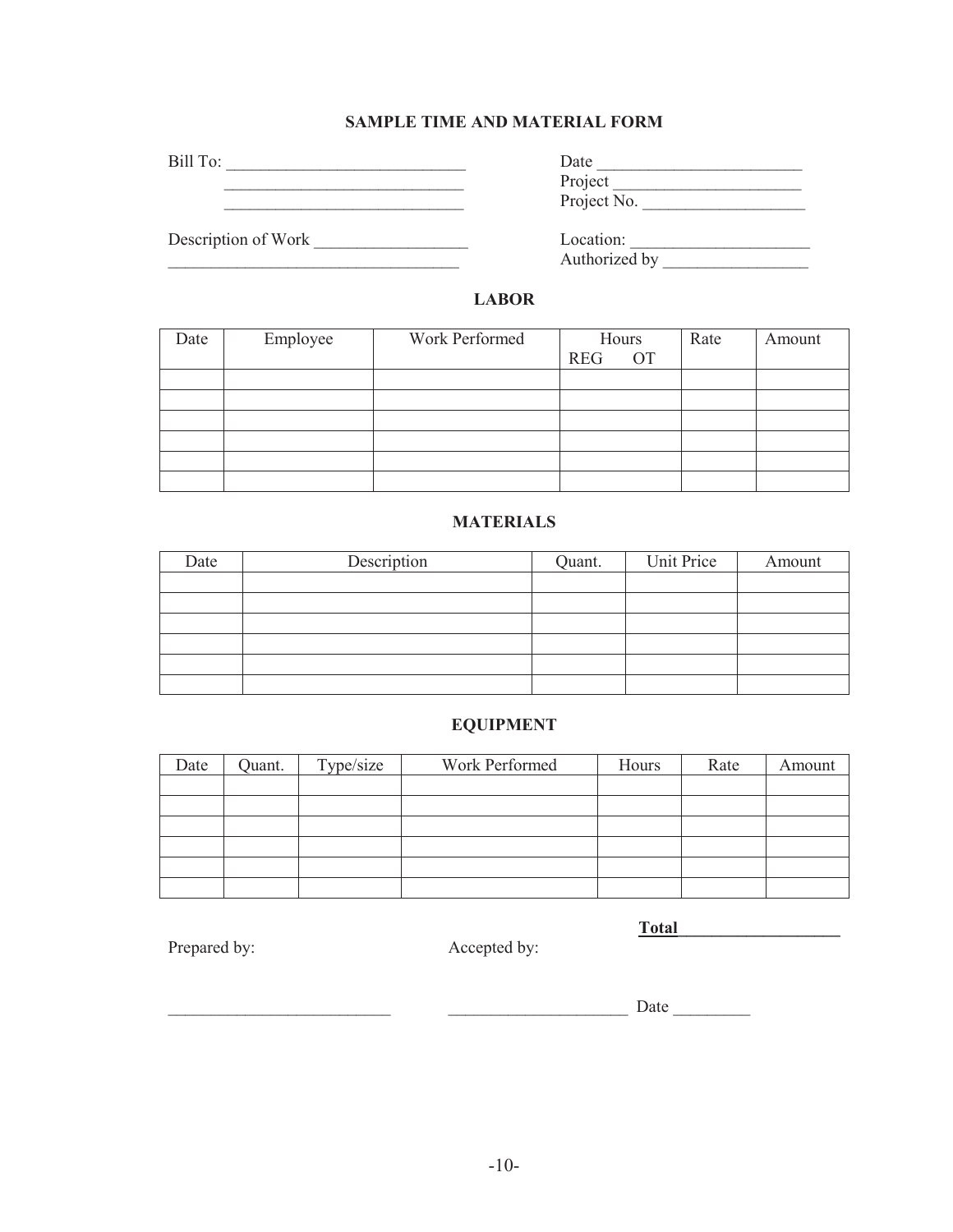## **SAMPLE TIME AND MATERIAL FORM**

Bill To: \_\_\_\_\_\_\_\_\_\_\_\_\_\_\_\_\_\_\_\_\_\_\_\_\_\_\_\_ Date \_\_\_\_\_\_\_\_\_\_\_\_\_\_\_\_\_\_\_\_\_\_\_\_

\_\_\_\_\_\_\_\_\_\_\_\_\_\_\_\_\_\_\_\_\_\_\_\_\_\_\_\_ Project \_\_\_\_\_\_\_\_\_\_\_\_\_\_\_\_\_\_\_\_\_\_

Description of Work

| Date        |
|-------------|
| Project     |
| Project No. |

\_\_\_\_\_\_\_\_\_\_\_\_\_\_\_\_\_\_\_\_\_\_\_\_\_\_\_\_\_\_\_\_\_\_ Authorized by \_\_\_\_\_\_\_\_\_\_\_\_\_\_\_\_\_

## **LABOR**

| Date | Employee | Work Performed | Hours<br><b>OT</b><br><b>REG</b> | Rate | Amount |
|------|----------|----------------|----------------------------------|------|--------|
|      |          |                |                                  |      |        |
|      |          |                |                                  |      |        |
|      |          |                |                                  |      |        |
|      |          |                |                                  |      |        |
|      |          |                |                                  |      |        |
|      |          |                |                                  |      |        |

## **MATERIALS**

| Date | Description | Quant. | Unit Price | Amount |
|------|-------------|--------|------------|--------|
|      |             |        |            |        |
|      |             |        |            |        |
|      |             |        |            |        |
|      |             |        |            |        |
|      |             |        |            |        |
|      |             |        |            |        |

## **EQUIPMENT**

| Date | Quant. | Type/size | Work Performed | Hours | Rate | Amount |
|------|--------|-----------|----------------|-------|------|--------|
|      |        |           |                |       |      |        |
|      |        |           |                |       |      |        |
|      |        |           |                |       |      |        |
|      |        |           |                |       |      |        |
|      |        |           |                |       |      |        |
|      |        |           |                |       |      |        |

Prepared by: Accepted by:

**Total\_\_\_\_\_\_\_\_\_\_\_\_\_\_\_\_\_\_\_**

\_\_\_\_\_\_\_\_\_\_\_\_\_\_\_\_\_\_\_\_\_\_\_\_\_\_ \_\_\_\_\_\_\_\_\_\_\_\_\_\_\_\_\_\_\_\_\_ Date \_\_\_\_\_\_\_\_\_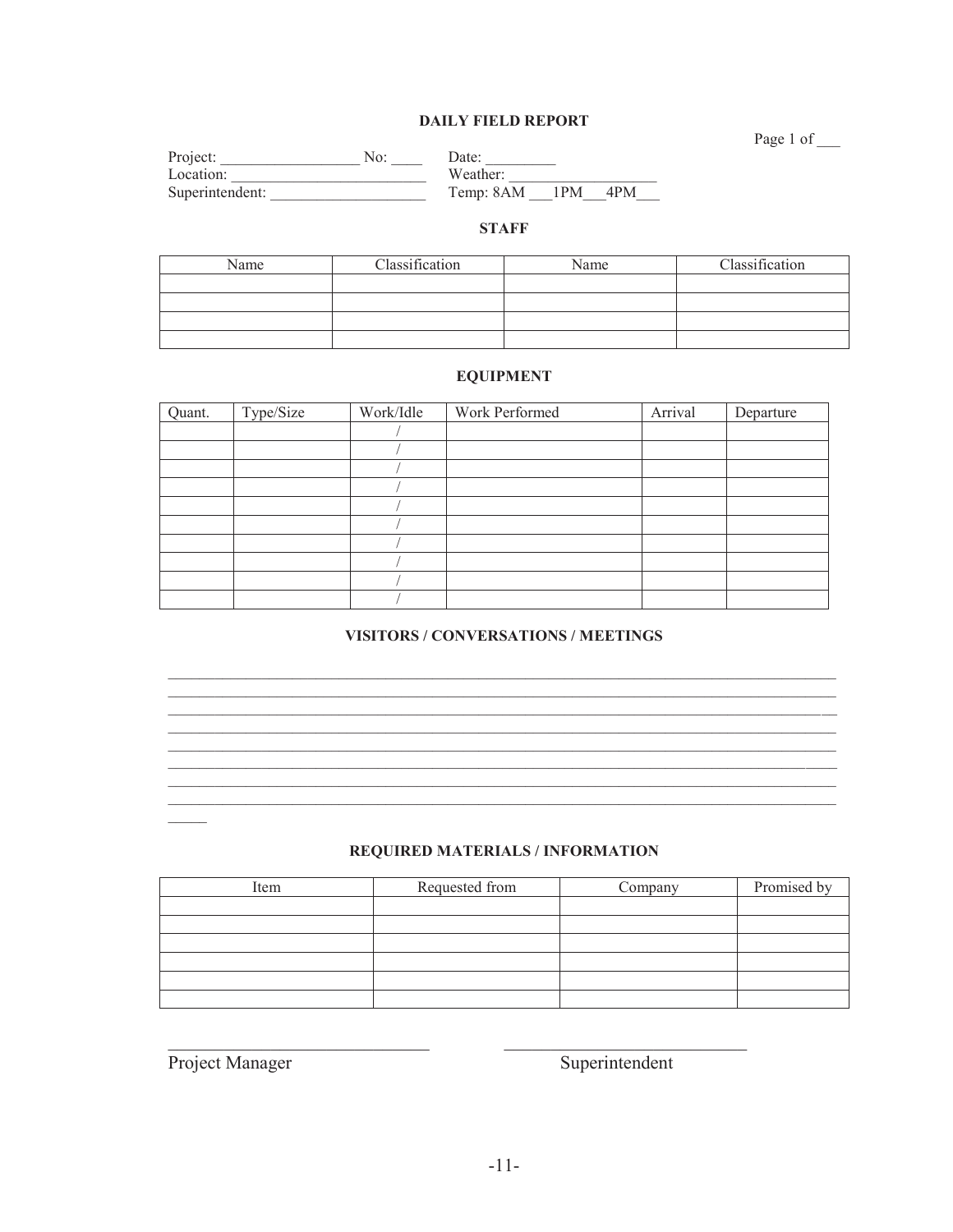### **DAILY FIELD REPORT**

Page 1 of

| Project:        | No. | Date:     |      |     |
|-----------------|-----|-----------|------|-----|
| Location:       |     | Weather:  |      |     |
| Superintendent: |     | Temp: 8AM | -1PM | 4PM |

## **STAFF**

| Name | Classification | Name | Classification |
|------|----------------|------|----------------|
|      |                |      |                |
|      |                |      |                |
|      |                |      |                |
|      |                |      |                |

### **EQUIPMENT**

| Quant. | Type/Size | Work/Idle | Work Performed | Arrival | Departure |
|--------|-----------|-----------|----------------|---------|-----------|
|        |           |           |                |         |           |
|        |           |           |                |         |           |
|        |           |           |                |         |           |
|        |           |           |                |         |           |
|        |           |           |                |         |           |
|        |           |           |                |         |           |
|        |           |           |                |         |           |
|        |           |           |                |         |           |
|        |           |           |                |         |           |
|        |           |           |                |         |           |

## VISITORS / CONVERSATIONS / MEETINGS

<u> 1989 - Johann Stoff, deutscher Stoffen und der Stoffen und der Stoffen und der Stoffen und der Stoffen und de</u>

<u> 1989 - Johann Stoff, amerikansk politiker (d. 1989)</u> <u> 1989 - Johann Stoff, deutscher Stoffen und der Stoffen und der Stoffen und der Stoffen und der Stoffen und de</u> <u> 1989 - An Dùbhlachd an Dùbhlachd ann an Dùbhlachd ann an Dùbhlachd ann an Dùbhlachd ann an Dùbhlachd ann an Dù</u>

#### REQUIRED MATERIALS / INFORMATION

| Item | Requested from | Company | Promised by |
|------|----------------|---------|-------------|
|      |                |         |             |
|      |                |         |             |
|      |                |         |             |
|      |                |         |             |
|      |                |         |             |
|      |                |         |             |

Project Manager

Superintendent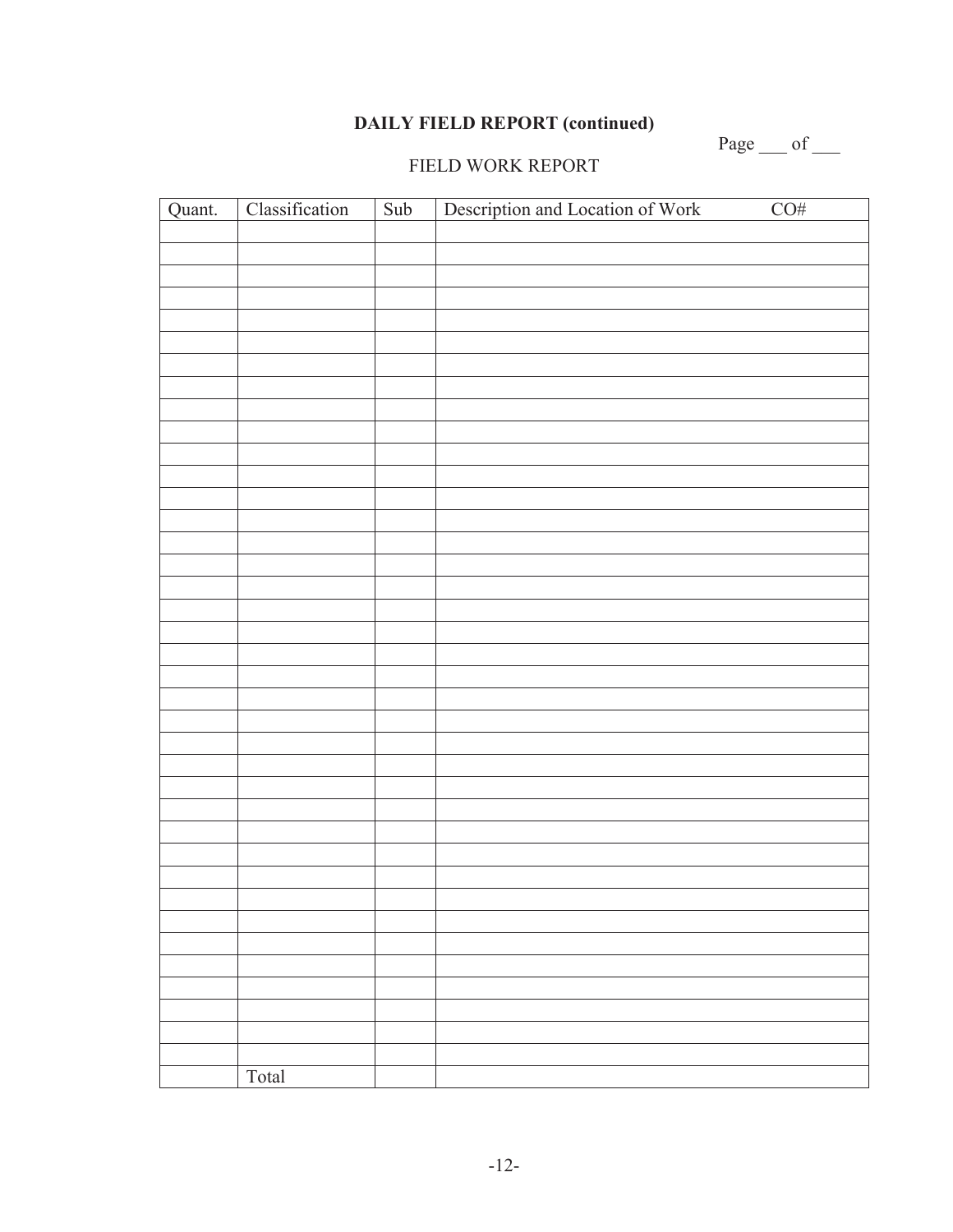## **DAILY FIELD REPORT (continued)**

Page  $\_\_$  of  $\_\_$ 

## FIELD WORK REPORT

| Quant. | Classification | Sub | Description and Location of Work | CO# |
|--------|----------------|-----|----------------------------------|-----|
|        |                |     |                                  |     |
|        |                |     |                                  |     |
|        |                |     |                                  |     |
|        |                |     |                                  |     |
|        |                |     |                                  |     |
|        |                |     |                                  |     |
|        |                |     |                                  |     |
|        |                |     |                                  |     |
|        |                |     |                                  |     |
|        |                |     |                                  |     |
|        |                |     |                                  |     |
|        |                |     |                                  |     |
|        |                |     |                                  |     |
|        |                |     |                                  |     |
|        |                |     |                                  |     |
|        |                |     |                                  |     |
|        |                |     |                                  |     |
|        |                |     |                                  |     |
|        |                |     |                                  |     |
|        |                |     |                                  |     |
|        |                |     |                                  |     |
|        |                |     |                                  |     |
|        |                |     |                                  |     |
|        |                |     |                                  |     |
|        |                |     |                                  |     |
|        |                |     |                                  |     |
|        |                |     |                                  |     |
|        |                |     |                                  |     |
|        |                |     |                                  |     |
|        |                |     |                                  |     |
|        |                |     |                                  |     |
|        |                |     |                                  |     |
|        |                |     |                                  |     |
|        |                |     |                                  |     |
|        | Total          |     |                                  |     |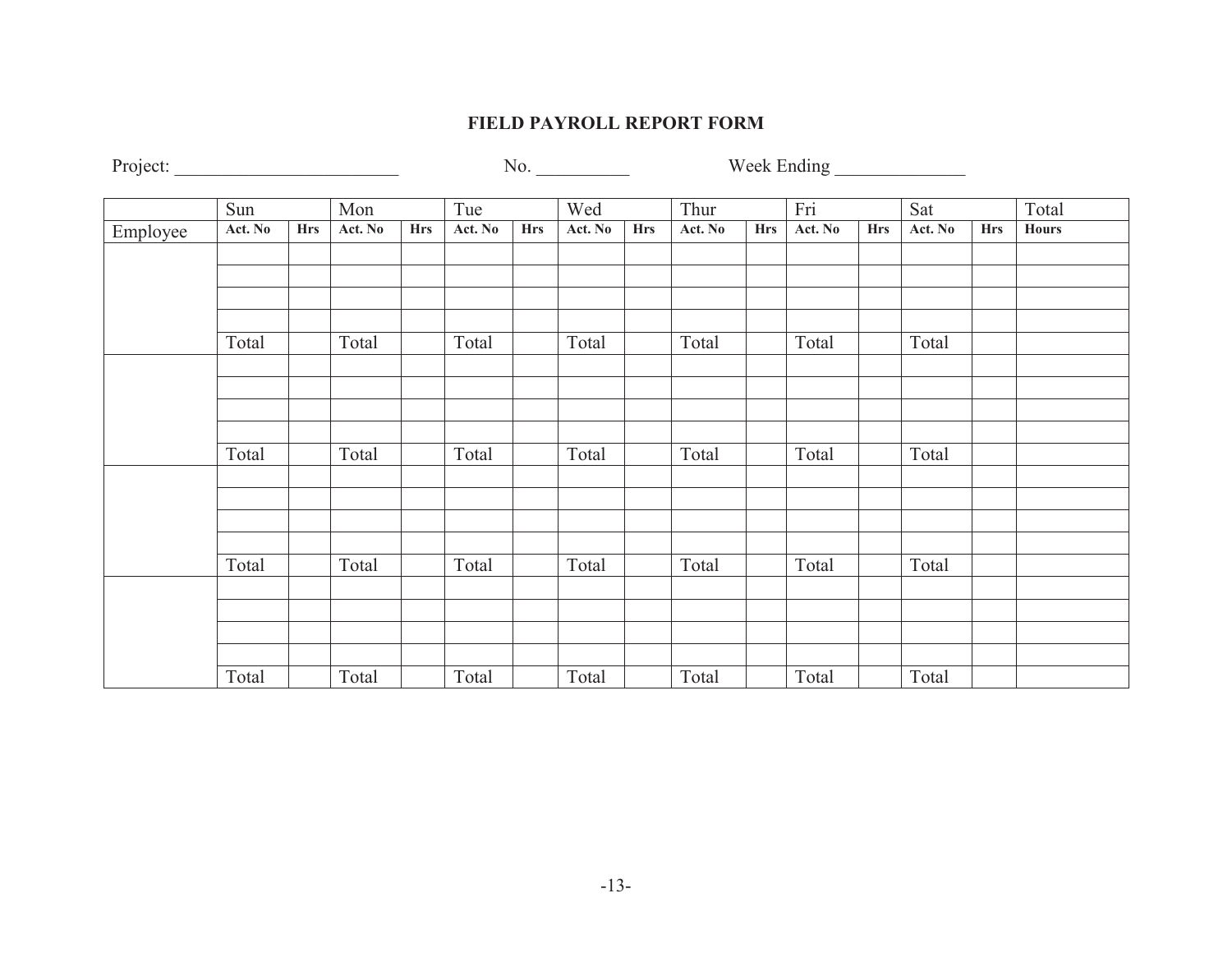## **FIELD PAYROLL REPORT FORM**

Project: \_\_\_\_\_\_\_\_\_\_\_\_\_\_\_\_\_\_\_\_\_\_\_\_ No. \_\_\_\_\_\_\_\_\_\_ Week Ending \_\_\_\_\_\_\_\_\_\_\_\_\_\_

|          | Sun     |            | Mon     |            | Tue     |            | Wed     |            | Thur    |            | Fri     |            | Sat     |            | Total        |
|----------|---------|------------|---------|------------|---------|------------|---------|------------|---------|------------|---------|------------|---------|------------|--------------|
| Employee | Act. No | <b>Hrs</b> | Act. No | <b>Hrs</b> | Act. No | <b>Hrs</b> | Act. No | <b>Hrs</b> | Act. No | <b>Hrs</b> | Act. No | <b>Hrs</b> | Act. No | <b>Hrs</b> | <b>Hours</b> |
|          |         |            |         |            |         |            |         |            |         |            |         |            |         |            |              |
|          |         |            |         |            |         |            |         |            |         |            |         |            |         |            |              |
|          |         |            |         |            |         |            |         |            |         |            |         |            |         |            |              |
|          |         |            |         |            |         |            |         |            |         |            |         |            |         |            |              |
|          | Total   |            | Total   |            | Total   |            | Total   |            | Total   |            | Total   |            | Total   |            |              |
|          |         |            |         |            |         |            |         |            |         |            |         |            |         |            |              |
|          |         |            |         |            |         |            |         |            |         |            |         |            |         |            |              |
|          |         |            |         |            |         |            |         |            |         |            |         |            |         |            |              |
|          |         |            |         |            |         |            |         |            |         |            |         |            |         |            |              |
|          | Total   |            | Total   |            | Total   |            | Total   |            | Total   |            | Total   |            | Total   |            |              |
|          |         |            |         |            |         |            |         |            |         |            |         |            |         |            |              |
|          |         |            |         |            |         |            |         |            |         |            |         |            |         |            |              |
|          |         |            |         |            |         |            |         |            |         |            |         |            |         |            |              |
|          | Total   |            | Total   |            | Total   |            | Total   |            | Total   |            | Total   |            | Total   |            |              |
|          |         |            |         |            |         |            |         |            |         |            |         |            |         |            |              |
|          |         |            |         |            |         |            |         |            |         |            |         |            |         |            |              |
|          |         |            |         |            |         |            |         |            |         |            |         |            |         |            |              |
|          |         |            |         |            |         |            |         |            |         |            |         |            |         |            |              |
|          | Total   |            | Total   |            | Total   |            | Total   |            | Total   |            | Total   |            | Total   |            |              |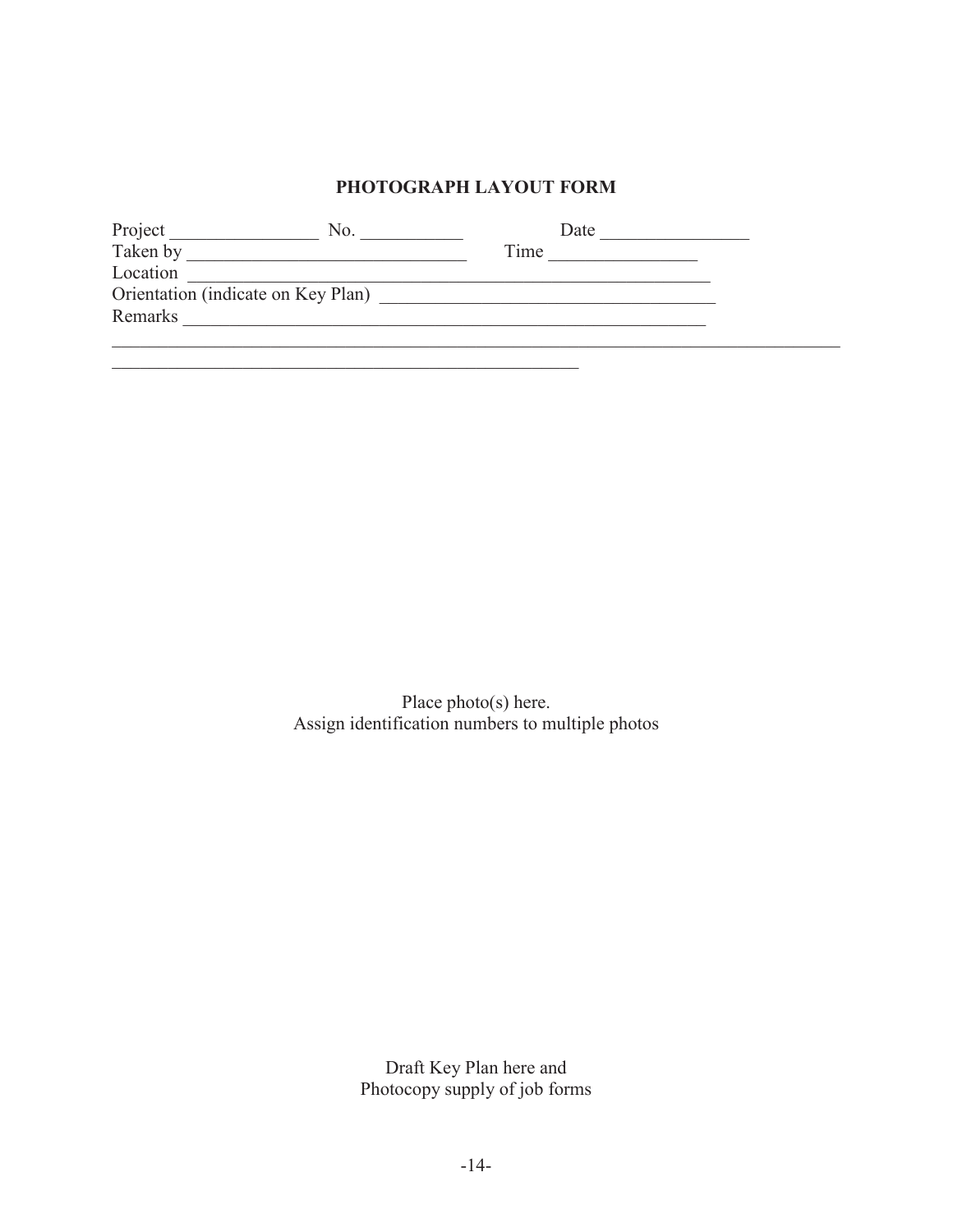## **PHOTOGRAPH LAYOUT FORM**

| Project                            | NO | Date |  |
|------------------------------------|----|------|--|
| Taken by                           |    | Time |  |
| Location                           |    |      |  |
| Orientation (indicate on Key Plan) |    |      |  |
| Remarks                            |    |      |  |
|                                    |    |      |  |

\_\_\_\_\_\_\_\_\_\_\_\_\_\_\_\_\_\_\_\_\_\_\_\_\_\_\_\_\_\_\_\_\_\_\_\_\_\_\_\_\_\_\_\_\_\_\_\_\_\_

Place photo(s) here. Assign identification numbers to multiple photos

> Draft Key Plan here and Photocopy supply of job forms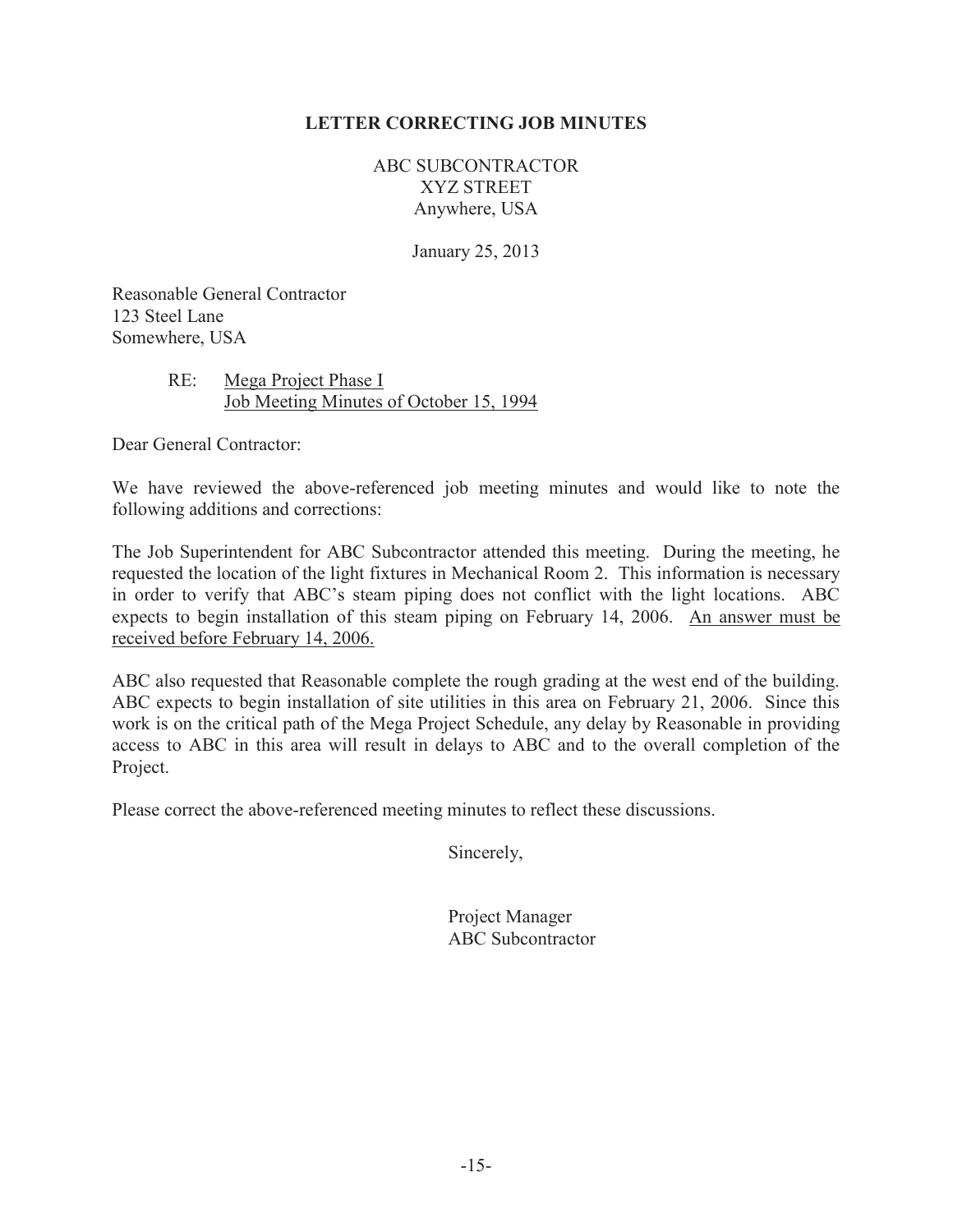## **LETTER CORRECTING JOB MINUTES**

ABC SUBCONTRACTOR XYZ STREET Anywhere, USA

January 25, 2013

Reasonable General Contractor 123 Steel Lane Somewhere, USA

## RE: Mega Project Phase I Job Meeting Minutes of October 15, 1994

Dear General Contractor:

We have reviewed the above-referenced job meeting minutes and would like to note the following additions and corrections:

The Job Superintendent for ABC Subcontractor attended this meeting. During the meeting, he requested the location of the light fixtures in Mechanical Room 2. This information is necessary in order to verify that ABC's steam piping does not conflict with the light locations. ABC expects to begin installation of this steam piping on February 14, 2006. An answer must be received before February 14, 2006.

ABC also requested that Reasonable complete the rough grading at the west end of the building. ABC expects to begin installation of site utilities in this area on February 21, 2006. Since this work is on the critical path of the Mega Project Schedule, any delay by Reasonable in providing access to ABC in this area will result in delays to ABC and to the overall completion of the Project.

Please correct the above-referenced meeting minutes to reflect these discussions.

Sincerely,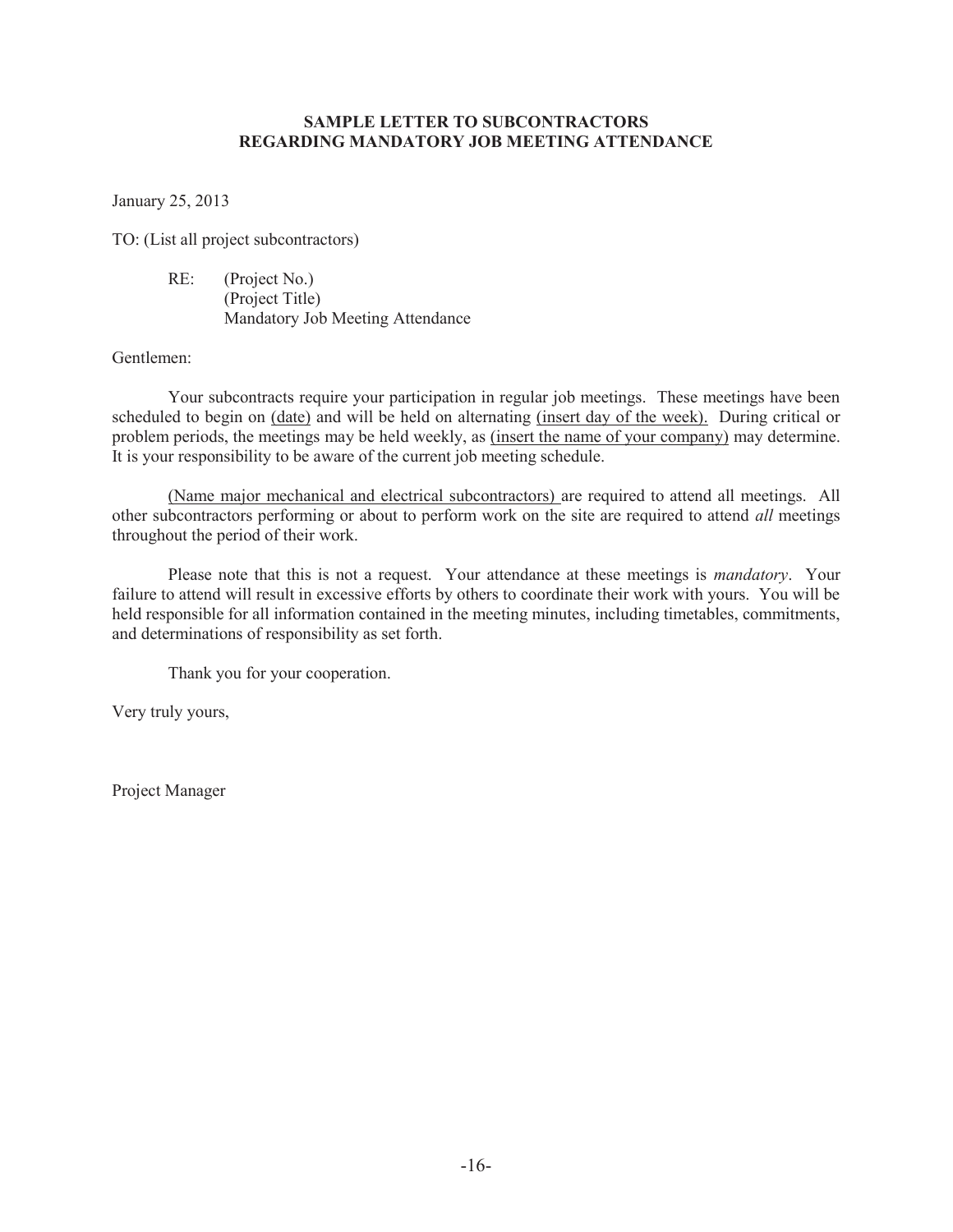## **SAMPLE LETTER TO SUBCONTRACTORS REGARDING MANDATORY JOB MEETING ATTENDANCE**

January 25, 2013

TO: (List all project subcontractors)

 RE: (Project No.) (Project Title) Mandatory Job Meeting Attendance

Gentlemen:

 Your subcontracts require your participation in regular job meetings. These meetings have been scheduled to begin on (date) and will be held on alternating (insert day of the week). During critical or problem periods, the meetings may be held weekly, as (insert the name of your company) may determine. It is your responsibility to be aware of the current job meeting schedule.

 (Name major mechanical and electrical subcontractors) are required to attend all meetings. All other subcontractors performing or about to perform work on the site are required to attend *all* meetings throughout the period of their work.

 Please note that this is not a request. Your attendance at these meetings is *mandatory*. Your failure to attend will result in excessive efforts by others to coordinate their work with yours. You will be held responsible for all information contained in the meeting minutes, including timetables, commitments, and determinations of responsibility as set forth.

Thank you for your cooperation.

Very truly yours,

Project Manager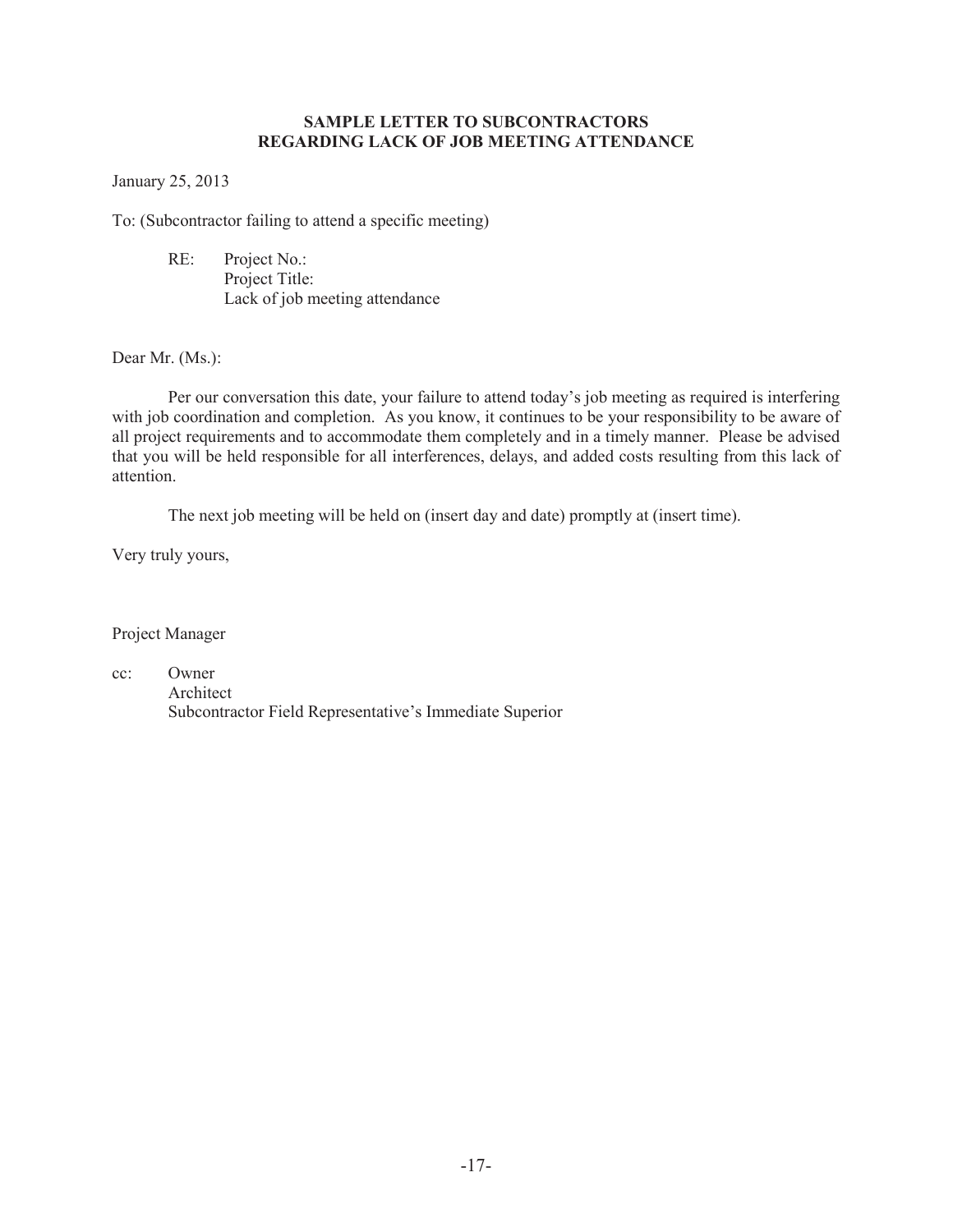## **SAMPLE LETTER TO SUBCONTRACTORS REGARDING LACK OF JOB MEETING ATTENDANCE**

January 25, 2013

To: (Subcontractor failing to attend a specific meeting)

 RE: Project No.: Project Title: Lack of job meeting attendance

Dear Mr. (Ms.):

Per our conversation this date, your failure to attend today's job meeting as required is interfering with job coordination and completion. As you know, it continues to be your responsibility to be aware of all project requirements and to accommodate them completely and in a timely manner. Please be advised that you will be held responsible for all interferences, delays, and added costs resulting from this lack of attention.

The next job meeting will be held on (insert day and date) promptly at (insert time).

Very truly yours,

Project Manager

cc: Owner Architect Subcontractor Field Representative's Immediate Superior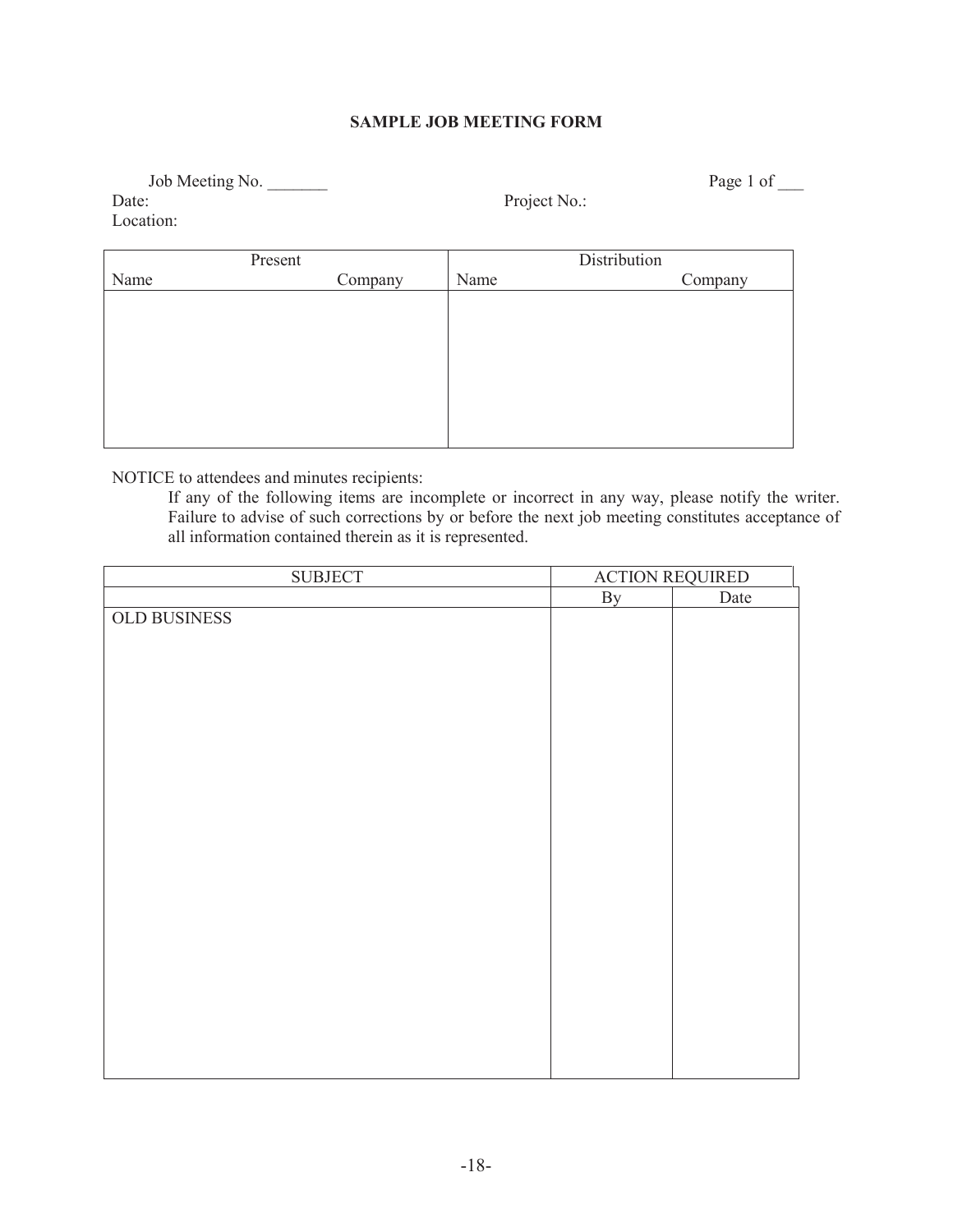## **SAMPLE JOB MEETING FORM**

Job Meeting No. \_\_\_\_\_\_\_ Page 1 of \_\_\_ Date: Project No.: Location:

|      | Present | Distribution |         |  |  |  |
|------|---------|--------------|---------|--|--|--|
| Name | Company | Name         | Company |  |  |  |
|      |         |              |         |  |  |  |
|      |         |              |         |  |  |  |
|      |         |              |         |  |  |  |
|      |         |              |         |  |  |  |
|      |         |              |         |  |  |  |
|      |         |              |         |  |  |  |
|      |         |              |         |  |  |  |
|      |         |              |         |  |  |  |

NOTICE to attendees and minutes recipients:

If any of the following items are incomplete or incorrect in any way, please notify the writer. Failure to advise of such corrections by or before the next job meeting constitutes acceptance of all information contained therein as it is represented.

| <b>SUBJECT</b> |    | <b>ACTION REQUIRED</b> |
|----------------|----|------------------------|
|                | By | Date                   |
| OLD BUSINESS   |    |                        |
|                |    |                        |
|                |    |                        |
|                |    |                        |
|                |    |                        |
|                |    |                        |
|                |    |                        |
|                |    |                        |
|                |    |                        |
|                |    |                        |
|                |    |                        |
|                |    |                        |
|                |    |                        |
|                |    |                        |
|                |    |                        |
|                |    |                        |
|                |    |                        |
|                |    |                        |
|                |    |                        |
|                |    |                        |
|                |    |                        |
|                |    |                        |
|                |    |                        |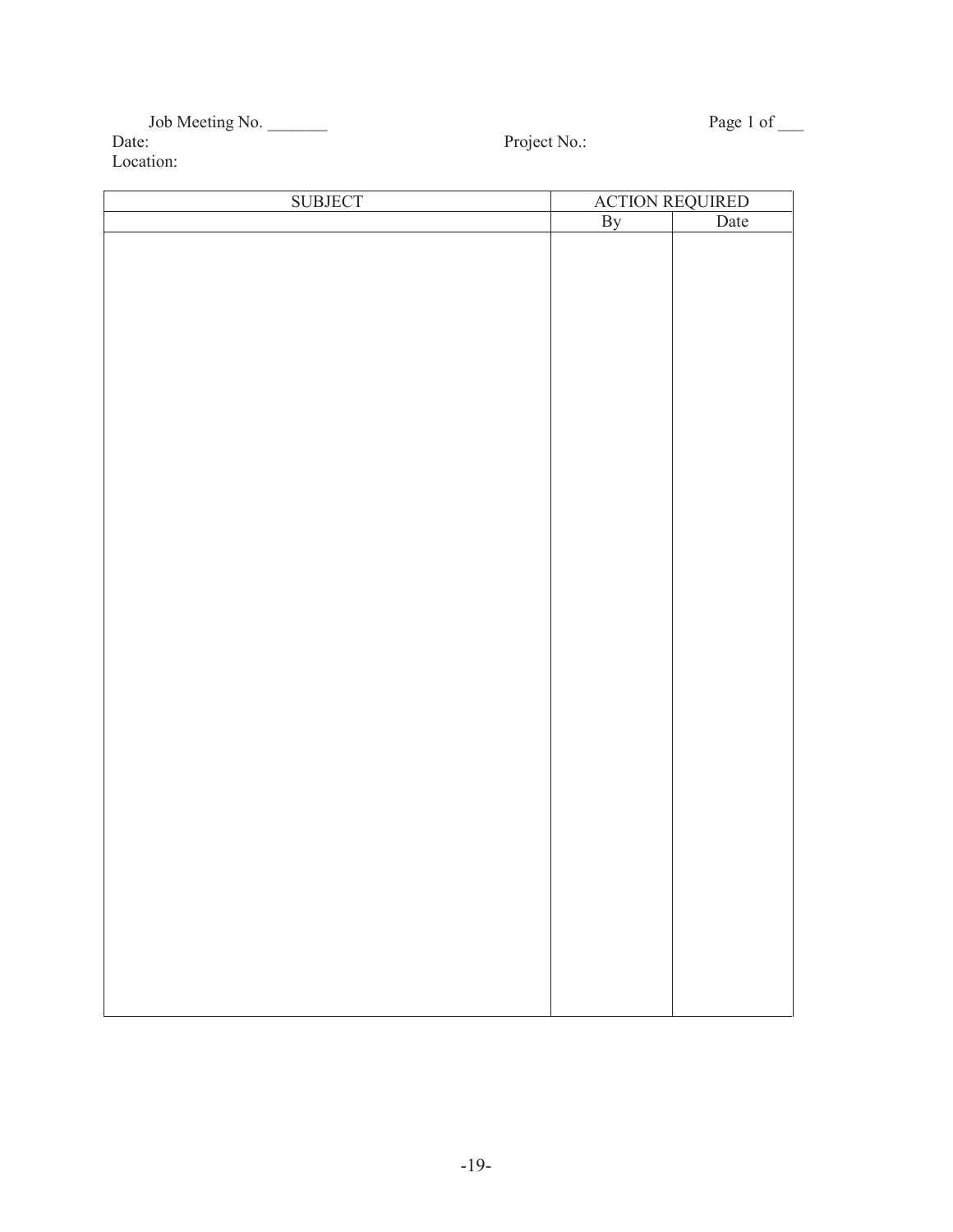| Job Meeting No. |  |
|-----------------|--|
| Date:           |  |
| Location:       |  |

Project No.:

Page 1 of  $\_\_$ 

| <b>SUBJECT</b> |    | <b>ACTION REQUIRED</b> |
|----------------|----|------------------------|
|                | By | Date                   |
|                |    |                        |
|                |    |                        |
|                |    |                        |
|                |    |                        |
|                |    |                        |
|                |    |                        |
|                |    |                        |
|                |    |                        |
|                |    |                        |
|                |    |                        |
|                |    |                        |
|                |    |                        |
|                |    |                        |
|                |    |                        |
|                |    |                        |
|                |    |                        |
|                |    |                        |
|                |    |                        |
|                |    |                        |
|                |    |                        |
|                |    |                        |
|                |    |                        |
|                |    |                        |
|                |    |                        |
|                |    |                        |
|                |    |                        |
|                |    |                        |
|                |    |                        |
|                |    |                        |
|                |    |                        |
|                |    |                        |
|                |    |                        |
|                |    |                        |
|                |    |                        |
|                |    |                        |
|                |    |                        |
|                |    |                        |
|                |    |                        |
|                |    |                        |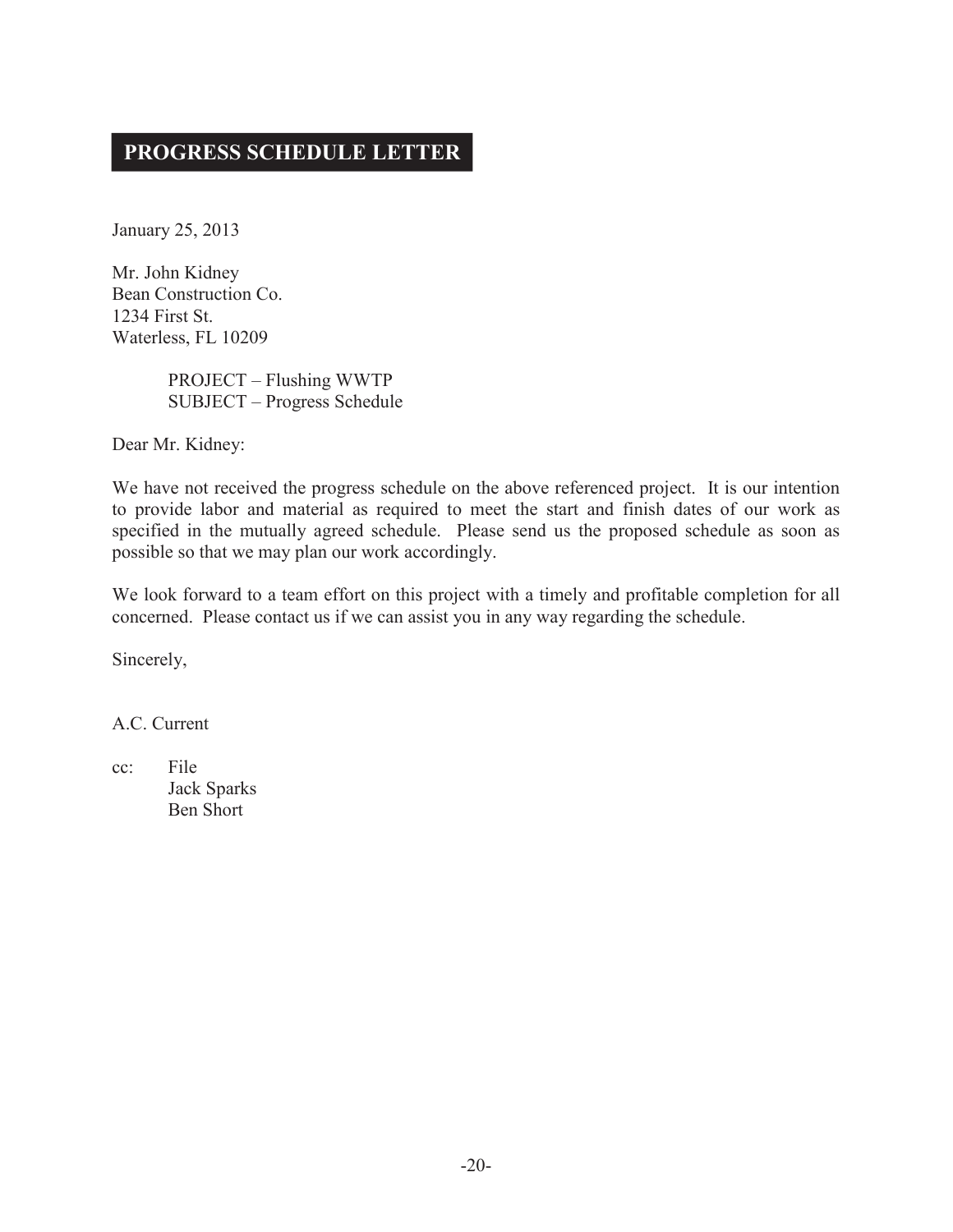## **PROGRESS SCHEDULE LETTER**

January 25, 2013

Mr. John Kidney Bean Construction Co. 1234 First St. Waterless, FL 10209

> PROJECT – Flushing WWTP SUBJECT – Progress Schedule

Dear Mr. Kidney:

We have not received the progress schedule on the above referenced project. It is our intention to provide labor and material as required to meet the start and finish dates of our work as specified in the mutually agreed schedule. Please send us the proposed schedule as soon as possible so that we may plan our work accordingly.

We look forward to a team effort on this project with a timely and profitable completion for all concerned. Please contact us if we can assist you in any way regarding the schedule.

Sincerely,

A.C. Current

cc: File Jack Sparks Ben Short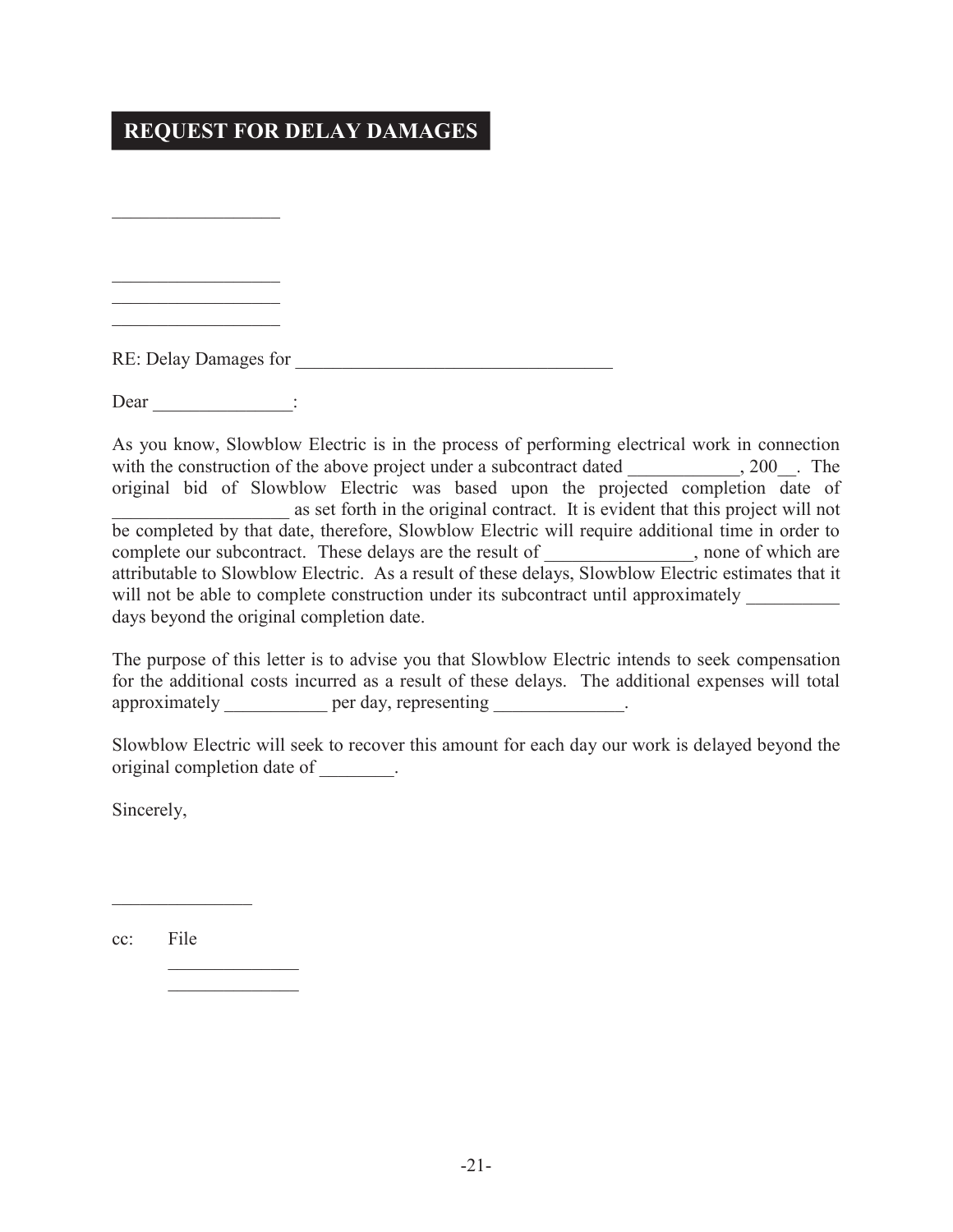## **REQUEST FOR DELAY DAMAGES**

RE: Delay Damages for

Dear  $\qquad \qquad$  :

 $\mathcal{L}_\mathcal{L}$  , where  $\mathcal{L}_\mathcal{L}$  , we have the set of the set of the set of the set of the set of the set of the set of the set of the set of the set of the set of the set of the set of the set of the set of the set

 $\mathcal{L}_\mathcal{L}$  , where  $\mathcal{L}_\mathcal{L}$  , we have the set of the set of the set of the set of the set of the set of the set of the set of the set of the set of the set of the set of the set of the set of the set of the set  $\mathcal{L}_\mathcal{L}$  , where  $\mathcal{L}_\mathcal{L}$  , we have the set of the set of the set of the set of the set of the set of the set of the set of the set of the set of the set of the set of the set of the set of the set of the set  $\mathcal{L}_\mathcal{L}$  , where  $\mathcal{L}_\mathcal{L}$  , we have the set of the set of the set of the set of the set of the set of the set of the set of the set of the set of the set of the set of the set of the set of the set of the set

As you know, Slowblow Electric is in the process of performing electrical work in connection with the construction of the above project under a subcontract dated  $\qquad \qquad , 200$ . The original bid of Slowblow Electric was based upon the projected completion date of as set forth in the original contract. It is evident that this project will not be completed by that date, therefore, Slowblow Electric will require additional time in order to complete our subcontract. These delays are the result of \_\_\_\_\_\_\_\_\_\_\_\_, none of which are attributable to Slowblow Electric. As a result of these delays, Slowblow Electric estimates that it will not be able to complete construction under its subcontract until approximately days beyond the original completion date.

The purpose of this letter is to advise you that Slowblow Electric intends to seek compensation for the additional costs incurred as a result of these delays. The additional expenses will total approximately **per day**, representing  $\blacksquare$ 

Slowblow Electric will seek to recover this amount for each day our work is delayed beyond the original completion date of  $\qquad \qquad$ .

Sincerely,

cc: File

 $\mathcal{L}$  and  $\mathcal{L}$  and  $\mathcal{L}$ 

 $\mathcal{L}=\{L_1,\ldots,L_{n-1},\ldots,L_{n-1},\ldots,L_{n}\}$  $\mathcal{L}=\{L_1,\ldots,L_{n-1},\ldots,L_{n-1},\ldots,L_{n}\}$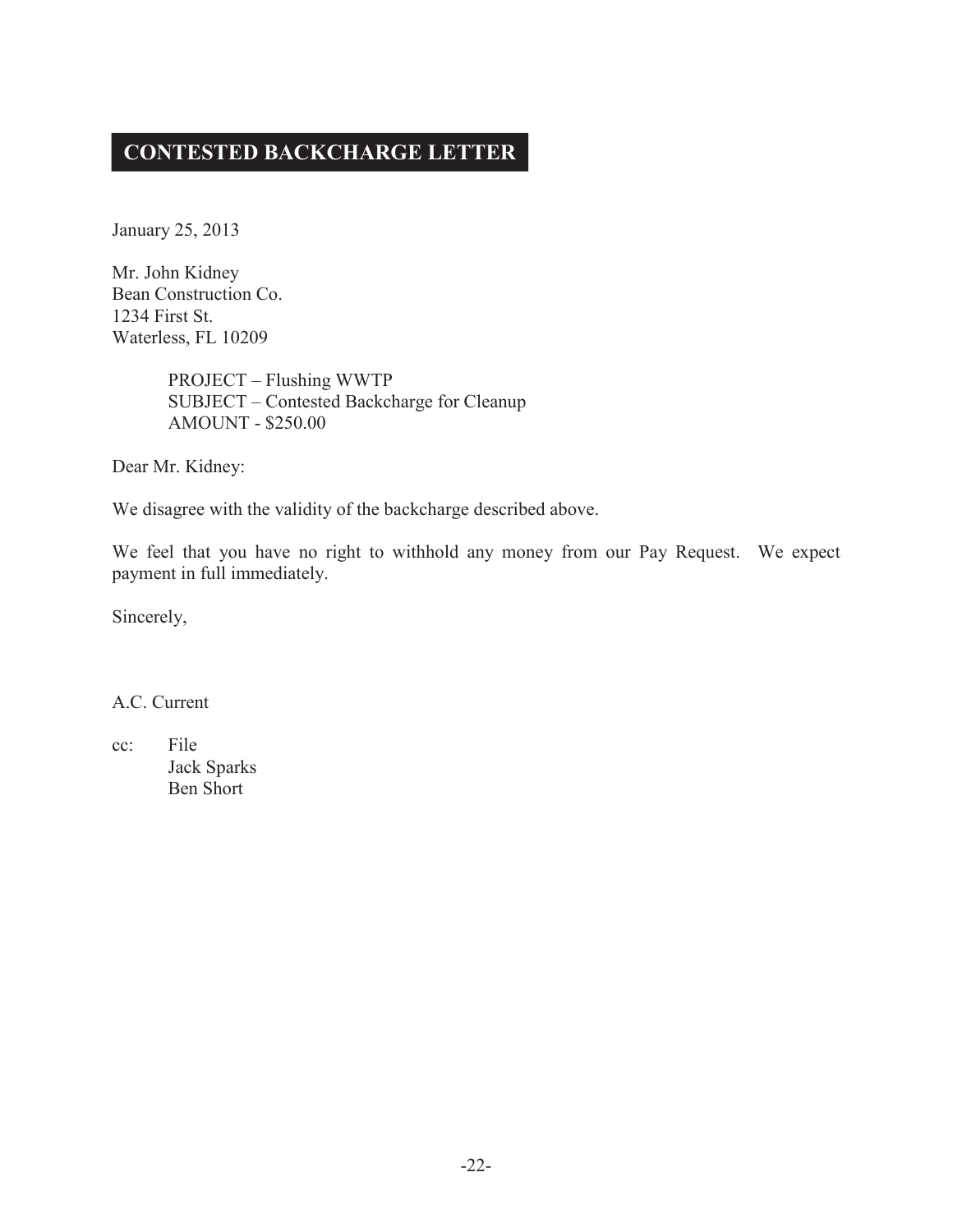## **CONTESTED BACKCHARGE LETTER**

January 25, 2013

Mr. John Kidney Bean Construction Co. 1234 First St. Waterless, FL 10209

> PROJECT – Flushing WWTP SUBJECT – Contested Backcharge for Cleanup AMOUNT - \$250.00

Dear Mr. Kidney:

We disagree with the validity of the backcharge described above.

We feel that you have no right to withhold any money from our Pay Request. We expect payment in full immediately.

Sincerely,

A.C. Current

cc: File Jack Sparks Ben Short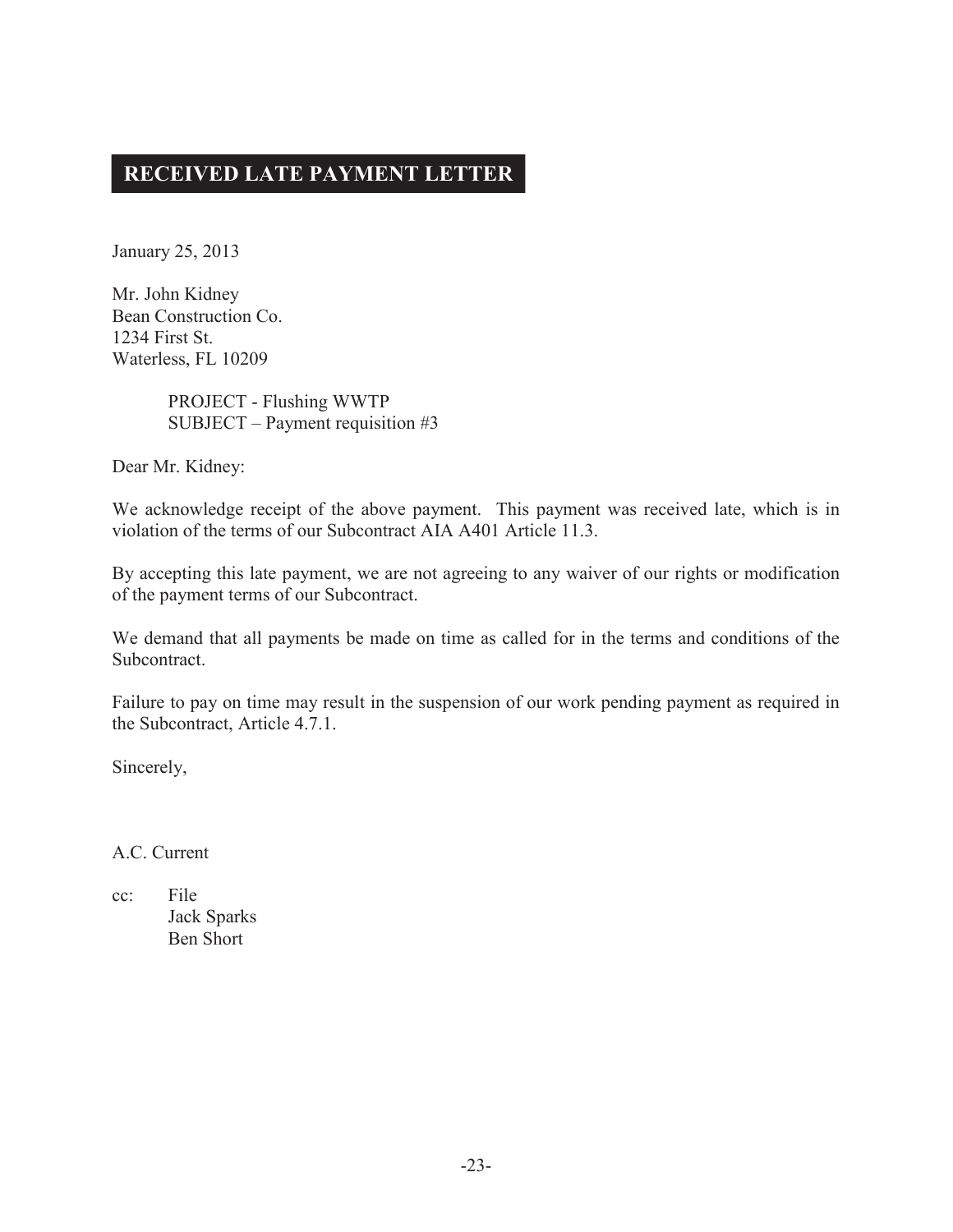## **RECEIVED LATE PAYMENT LETTER**

January 25, 2013

Mr. John Kidney Bean Construction Co. 1234 First St. Waterless, FL 10209

> PROJECT - Flushing WWTP SUBJECT – Payment requisition #3

Dear Mr. Kidney:

We acknowledge receipt of the above payment. This payment was received late, which is in violation of the terms of our Subcontract AIA A401 Article 11.3.

By accepting this late payment, we are not agreeing to any waiver of our rights or modification of the payment terms of our Subcontract.

We demand that all payments be made on time as called for in the terms and conditions of the Subcontract.

Failure to pay on time may result in the suspension of our work pending payment as required in the Subcontract, Article 4.7.1.

Sincerely,

A.C. Current

cc: File Jack Sparks Ben Short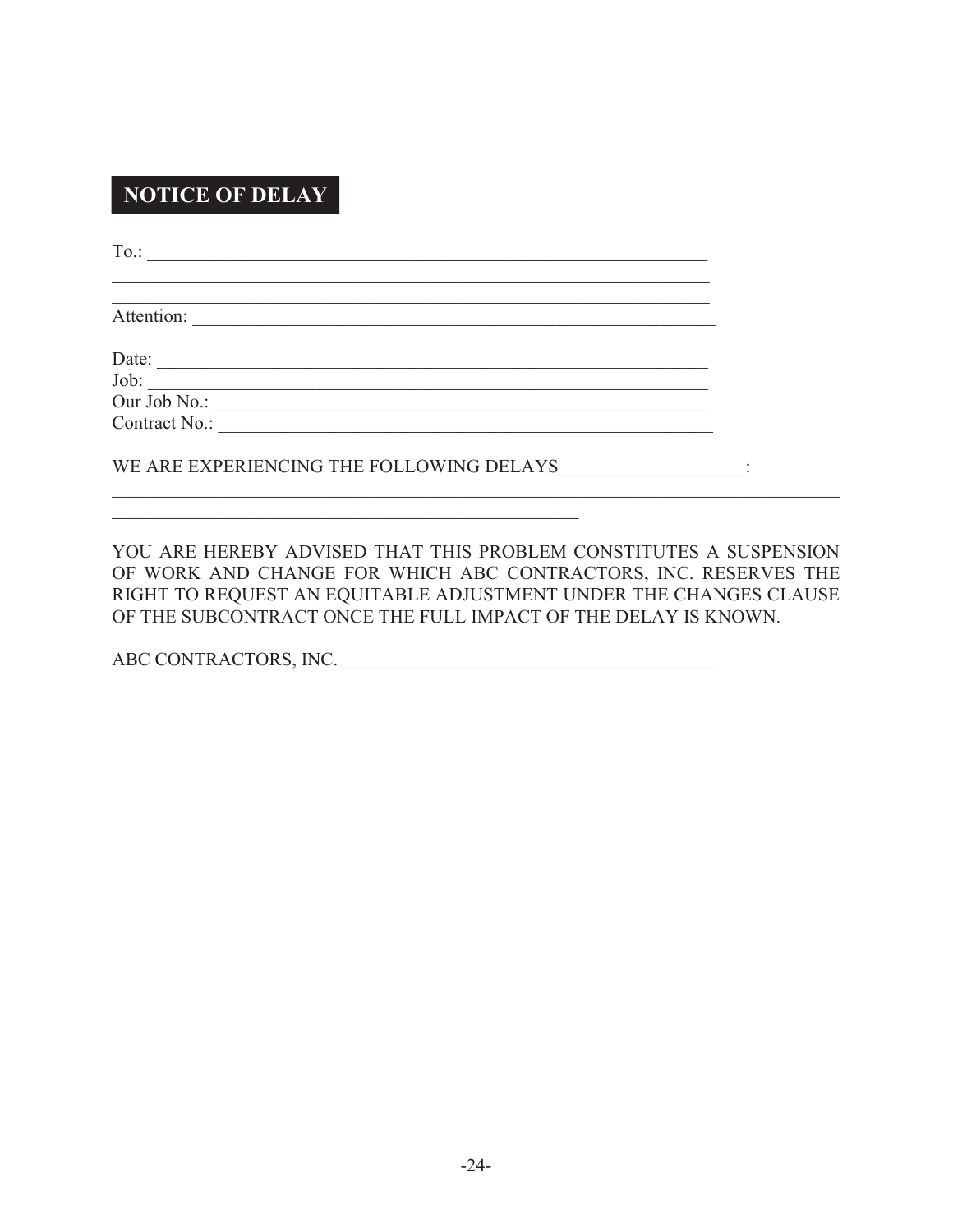## **NOTICE OF DELAY**

To.: \_\_\_\_\_\_\_\_\_\_\_\_\_\_\_\_\_\_\_\_\_\_\_\_\_\_\_\_\_\_\_\_\_\_\_\_\_\_\_\_\_\_\_\_\_\_\_\_\_\_\_\_\_\_\_\_\_\_\_\_

Attention: \_\_\_\_\_\_\_\_\_\_\_\_\_\_\_\_\_\_\_\_\_\_\_\_\_\_\_\_\_\_\_\_\_\_\_\_\_\_\_\_\_\_\_\_\_\_\_\_\_\_\_\_\_\_\_\_

Date: \_\_\_\_\_\_\_\_\_\_\_\_\_\_\_\_\_\_\_\_\_\_\_\_\_\_\_\_\_\_\_\_\_\_\_\_\_\_\_\_\_\_\_\_\_\_\_\_\_\_\_\_\_\_\_\_\_\_\_

 $\text{Job:}$ Our Job No.:

Contract No.: \_\_\_\_\_\_\_\_\_\_\_\_\_\_\_\_\_\_\_\_\_\_\_\_\_\_\_\_\_\_\_\_\_\_\_\_\_\_\_\_\_\_\_\_\_\_\_\_\_\_\_\_\_

WE ARE EXPERIENCING THE FOLLOWING DELAYS  $\qquad \qquad :$ 

\_\_\_\_\_\_\_\_\_\_\_\_\_\_\_\_\_\_\_\_\_\_\_\_\_\_\_\_\_\_\_\_\_\_\_\_\_\_\_\_\_\_\_\_\_\_\_\_\_\_

 $\mathcal{L}_\mathcal{L}$  , and the contribution of the contribution of the contribution of the contribution of the contribution of the contribution of the contribution of the contribution of the contribution of the contribution of

YOU ARE HEREBY ADVISED THAT THIS PROBLEM CONSTITUTES A SUSPENSION OF WORK AND CHANGE FOR WHICH ABC CONTRACTORS, INC. RESERVES THE RIGHT TO REQUEST AN EQUITABLE ADJUSTMENT UNDER THE CHANGES CLAUSE OF THE SUBCONTRACT ONCE THE FULL IMPACT OF THE DELAY IS KNOWN.

 $\mathcal{L}_\mathcal{L} = \mathcal{L}_\mathcal{L} = \mathcal{L}_\mathcal{L} = \mathcal{L}_\mathcal{L} = \mathcal{L}_\mathcal{L} = \mathcal{L}_\mathcal{L} = \mathcal{L}_\mathcal{L} = \mathcal{L}_\mathcal{L} = \mathcal{L}_\mathcal{L} = \mathcal{L}_\mathcal{L} = \mathcal{L}_\mathcal{L} = \mathcal{L}_\mathcal{L} = \mathcal{L}_\mathcal{L} = \mathcal{L}_\mathcal{L} = \mathcal{L}_\mathcal{L} = \mathcal{L}_\mathcal{L} = \mathcal{L}_\mathcal{L}$ 

ABC CONTRACTORS, INC. \_\_\_\_\_\_\_\_\_\_\_\_\_\_\_\_\_\_\_\_\_\_\_\_\_\_\_\_\_\_\_\_\_\_\_\_\_\_\_\_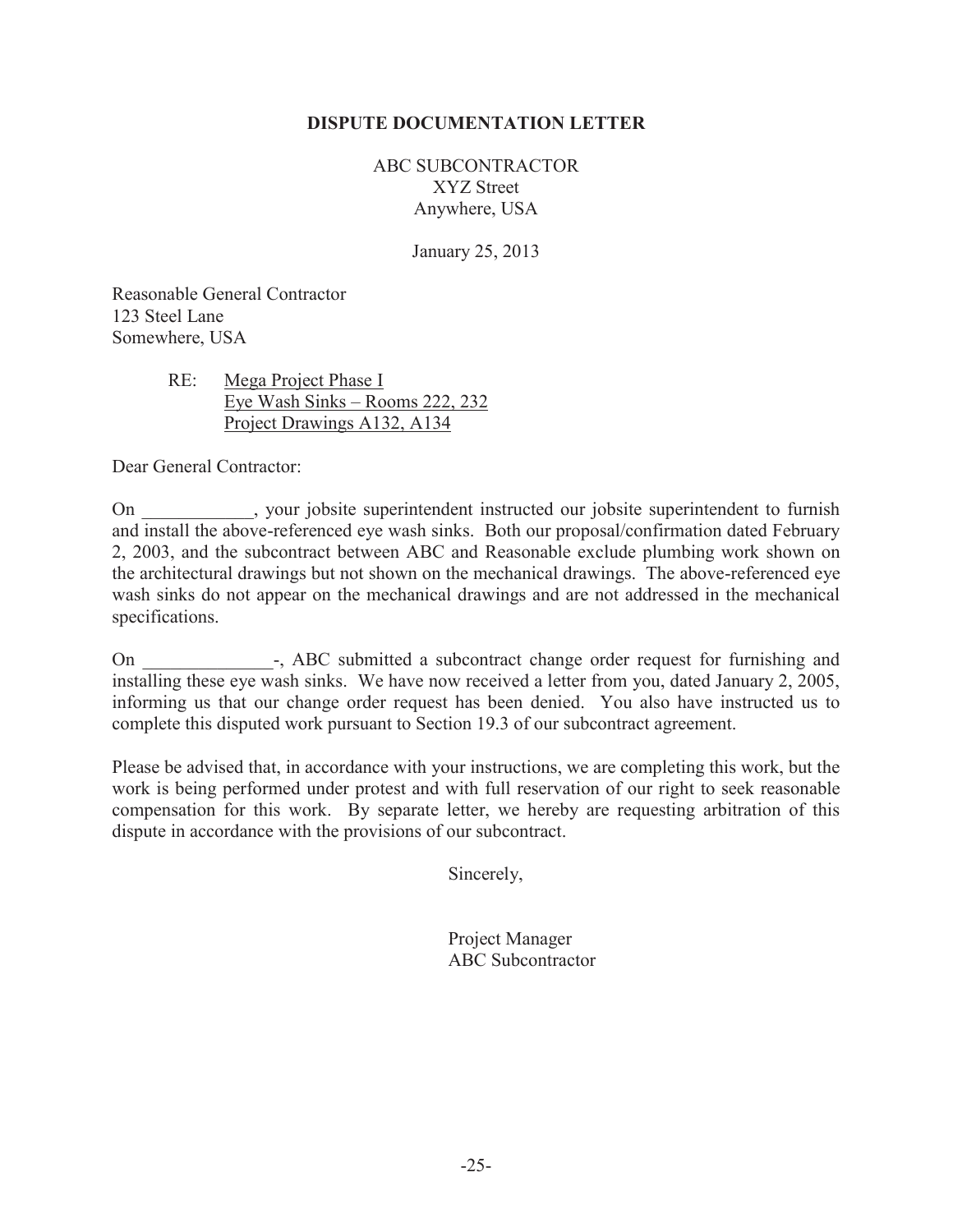## **DISPUTE DOCUMENTATION LETTER**

ABC SUBCONTRACTOR XYZ Street Anywhere, USA

January 25, 2013

Reasonable General Contractor 123 Steel Lane Somewhere, USA

## RE: Mega Project Phase I Eye Wash Sinks – Rooms 222, 232 Project Drawings A132, A134

Dear General Contractor:

On superintendent instructed our jobsite superintendent to furnish superintendent to furnish and install the above-referenced eye wash sinks. Both our proposal/confirmation dated February 2, 2003, and the subcontract between ABC and Reasonable exclude plumbing work shown on the architectural drawings but not shown on the mechanical drawings. The above-referenced eye wash sinks do not appear on the mechanical drawings and are not addressed in the mechanical specifications.

On  $\rightarrow$ , ABC submitted a subcontract change order request for furnishing and installing these eye wash sinks. We have now received a letter from you, dated January 2, 2005, informing us that our change order request has been denied. You also have instructed us to complete this disputed work pursuant to Section 19.3 of our subcontract agreement.

Please be advised that, in accordance with your instructions, we are completing this work, but the work is being performed under protest and with full reservation of our right to seek reasonable compensation for this work. By separate letter, we hereby are requesting arbitration of this dispute in accordance with the provisions of our subcontract.

Sincerely,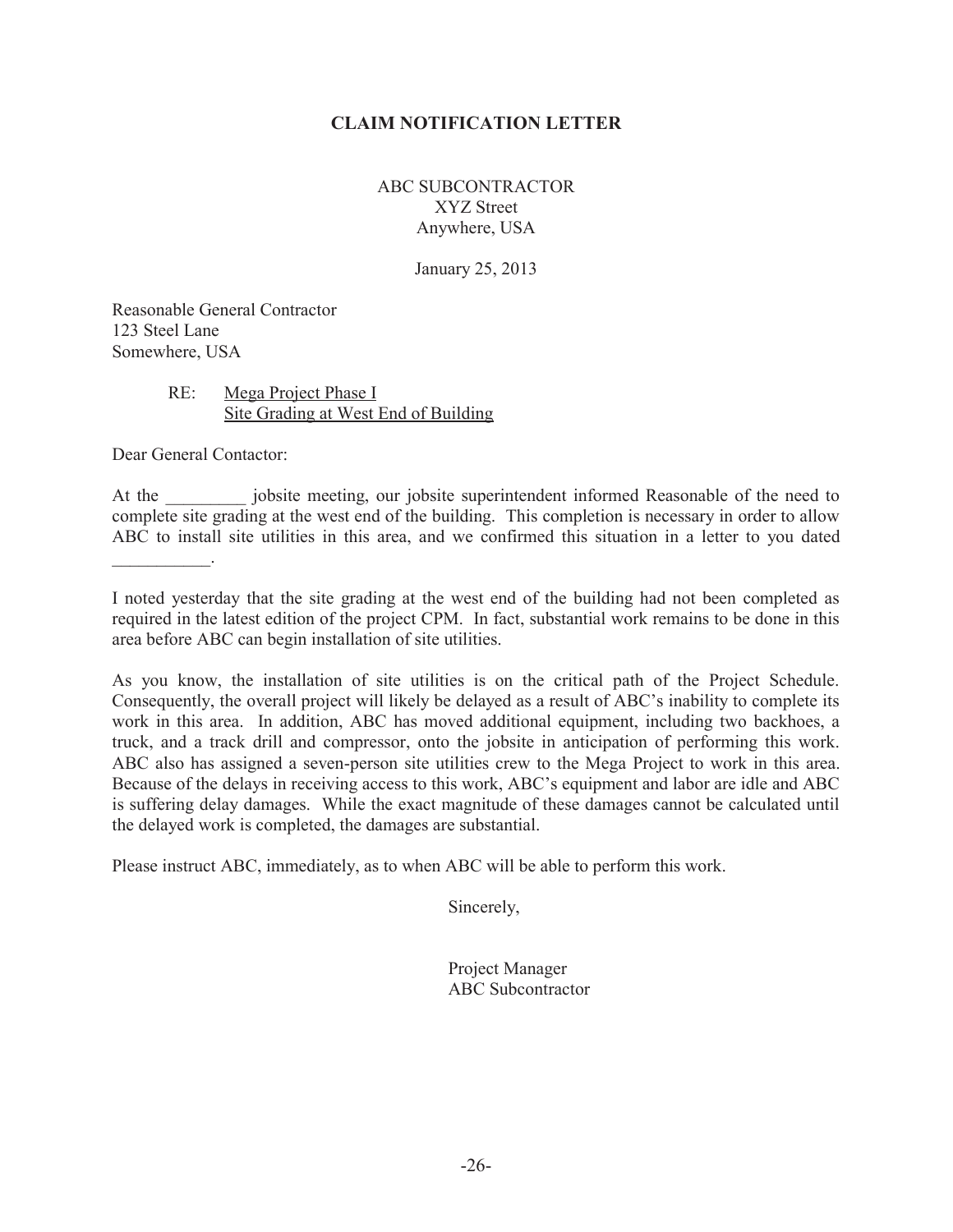## **CLAIM NOTIFICATION LETTER**

ABC SUBCONTRACTOR XYZ Street Anywhere, USA

January 25, 2013

Reasonable General Contractor 123 Steel Lane Somewhere, USA

## RE: Mega Project Phase I Site Grading at West End of Building

Dear General Contactor:

 $\frac{1}{2}$  ,  $\frac{1}{2}$  ,  $\frac{1}{2}$  ,  $\frac{1}{2}$  ,  $\frac{1}{2}$ 

At the according intervals informed Reasonable of the need to intervals informed Reasonable of the need to complete site grading at the west end of the building. This completion is necessary in order to allow ABC to install site utilities in this area, and we confirmed this situation in a letter to you dated

I noted yesterday that the site grading at the west end of the building had not been completed as required in the latest edition of the project CPM. In fact, substantial work remains to be done in this area before ABC can begin installation of site utilities.

As you know, the installation of site utilities is on the critical path of the Project Schedule. Consequently, the overall project will likely be delayed as a result of ABC's inability to complete its work in this area. In addition, ABC has moved additional equipment, including two backhoes, a truck, and a track drill and compressor, onto the jobsite in anticipation of performing this work. ABC also has assigned a seven-person site utilities crew to the Mega Project to work in this area. Because of the delays in receiving access to this work, ABC's equipment and labor are idle and ABC is suffering delay damages. While the exact magnitude of these damages cannot be calculated until the delayed work is completed, the damages are substantial.

Please instruct ABC, immediately, as to when ABC will be able to perform this work.

Sincerely,